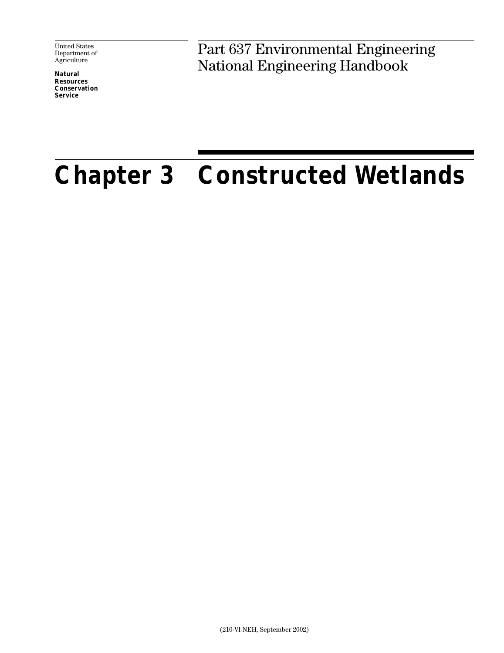United States Department of Agriculture

**Natural Resources Conservation Service**

Part 637 Environmental Engineering National Engineering Handbook

# **Chapter 3 Constructed Wetlands**

(210-VI-NEH, September 2002)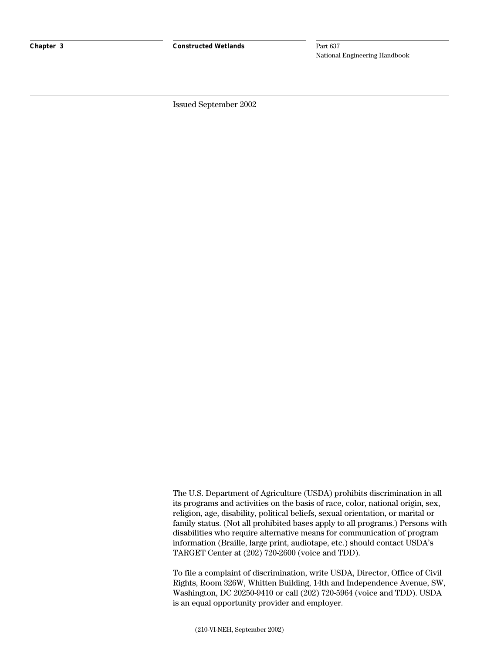**Chapter 3 Constructed Wetlands**

Part 637 National Engineering Handbook

Issued September 2002

The U.S. Department of Agriculture (USDA) prohibits discrimination in all its programs and activities on the basis of race, color, national origin, sex, religion, age, disability, political beliefs, sexual orientation, or marital or family status. (Not all prohibited bases apply to all programs.) Persons with disabilities who require alternative means for communication of program information (Braille, large print, audiotape, etc.) should contact USDA's TARGET Center at (202) 720-2600 (voice and TDD).

To file a complaint of discrimination, write USDA, Director, Office of Civil Rights, Room 326W, Whitten Building, 14th and Independence Avenue, SW, Washington, DC 20250-9410 or call (202) 720-5964 (voice and TDD). USDA is an equal opportunity provider and employer.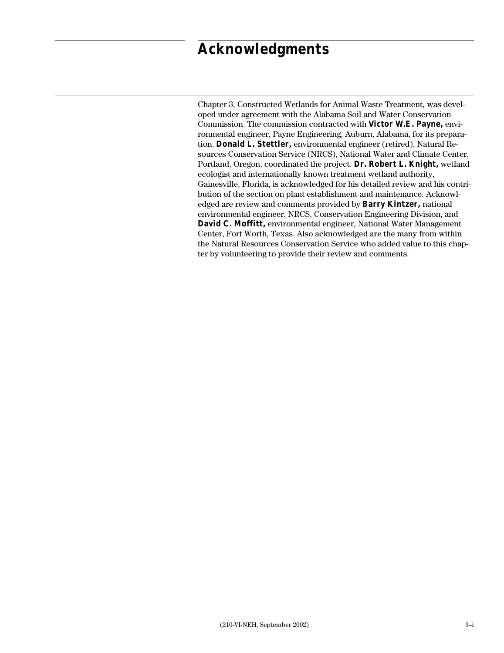## **Acknowledgments**

Chapter 3, Constructed Wetlands for Animal Waste Treatment, was developed under agreement with the Alabama Soil and Water Conservation Commission. The commission contracted with **Victor W.E. Payne,** environmental engineer, Payne Engineering, Auburn, Alabama, for its preparation. **Donald L. Stettler,** environmental engineer (retired), Natural Resources Conservation Service (NRCS), National Water and Climate Center, Portland, Oregon, coordinated the project. **Dr. Robert L. Knight,** wetland ecologist and internationally known treatment wetland authority, Gainesville, Florida, is acknowledged for his detailed review and his contribution of the section on plant establishment and maintenance. Acknowledged are review and comments provided by **Barry Kintzer,** national environmental engineer, NRCS, Conservation Engineering Division, and **David C. Moffitt,** environmental engineer, National Water Management Center, Fort Worth, Texas. Also acknowledged are the many from within the Natural Resources Conservation Service who added value to this chapter by volunteering to provide their review and comments.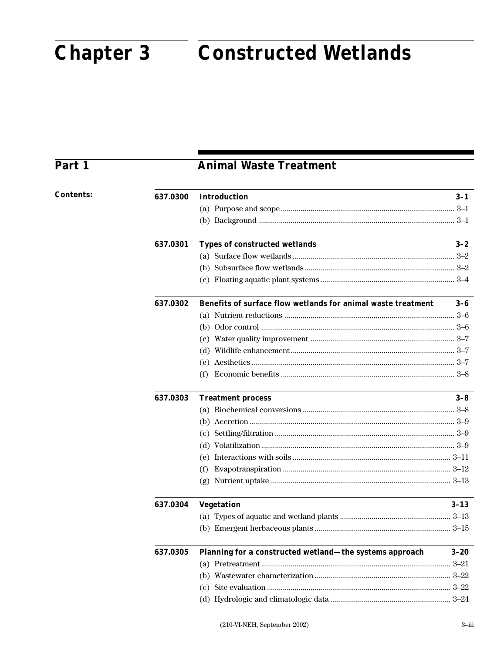## **Chapter 3**

## **Constructed Wetlands**

## Part 1

## **Animal Waste Treatment**

| <b>Contents:</b> | 637.0300 | <b>Introduction</b>                                          | $3-1$    |
|------------------|----------|--------------------------------------------------------------|----------|
|                  |          |                                                              |          |
|                  |          |                                                              |          |
|                  | 637.0301 | <b>Types of constructed wetlands</b>                         | $3 - 2$  |
|                  |          |                                                              |          |
|                  |          |                                                              |          |
|                  |          |                                                              |          |
|                  | 637.0302 | Benefits of surface flow wetlands for animal waste treatment | $3-6$    |
|                  |          |                                                              |          |
|                  |          |                                                              |          |
|                  |          |                                                              |          |
|                  |          |                                                              |          |
|                  |          |                                                              |          |
|                  |          |                                                              |          |
|                  | 637.0303 | <b>Treatment process</b>                                     | $3 - 8$  |
|                  |          |                                                              |          |
|                  |          |                                                              |          |
|                  |          |                                                              |          |
|                  |          |                                                              |          |
|                  |          |                                                              |          |
|                  |          | (f)                                                          |          |
|                  |          |                                                              |          |
|                  | 637.0304 | <b>Vegetation</b>                                            | $3 - 13$ |
|                  |          |                                                              |          |
|                  |          |                                                              |          |
|                  | 637.0305 | Planning for a constructed wetland—the systems approach      | $3 - 20$ |
|                  |          |                                                              |          |
|                  |          |                                                              |          |
|                  |          |                                                              |          |
|                  |          |                                                              |          |
|                  |          |                                                              |          |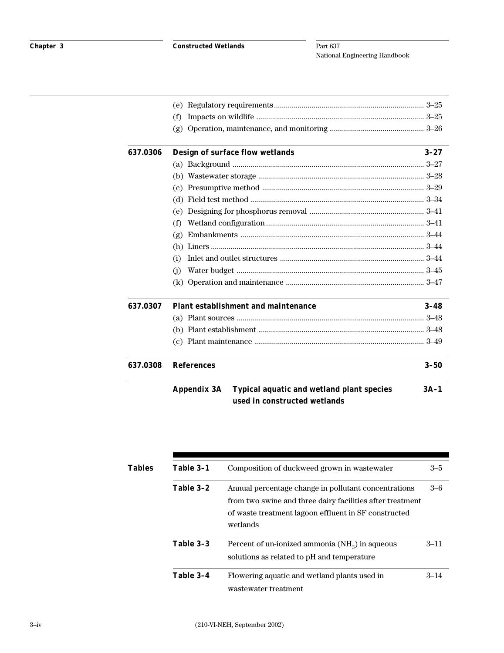|          | (f)                                                      |          |
|----------|----------------------------------------------------------|----------|
|          | (g)                                                      |          |
| 637.0306 | Design of surface flow wetlands                          | $3 - 27$ |
|          |                                                          |          |
|          |                                                          |          |
|          |                                                          |          |
|          |                                                          |          |
|          | (e)                                                      |          |
|          | (f)                                                      |          |
|          | (g)                                                      |          |
|          | (h)                                                      |          |
|          | (i)                                                      |          |
|          | (i)                                                      |          |
|          |                                                          |          |
| 637.0307 | <b>Plant establishment and maintenance</b>               | $3 - 48$ |
|          |                                                          |          |
|          |                                                          |          |
|          |                                                          |          |
| 637.0308 | <b>References</b>                                        | $3 - 50$ |
|          | Typical aquatic and wetland plant species<br>Appendix 3A | $3A-1$   |
|          | used in constructed wetlands                             |          |

| Tables | Table 3-1<br>Table 3-2<br>wetlands | Composition of duckweed grown in wastewater                                                                                                                               | $3 - 5$  |
|--------|------------------------------------|---------------------------------------------------------------------------------------------------------------------------------------------------------------------------|----------|
|        |                                    | Annual percentage change in pollutant concentrations<br>from two swine and three dairy facilities after treatment<br>of waste treatment lagoon effluent in SF constructed | $3-6$    |
|        | Table 3-3                          | Percent of un-ionized ammonia $(NH_3)$ in aqueous<br>solutions as related to pH and temperature                                                                           | $3 - 11$ |
|        | Table 3-4                          | Flowering aquatic and wetland plants used in<br>wastewater treatment                                                                                                      | $3 - 14$ |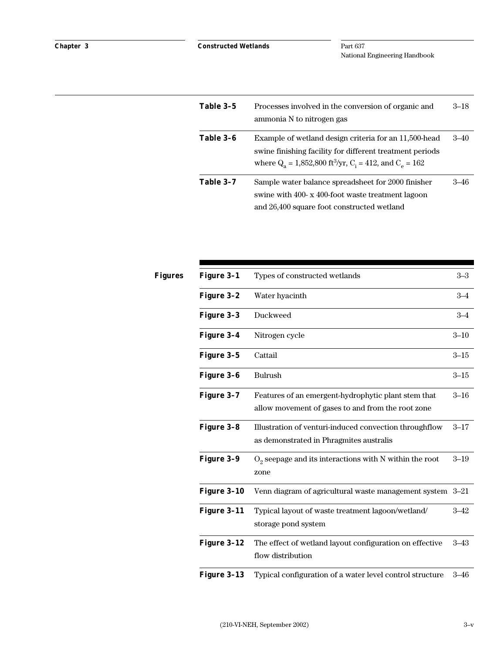| Table 3-5 | Processes involved in the conversion of organic and<br>ammonia N to nitrogen gas                                                                                                                | $3 - 18$ |
|-----------|-------------------------------------------------------------------------------------------------------------------------------------------------------------------------------------------------|----------|
| Table 3-6 | Example of wetland design criteria for an 11,500-head<br>swine finishing facility for different treatment periods<br>where $Q_a = 1,852,800$ ft <sup>3</sup> /yr, $C_i = 412$ , and $C_e = 162$ | $3 - 40$ |
| Table 3-7 | Sample water balance spreadsheet for 2000 finisher<br>swine with 400-x 400-foot waste treatment lagoon<br>and 26,400 square foot constructed wetland                                            | $3 - 46$ |

| Figures | Figure 3-1  | Types of constructed wetlands                                                                            | $3 - 3$  |
|---------|-------------|----------------------------------------------------------------------------------------------------------|----------|
|         | Figure 3-2  | Water hyacinth                                                                                           | $3 - 4$  |
|         | Figure 3-3  | Duckweed                                                                                                 | $3 - 4$  |
|         | Figure 3-4  | Nitrogen cycle                                                                                           | $3 - 10$ |
|         | Figure 3-5  | Cattail                                                                                                  | $3 - 15$ |
|         | Figure 3-6  | <b>Bulrush</b>                                                                                           | $3 - 15$ |
|         | Figure 3-7  | Features of an emergent-hydrophytic plant stem that<br>allow movement of gases to and from the root zone | $3 - 16$ |
|         | Figure 3-8  | Illustration of venturi-induced convection throughflow<br>as demonstrated in Phragmites australis        | $3 - 17$ |
|         | Figure 3-9  | $O2$ seepage and its interactions with N within the root<br>zone                                         | $3 - 19$ |
|         | Figure 3-10 | Venn diagram of agricultural waste management system 3-21                                                |          |
|         | Figure 3-11 | Typical layout of waste treatment lagoon/wetland/<br>storage pond system                                 | $3 - 42$ |
|         | Figure 3-12 | The effect of wetland layout configuration on effective<br>flow distribution                             | $3 - 43$ |
|         | Figure 3-13 | Typical configuration of a water level control structure                                                 | $3 - 46$ |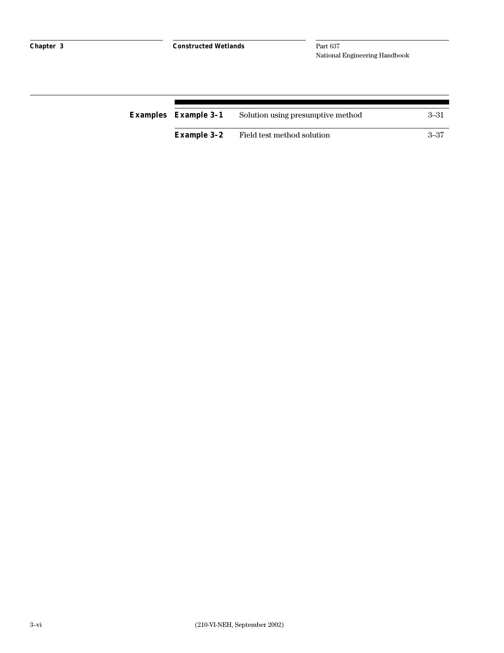| <b>Examples</b> Example 3-1 | Solution using presumptive method | -3–31 |
|-----------------------------|-----------------------------------|-------|
| <b>Example 3-2</b>          | Field test method solution        | -3–37 |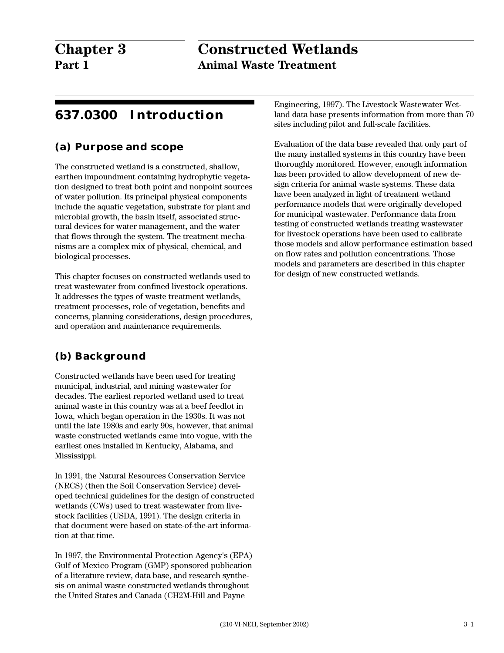## **Chapter 3 Constructed Wetlands Part 1 Animal Waste Treatment**

## **637.0300 Introduction**

## **(a) Purpose and scope**

The constructed wetland is a constructed, shallow, earthen impoundment containing hydrophytic vegetation designed to treat both point and nonpoint sources of water pollution. Its principal physical components include the aquatic vegetation, substrate for plant and microbial growth, the basin itself, associated structural devices for water management, and the water that flows through the system. The treatment mechanisms are a complex mix of physical, chemical, and biological processes.

This chapter focuses on constructed wetlands used to treat wastewater from confined livestock operations. It addresses the types of waste treatment wetlands, treatment processes, role of vegetation, benefits and concerns, planning considerations, design procedures, and operation and maintenance requirements.

## **(b) Background**

Constructed wetlands have been used for treating municipal, industrial, and mining wastewater for decades. The earliest reported wetland used to treat animal waste in this country was at a beef feedlot in Iowa, which began operation in the 1930s. It was not until the late 1980s and early 90s, however, that animal waste constructed wetlands came into vogue, with the earliest ones installed in Kentucky, Alabama, and Mississippi.

In 1991, the Natural Resources Conservation Service (NRCS) (then the Soil Conservation Service) developed technical guidelines for the design of constructed wetlands (CWs) used to treat wastewater from livestock facilities (USDA, 1991). The design criteria in that document were based on state-of-the-art information at that time.

In 1997, the Environmental Protection Agency's (EPA) Gulf of Mexico Program (GMP) sponsored publication of a literature review, data base, and research synthesis on animal waste constructed wetlands throughout the United States and Canada (CH2M-Hill and Payne

Engineering, 1997). The Livestock Wastewater Wetland data base presents information from more than 70 sites including pilot and full-scale facilities.

Evaluation of the data base revealed that only part of the many installed systems in this country have been thoroughly monitored. However, enough information has been provided to allow development of new design criteria for animal waste systems. These data have been analyzed in light of treatment wetland performance models that were originally developed for municipal wastewater. Performance data from testing of constructed wetlands treating wastewater for livestock operations have been used to calibrate those models and allow performance estimation based on flow rates and pollution concentrations. Those models and parameters are described in this chapter for design of new constructed wetlands.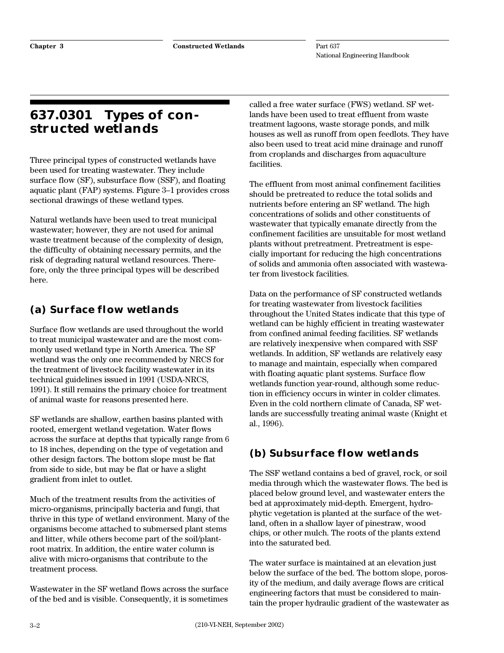## **637.0301 Types of constructed wetlands**

Three principal types of constructed wetlands have been used for treating wastewater. They include surface flow (SF), subsurface flow (SSF), and floating aquatic plant (FAP) systems. Figure 3–1 provides cross sectional drawings of these wetland types.

Natural wetlands have been used to treat municipal wastewater; however, they are not used for animal waste treatment because of the complexity of design, the difficulty of obtaining necessary permits, and the risk of degrading natural wetland resources. Therefore, only the three principal types will be described here.

## **(a) Surface flow wetlands**

Surface flow wetlands are used throughout the world to treat municipal wastewater and are the most commonly used wetland type in North America. The SF wetland was the only one recommended by NRCS for the treatment of livestock facility wastewater in its technical guidelines issued in 1991 (USDA-NRCS, 1991). It still remains the primary choice for treatment of animal waste for reasons presented here.

SF wetlands are shallow, earthen basins planted with rooted, emergent wetland vegetation. Water flows across the surface at depths that typically range from 6 to 18 inches, depending on the type of vegetation and other design factors. The bottom slope must be flat from side to side, but may be flat or have a slight gradient from inlet to outlet.

Much of the treatment results from the activities of micro-organisms, principally bacteria and fungi, that thrive in this type of wetland environment. Many of the organisms become attached to submersed plant stems and litter, while others become part of the soil/plantroot matrix. In addition, the entire water column is alive with micro-organisms that contribute to the treatment process.

Wastewater in the SF wetland flows across the surface of the bed and is visible. Consequently, it is sometimes

called a free water surface (FWS) wetland. SF wetlands have been used to treat effluent from waste treatment lagoons, waste storage ponds, and milk houses as well as runoff from open feedlots. They have also been used to treat acid mine drainage and runoff from croplands and discharges from aquaculture facilities.

The effluent from most animal confinement facilities should be pretreated to reduce the total solids and nutrients before entering an SF wetland. The high concentrations of solids and other constituents of wastewater that typically emanate directly from the confinement facilities are unsuitable for most wetland plants without pretreatment. Pretreatment is especially important for reducing the high concentrations of solids and ammonia often associated with wastewater from livestock facilities.

Data on the performance of SF constructed wetlands for treating wastewater from livestock facilities throughout the United States indicate that this type of wetland can be highly efficient in treating wastewater from confined animal feeding facilities. SF wetlands are relatively inexpensive when compared with SSF wetlands. In addition, SF wetlands are relatively easy to manage and maintain, especially when compared with floating aquatic plant systems. Surface flow wetlands function year-round, although some reduction in efficiency occurs in winter in colder climates. Even in the cold northern climate of Canada, SF wetlands are successfully treating animal waste (Knight et al., 1996).

## **(b) Subsurface flow wetlands**

The SSF wetland contains a bed of gravel, rock, or soil media through which the wastewater flows. The bed is placed below ground level, and wastewater enters the bed at approximately mid-depth. Emergent, hydrophytic vegetation is planted at the surface of the wetland, often in a shallow layer of pinestraw, wood chips, or other mulch. The roots of the plants extend into the saturated bed.

The water surface is maintained at an elevation just below the surface of the bed. The bottom slope, porosity of the medium, and daily average flows are critical engineering factors that must be considered to maintain the proper hydraulic gradient of the wastewater as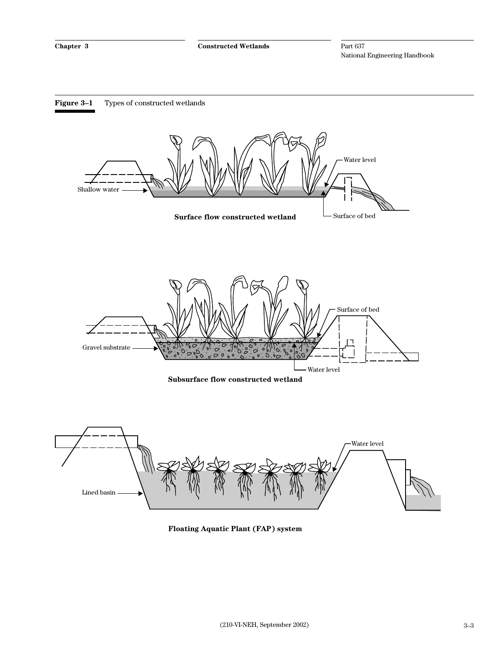

**Floating Aquatic Plant (FAP) system**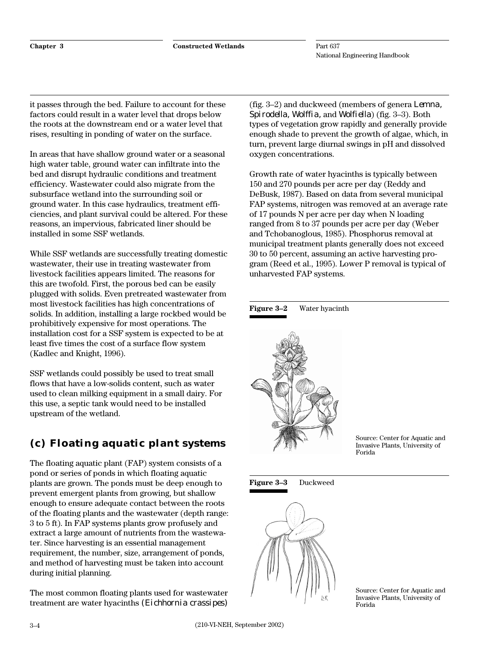it passes through the bed. Failure to account for these factors could result in a water level that drops below the roots at the downstream end or a water level that rises, resulting in ponding of water on the surface.

In areas that have shallow ground water or a seasonal high water table, ground water can infiltrate into the bed and disrupt hydraulic conditions and treatment efficiency. Wastewater could also migrate from the subsurface wetland into the surrounding soil or ground water. In this case hydraulics, treatment efficiencies, and plant survival could be altered. For these reasons, an impervious, fabricated liner should be installed in some SSF wetlands.

While SSF wetlands are successfully treating domestic wastewater, their use in treating wastewater from livestock facilities appears limited. The reasons for this are twofold. First, the porous bed can be easily plugged with solids. Even pretreated wastewater from most livestock facilities has high concentrations of solids. In addition, installing a large rockbed would be prohibitively expensive for most operations. The installation cost for a SSF system is expected to be at least five times the cost of a surface flow system (Kadlec and Knight, 1996).

SSF wetlands could possibly be used to treat small flows that have a low-solids content, such as water used to clean milking equipment in a small dairy. For this use, a septic tank would need to be installed upstream of the wetland.

## **(c) Floating aquatic plant systems**

The floating aquatic plant (FAP) system consists of a pond or series of ponds in which floating aquatic plants are grown. The ponds must be deep enough to prevent emergent plants from growing, but shallow enough to ensure adequate contact between the roots of the floating plants and the wastewater (depth range: 3 to 5 ft). In FAP systems plants grow profusely and extract a large amount of nutrients from the wastewater. Since harvesting is an essential management requirement, the number, size, arrangement of ponds, and method of harvesting must be taken into account during initial planning.

The most common floating plants used for wastewater treatment are water hyacinths *(Eichhornia crassipes)*

(fig. 3–2) and duckweed (members of genera *Lemna, Spirodella, Wolffia,* and *Wolfiella*) (fig. 3–3). Both types of vegetation grow rapidly and generally provide enough shade to prevent the growth of algae, which, in turn, prevent large diurnal swings in pH and dissolved oxygen concentrations.

Growth rate of water hyacinths is typically between 150 and 270 pounds per acre per day (Reddy and DeBusk, 1987). Based on data from several municipal FAP systems, nitrogen was removed at an average rate of 17 pounds N per acre per day when N loading ranged from 8 to 37 pounds per acre per day (Weber and Tchobanoglous, 1985). Phosphorus removal at municipal treatment plants generally does not exceed 30 to 50 percent, assuming an active harvesting program (Reed et al., 1995). Lower P removal is typical of unharvested FAP systems.







**Figure 3–3** Duckweed



Source: Center for Aquatic and Invasive Plants, University of Forida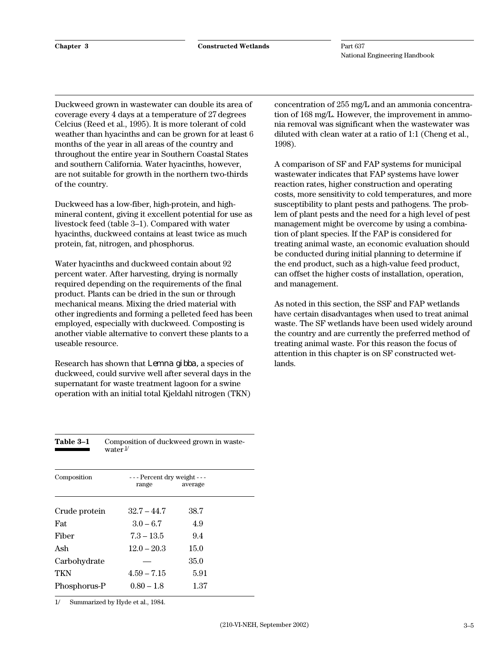Duckweed grown in wastewater can double its area of coverage every 4 days at a temperature of 27 degrees Celcius (Reed et al., 1995). It is more tolerant of cold weather than hyacinths and can be grown for at least 6 months of the year in all areas of the country and throughout the entire year in Southern Coastal States and southern California. Water hyacinths, however, are not suitable for growth in the northern two-thirds of the country.

Duckweed has a low-fiber, high-protein, and highmineral content, giving it excellent potential for use as livestock feed (table 3–1). Compared with water hyacinths, duckweed contains at least twice as much protein, fat, nitrogen, and phosphorus.

Water hyacinths and duckweed contain about 92 percent water. After harvesting, drying is normally required depending on the requirements of the final product. Plants can be dried in the sun or through mechanical means. Mixing the dried material with other ingredients and forming a pelleted feed has been employed, especially with duckweed. Composting is another viable alternative to convert these plants to a useable resource.

Research has shown that *Lemna gibba,* a species of duckweed, could survive well after several days in the supernatant for waste treatment lagoon for a swine operation with an initial total Kjeldahl nitrogen (TKN) concentration of 255 mg/L and an ammonia concentration of 168 mg/L. However, the improvement in ammonia removal was significant when the wastewater was diluted with clean water at a ratio of 1:1 (Cheng et al., 1998).

A comparison of SF and FAP systems for municipal wastewater indicates that FAP systems have lower reaction rates, higher construction and operating costs, more sensitivity to cold temperatures, and more susceptibility to plant pests and pathogens. The problem of plant pests and the need for a high level of pest management might be overcome by using a combination of plant species. If the FAP is considered for treating animal waste, an economic evaluation should be conducted during initial planning to determine if the end product, such as a high-value feed product, can offset the higher costs of installation, operation, and management.

As noted in this section, the SSF and FAP wetlands have certain disadvantages when used to treat animal waste. The SF wetlands have been used widely around the country and are currently the preferred method of treating animal waste. For this reason the focus of attention in this chapter is on SF constructed wetlands.

| Table 3-1<br>Composition of duckweed grown in waste-<br>water $\frac{1}{2}$ |               |                            |  |  |  |
|-----------------------------------------------------------------------------|---------------|----------------------------|--|--|--|
| Composition                                                                 |               | --- Percent dry weight --- |  |  |  |
|                                                                             | range         | average                    |  |  |  |
| Crude protein                                                               | $32.7 - 44.7$ | 38.7                       |  |  |  |
| Fat                                                                         | $3.0 - 6.7$   | 4.9                        |  |  |  |
| Fiber                                                                       | $7.3 - 13.5$  | 9.4                        |  |  |  |
| Ash                                                                         | $12.0 - 20.3$ | 15.0                       |  |  |  |
| Carbohydrate                                                                |               | 35.0                       |  |  |  |
| TKN                                                                         | $4.59 - 7.15$ | 5.91                       |  |  |  |
| Phosphorus-P                                                                | $0.80 - 1.8$  | 1.37                       |  |  |  |

1/ Summarized by Hyde et al., 1984.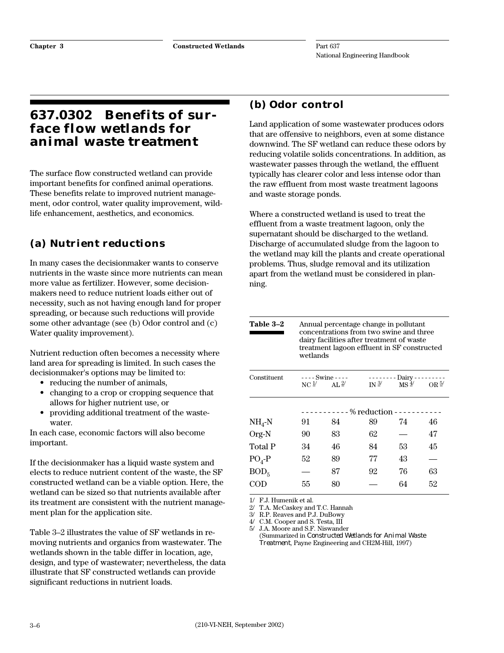## **637.0302 Benefits of surface flow wetlands for animal waste treatment**

The surface flow constructed wetland can provide important benefits for confined animal operations. These benefits relate to improved nutrient management, odor control, water quality improvement, wildlife enhancement, aesthetics, and economics.

## **(a) Nutrient reductions**

In many cases the decisionmaker wants to conserve nutrients in the waste since more nutrients can mean more value as fertilizer. However, some decisionmakers need to reduce nutrient loads either out of necessity, such as not having enough land for proper spreading, or because such reductions will provide some other advantage (see (b) Odor control and (c) Water quality improvement).

Nutrient reduction often becomes a necessity where land area for spreading is limited. In such cases the decisionmaker's options may be limited to:

- reducing the number of animals,
- changing to a crop or cropping sequence that allows for higher nutrient use, or
- providing additional treatment of the wastewater.

In each case, economic factors will also become important.

If the decisionmaker has a liquid waste system and elects to reduce nutrient content of the waste, the SF constructed wetland can be a viable option. Here, the wetland can be sized so that nutrients available after its treatment are consistent with the nutrient management plan for the application site.

Table 3–2 illustrates the value of SF wetlands in removing nutrients and organics from wastewater. The wetlands shown in the table differ in location, age, design, and type of wastewater; nevertheless, the data illustrate that SF constructed wetlands can provide significant reductions in nutrient loads.

## **(b) Odor control**

Land application of some wastewater produces odors that are offensive to neighbors, even at some distance downwind. The SF wetland can reduce these odors by reducing volatile solids concentrations. In addition, as wastewater passes through the wetland, the effluent typically has clearer color and less intense odor than the raw effluent from most waste treatment lagoons and waste storage ponds.

Where a constructed wetland is used to treat the effluent from a waste treatment lagoon, only the supernatant should be discharged to the wetland. Discharge of accumulated sludge from the lagoon to the wetland may kill the plants and create operational problems. Thus, sludge removal and its utilization apart from the wetland must be considered in planning.

#### **Table 3–2** Annual percentage change in pollutant concentrations from two swine and three dairy facilities after treatment of waste treatment lagoon effluent in SF constructed wetlands

| Constituent      |                 | ---- Swine ----  |                        |                  |                |
|------------------|-----------------|------------------|------------------------|------------------|----------------|
|                  | NC <sup>1</sup> | AL $\frac{2}{3}$ | IN $3/$                | $MS \frac{4}{3}$ | OR $\bar{2}$ / |
|                  |                 |                  |                        |                  |                |
|                  |                 |                  | $--$ – % reduction – – |                  |                |
| $NH4-N$          | 91              | 84               | 89                     | 74               | 46             |
| Org-N            | 90              | 83               | 62                     |                  | 47             |
| <b>Total P</b>   | 34              | 46               | 84                     | 53               | 45             |
| $PO4-P$          | 52              | 89               | 77                     | 43               |                |
| BOD <sub>5</sub> |                 | 87               | 92                     | 76               | 63             |
| COD              | 55              | 80               |                        | 64               | 52             |
|                  |                 |                  |                        |                  |                |

F.J. Humenik et al.

2/ T.A. McCaskey and T.C. Hannah

3/ R.P. Reaves and P.J. DuBowy

4/ C.M. Cooper and S. Testa, III

5/ J.A. Moore and S.F. Niswander (Summarized in *Constructed Wetlands for Animal Waste*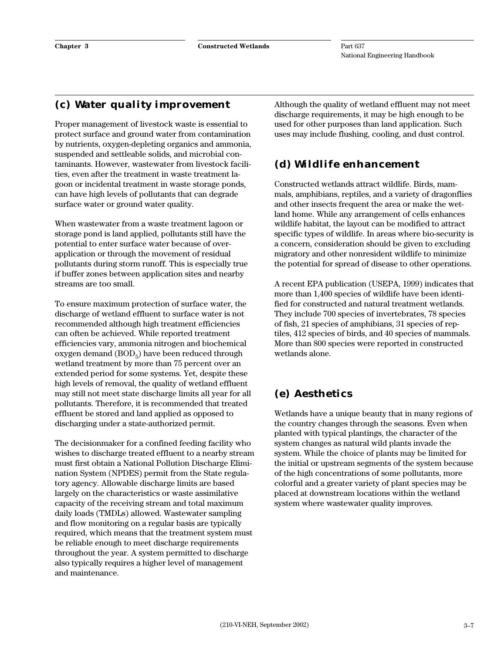## **(c) Water quality improvement**

Proper management of livestock waste is essential to protect surface and ground water from contamination by nutrients, oxygen-depleting organics and ammonia, suspended and settleable solids, and microbial contaminants. However, wastewater from livestock facilities, even after the treatment in waste treatment lagoon or incidental treatment in waste storage ponds, can have high levels of pollutants that can degrade surface water or ground water quality.

When wastewater from a waste treatment lagoon or storage pond is land applied, pollutants still have the potential to enter surface water because of overapplication or through the movement of residual pollutants during storm runoff. This is especially true if buffer zones between application sites and nearby streams are too small.

To ensure maximum protection of surface water, the discharge of wetland effluent to surface water is not recommended although high treatment efficiencies can often be achieved. While reported treatment efficiencies vary, ammonia nitrogen and biochemical oxygen demand  $(BOD<sub>5</sub>)$  have been reduced through wetland treatment by more than 75 percent over an extended period for some systems. Yet, despite these high levels of removal, the quality of wetland effluent may still not meet state discharge limits all year for all pollutants. Therefore, it is recommended that treated effluent be stored and land applied as opposed to discharging under a state-authorized permit.

The decisionmaker for a confined feeding facility who wishes to discharge treated effluent to a nearby stream must first obtain a National Pollution Discharge Elimination System (NPDES) permit from the State regulatory agency. Allowable discharge limits are based largely on the characteristics or waste assimilative capacity of the receiving stream and total maximum daily loads (TMDLs) allowed. Wastewater sampling and flow monitoring on a regular basis are typically required, which means that the treatment system must be reliable enough to meet discharge requirements throughout the year. A system permitted to discharge also typically requires a higher level of management and maintenance.

Although the quality of wetland effluent may not meet discharge requirements, it may be high enough to be used for other purposes than land application. Such uses may include flushing, cooling, and dust control.

## **(d) Wildlife enhancement**

Constructed wetlands attract wildlife. Birds, mammals, amphibians, reptiles, and a variety of dragonflies and other insects frequent the area or make the wetland home. While any arrangement of cells enhances wildlife habitat, the layout can be modified to attract specific types of wildlife. In areas where bio-security is a concern, consideration should be given to excluding migratory and other nonresident wildlife to minimize the potential for spread of disease to other operations.

A recent EPA publication (USEPA, 1999) indicates that more than 1,400 species of wildlife have been identified for constructed and natural treatment wetlands. They include 700 species of invertebrates, 78 species of fish, 21 species of amphibians, 31 species of reptiles, 412 species of birds, and 40 species of mammals. More than 800 species were reported in constructed wetlands alone.

## **(e) Aesthetics**

Wetlands have a unique beauty that in many regions of the country changes through the seasons. Even when planted with typical plantings, the character of the system changes as natural wild plants invade the system. While the choice of plants may be limited for the initial or upstream segments of the system because of the high concentrations of some pollutants, more colorful and a greater variety of plant species may be placed at downstream locations within the wetland system where wastewater quality improves.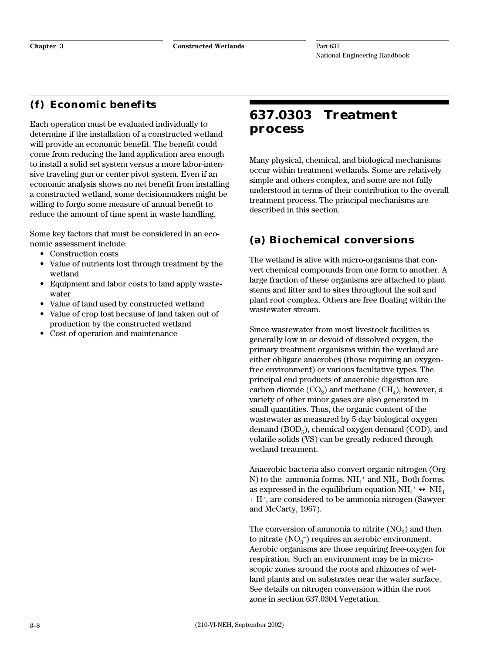## **(f) Economic benefits**

Each operation must be evaluated individually to determine if the installation of a constructed wetland will provide an economic benefit. The benefit could come from reducing the land application area enough to install a solid set system versus a more labor-intensive traveling gun or center pivot system. Even if an economic analysis shows no net benefit from installing a constructed wetland, some decisionmakers might be willing to forgo some measure of annual benefit to reduce the amount of time spent in waste handling.

Some key factors that must be considered in an economic assessment include:

- Construction costs
- Value of nutrients lost through treatment by the wetland
- Equipment and labor costs to land apply wastewater
- Value of land used by constructed wetland
- Value of crop lost because of land taken out of production by the constructed wetland
- Cost of operation and maintenance

## **637.0303 Treatment process**

Many physical, chemical, and biological mechanisms occur within treatment wetlands. Some are relatively simple and others complex, and some are not fully understood in terms of their contribution to the overall treatment process. The principal mechanisms are described in this section.

## **(a) Biochemical conversions**

The wetland is alive with micro-organisms that convert chemical compounds from one form to another. A large fraction of these organisms are attached to plant stems and litter and to sites throughout the soil and plant root complex. Others are free floating within the wastewater stream.

Since wastewater from most livestock facilities is generally low in or devoid of dissolved oxygen, the primary treatment organisms within the wetland are either obligate anaerobes (those requiring an oxygenfree environment) or various facultative types. The principal end products of anaerobic digestion are carbon dioxide  $(CO<sub>2</sub>)$  and methane  $(CH<sub>4</sub>)$ ; however, a variety of other minor gases are also generated in small quantities. Thus, the organic content of the wastewater as measured by 5-day biological oxygen demand  $(BOD<sub>5</sub>)$ , chemical oxygen demand  $(COD)$ , and volatile solids (VS) can be greatly reduced through wetland treatment.

Anaerobic bacteria also convert organic nitrogen (Org-N) to the  $\alpha$ mmonia forms, NH<sub>4</sub><sup>+</sup> and NH<sub>3</sub>. Both forms, as expressed in the equilibrium equation  $\mathrm{NH}_4^+ \leftrightarrow \mathrm{NH}_3$ + H+, are considered to be ammonia nitrogen (Sawyer and McCarty, 1967).

The conversion of ammonia to nitrite  $(NO<sub>2</sub>)$  and then to nitrate  $(\text{NO}_3^-)$  requires an aerobic environment. Aerobic organisms are those requiring free-oxygen for respiration. Such an environment may be in microscopic zones around the roots and rhizomes of wetland plants and on substrates near the water surface. See details on nitrogen conversion within the root zone in section 637.0304 Vegetation.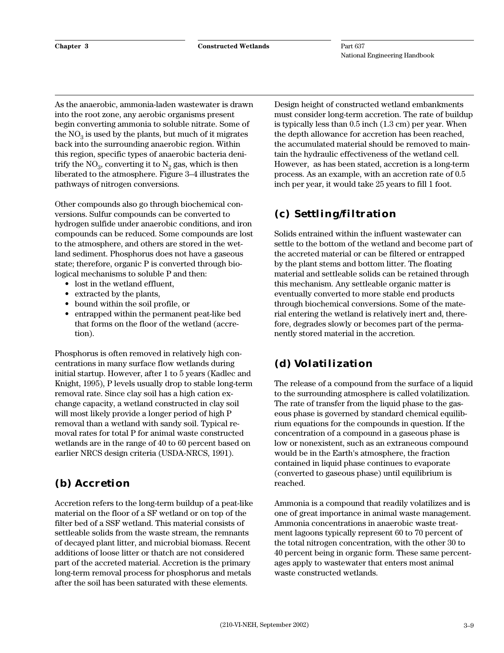As the anaerobic, ammonia-laden wastewater is drawn into the root zone, any aerobic organisms present begin converting ammonia to soluble nitrate. Some of the  $NO<sub>2</sub>$  is used by the plants, but much of it migrates back into the surrounding anaerobic region. Within this region, specific types of anaerobic bacteria denitrify the  $NO_3$ , converting it to  $N_2$  gas, which is then liberated to the atmosphere. Figure 3–4 illustrates the pathways of nitrogen conversions.

Other compounds also go through biochemical conversions. Sulfur compounds can be converted to hydrogen sulfide under anaerobic conditions, and iron compounds can be reduced. Some compounds are lost to the atmosphere, and others are stored in the wetland sediment. Phosphorus does not have a gaseous state; therefore, organic P is converted through biological mechanisms to soluble P and then:

- lost in the wetland effluent,
- extracted by the plants,
- bound within the soil profile, or
- entrapped within the permanent peat-like bed that forms on the floor of the wetland (accretion).

Phosphorus is often removed in relatively high concentrations in many surface flow wetlands during initial startup. However, after 1 to 5 years (Kadlec and Knight, 1995), P levels usually drop to stable long-term removal rate. Since clay soil has a high cation exchange capacity, a wetland constructed in clay soil will most likely provide a longer period of high P removal than a wetland with sandy soil. Typical removal rates for total P for animal waste constructed wetlands are in the range of 40 to 60 percent based on earlier NRCS design criteria (USDA-NRCS, 1991).

## **(b) Accretion**

Accretion refers to the long-term buildup of a peat-like material on the floor of a SF wetland or on top of the filter bed of a SSF wetland. This material consists of settleable solids from the waste stream, the remnants of decayed plant litter, and microbial biomass. Recent additions of loose litter or thatch are not considered part of the accreted material. Accretion is the primary long-term removal process for phosphorus and metals after the soil has been saturated with these elements.

Design height of constructed wetland embankments must consider long-term accretion. The rate of buildup is typically less than 0.5 inch (1.3 cm) per year. When the depth allowance for accretion has been reached, the accumulated material should be removed to maintain the hydraulic effectiveness of the wetland cell. However, as has been stated, accretion is a long-term process. As an example, with an accretion rate of 0.5 inch per year, it would take 25 years to fill 1 foot.

## **(c) Settling/filtration**

Solids entrained within the influent wastewater can settle to the bottom of the wetland and become part of the accreted material or can be filtered or entrapped by the plant stems and bottom litter. The floating material and settleable solids can be retained through this mechanism. Any settleable organic matter is eventually converted to more stable end products through biochemical conversions. Some of the material entering the wetland is relatively inert and, therefore, degrades slowly or becomes part of the permanently stored material in the accretion.

## **(d) Volatilization**

The release of a compound from the surface of a liquid to the surrounding atmosphere is called volatilization. The rate of transfer from the liquid phase to the gaseous phase is governed by standard chemical equilibrium equations for the compounds in question. If the concentration of a compound in a gaseous phase is low or nonexistent, such as an extraneous compound would be in the Earth's atmosphere, the fraction contained in liquid phase continues to evaporate (converted to gaseous phase) until equilibrium is reached.

Ammonia is a compound that readily volatilizes and is one of great importance in animal waste management. Ammonia concentrations in anaerobic waste treatment lagoons typically represent 60 to 70 percent of the total nitrogen concentration, with the other 30 to 40 percent being in organic form. These same percentages apply to wastewater that enters most animal waste constructed wetlands.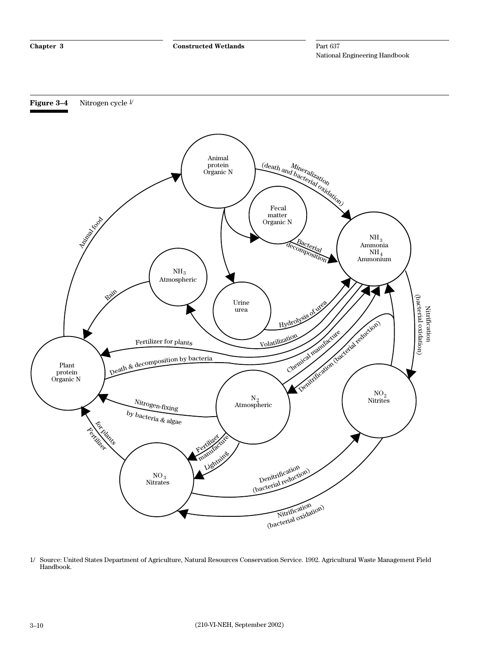



<sup>1/</sup> Source: United States Department of Agriculture, Natural Resources Conservation Service. 1992. Agricultural Waste Management Field Handbook.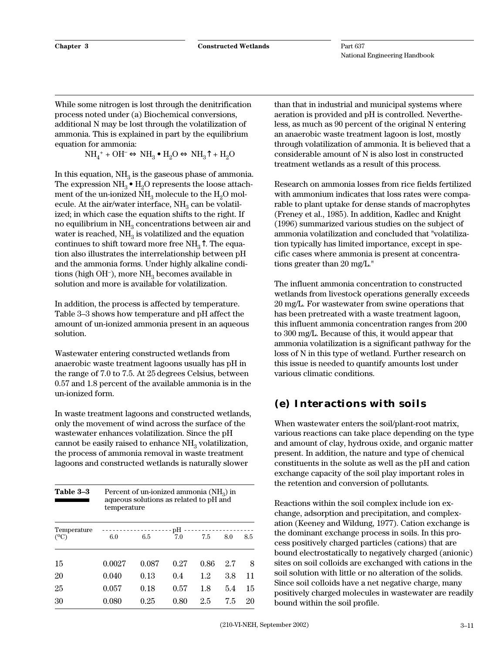While some nitrogen is lost through the denitrification process noted under (a) Biochemical conversions, additional N may be lost through the volatilization of ammonia. This is explained in part by the equilibrium equation for ammonia:

 $NH_4^+ + OH^- \Leftrightarrow NH_3 \bullet H_2O \Leftrightarrow NH_3 \uparrow + H_2O$ 

In this equation,  $NH<sub>3</sub>$  is the gaseous phase of ammonia. The expression  $NH_3 \bullet H_2O$  represents the loose attachment of the un-ionized  $NH<sub>3</sub>$  molecule to the  $H<sub>2</sub>O$  molecule. At the air/water interface,  $NH<sub>3</sub>$  can be volatilized; in which case the equation shifts to the right. If no equilibrium in  $NH<sub>3</sub>$  concentrations between air and water is reached,  $NH<sub>3</sub>$  is volatilized and the equation continues to shift toward more free  $NH<sub>3</sub>$ <sup> $\uparrow$ </sup>. The equation also illustrates the interrelationship between pH and the ammonia forms. Under highly alkaline conditions (high OH<sup>-</sup>), more  $NH<sub>3</sub>$  becomes available in solution and more is available for volatilization.

In addition, the process is affected by temperature. Table 3–3 shows how temperature and pH affect the amount of un-ionized ammonia present in an aqueous solution.

Wastewater entering constructed wetlands from anaerobic waste treatment lagoons usually has pH in the range of 7.0 to 7.5. At 25 degrees Celsius, between 0.57 and 1.8 percent of the available ammonia is in the un-ionized form.

In waste treatment lagoons and constructed wetlands, only the movement of wind across the surface of the wastewater enhances volatilization. Since the pH cannot be easily raised to enhance  $NH<sub>3</sub>$  volatilization, the process of ammonia removal in waste treatment lagoons and constructed wetlands is naturally slower

| Table 3-3           | Percent of un-ionized ammonia $(NH3)$ in<br>aqueous solutions as related to pH and<br>temperature |       |      |                |     |     |
|---------------------|---------------------------------------------------------------------------------------------------|-------|------|----------------|-----|-----|
| Temperature<br>(°C) | 6.0                                                                                               | 6.5   | 7.0  | -------<br>7.5 | 8.0 | 8.5 |
| 15                  | 0.0027                                                                                            | 0.087 | 0.27 | 0.86           | 27  | 8   |
| 20                  | 0.040                                                                                             | 0.13  | 0.4  | 1.2            | 3.8 | 11  |
| 25                  | 0.057                                                                                             | 0.18  | 0.57 | 1.8            | 5.4 | 15  |
| 30                  | 0.080                                                                                             | 0.25  | 0.80 | 2.5            | 7.5 | 20  |

than that in industrial and municipal systems where aeration is provided and pH is controlled. Nevertheless, as much as 90 percent of the original N entering an anaerobic waste treatment lagoon is lost, mostly through volatilization of ammonia. It is believed that a considerable amount of N is also lost in constructed treatment wetlands as a result of this process.

Research on ammonia losses from rice fields fertilized with ammonium indicates that loss rates were comparable to plant uptake for dense stands of macrophytes (Freney et al., 1985). In addition, Kadlec and Knight (1996) summarized various studies on the subject of ammonia volatilization and concluded that "volatilization typically has limited importance, except in specific cases where ammonia is present at concentrations greater than 20 mg/L."

The influent ammonia concentration to constructed wetlands from livestock operations generally exceeds 20 mg/L. For wastewater from swine operations that has been pretreated with a waste treatment lagoon, this influent ammonia concentration ranges from 200 to 300 mg/L. Because of this, it would appear that ammonia volatilization is a significant pathway for the loss of N in this type of wetland. Further research on this issue is needed to quantify amounts lost under various climatic conditions.

## **(e) Interactions with soils**

When wastewater enters the soil/plant-root matrix, various reactions can take place depending on the type and amount of clay, hydrous oxide, and organic matter present. In addition, the nature and type of chemical constituents in the solute as well as the pH and cation exchange capacity of the soil play important roles in the retention and conversion of pollutants.

Reactions within the soil complex include ion exchange, adsorption and precipitation, and complexation (Keeney and Wildung, 1977). Cation exchange is the dominant exchange process in soils. In this process positively charged particles (cations) that are bound electrostatically to negatively charged (anionic) sites on soil colloids are exchanged with cations in the soil solution with little or no alteration of the solids. Since soil colloids have a net negative charge, many positively charged molecules in wastewater are readily bound within the soil profile.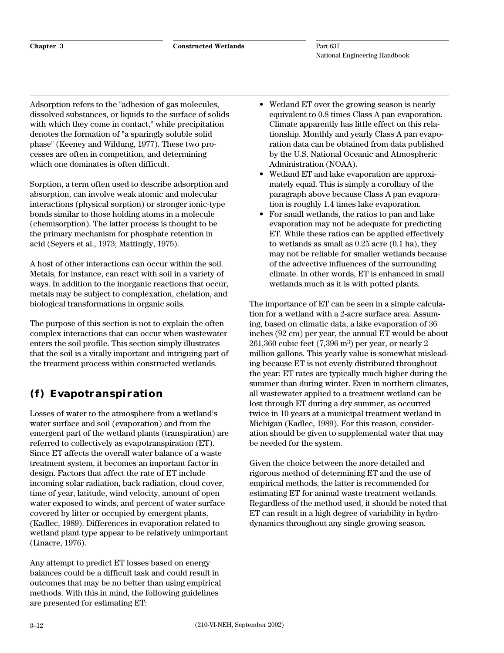Adsorption refers to the "adhesion of gas molecules, dissolved substances, or liquids to the surface of solids with which they come in contact," while precipitation denotes the formation of "a sparingly soluble solid phase" (Keeney and Wildung, 1977). These two processes are often in competition, and determining which one dominates is often difficult.

Sorption, a term often used to describe adsorption and absorption, can involve weak atomic and molecular interactions (physical sorption) or stronger ionic-type bonds similar to those holding atoms in a molecule (chemisorption). The latter process is thought to be the primary mechanism for phosphate retention in acid (Seyers et al., 1973; Mattingly, 1975).

A host of other interactions can occur within the soil. Metals, for instance, can react with soil in a variety of ways. In addition to the inorganic reactions that occur, metals may be subject to complexation, chelation, and biological transformations in organic soils.

The purpose of this section is not to explain the often complex interactions that can occur when wastewater enters the soil profile. This section simply illustrates that the soil is a vitally important and intriguing part of the treatment process within constructed wetlands.

## **(f) Evapotranspiration**

Losses of water to the atmosphere from a wetland's water surface and soil (evaporation) and from the emergent part of the wetland plants (transpiration) are referred to collectively as evapotranspiration (ET). Since ET affects the overall water balance of a waste treatment system, it becomes an important factor in design. Factors that affect the rate of ET include incoming solar radiation, back radiation, cloud cover, time of year, latitude, wind velocity, amount of open water exposed to winds, and percent of water surface covered by litter or occupied by emergent plants, (Kadlec, 1989). Differences in evaporation related to wetland plant type appear to be relatively unimportant (Linacre, 1976).

Any attempt to predict ET losses based on energy balances could be a difficult task and could result in outcomes that may be no better than using empirical methods. With this in mind, the following guidelines are presented for estimating ET:

- Wetland ET over the growing season is nearly equivalent to 0.8 times Class A pan evaporation. Climate apparently has little effect on this relationship. Monthly and yearly Class A pan evaporation data can be obtained from data published by the U.S. National Oceanic and Atmospheric Administration (NOAA).
- Wetland ET and lake evaporation are approximately equal. This is simply a corollary of the paragraph above because Class A pan evaporation is roughly 1.4 times lake evaporation.
- For small wetlands, the ratios to pan and lake evaporation may not be adequate for predicting ET. While these ratios can be applied effectively to wetlands as small as 0.25 acre (0.1 ha), they may not be reliable for smaller wetlands because of the advective influences of the surrounding climate. In other words, ET is enhanced in small wetlands much as it is with potted plants.

The importance of ET can be seen in a simple calculation for a wetland with a 2-acre surface area. Assuming, based on climatic data, a lake evaporation of 36 inches (92 cm) per year, the annual ET would be about  $261,360$  cubic feet  $(7,396 \text{ m}^3)$  per year, or nearly 2 million gallons. This yearly value is somewhat misleading because ET is not evenly distributed throughout the year: ET rates are typically much higher during the summer than during winter. Even in northern climates, all wastewater applied to a treatment wetland can be lost through ET during a dry summer, as occurred twice in 10 years at a municipal treatment wetland in Michigan (Kadlec, 1989). For this reason, consideration should be given to supplemental water that may be needed for the system.

Given the choice between the more detailed and rigorous method of determining ET and the use of empirical methods, the latter is recommended for estimating ET for animal waste treatment wetlands. Regardless of the method used, it should be noted that ET can result in a high degree of variability in hydrodynamics throughout any single growing season.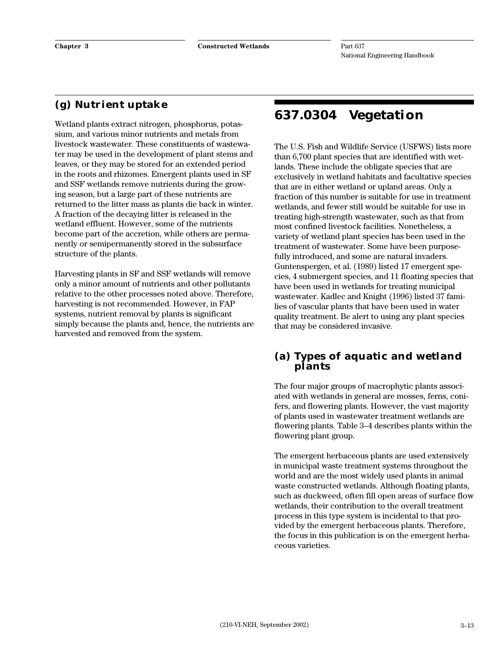## **(g) Nutrient uptake**

Wetland plants extract nitrogen, phosphorus, potassium, and various minor nutrients and metals from livestock wastewater. These constituents of wastewater may be used in the development of plant stems and leaves, or they may be stored for an extended period in the roots and rhizomes. Emergent plants used in SF and SSF wetlands remove nutrients during the growing season, but a large part of these nutrients are returned to the litter mass as plants die back in winter. A fraction of the decaying litter is released in the wetland effluent. However, some of the nutrients become part of the accretion, while others are permanently or semipermanently stored in the subsurface structure of the plants.

Harvesting plants in SF and SSF wetlands will remove only a minor amount of nutrients and other pollutants relative to the other processes noted above. Therefore, harvesting is not recommended. However, in FAP systems, nutrient removal by plants is significant simply because the plants and, hence, the nutrients are harvested and removed from the system.

## **637.0304 Vegetation**

The U.S. Fish and Wildlife Service (USFWS) lists more than 6,700 plant species that are identified with wetlands. These include the obligate species that are exclusively in wetland habitats and facultative species that are in either wetland or upland areas. Only a fraction of this number is suitable for use in treatment wetlands, and fewer still would be suitable for use in treating high-strength wastewater, such as that from most confined livestock facilities. Nonetheless, a variety of wetland plant species has been used in the treatment of wastewater. Some have been purposefully introduced, and some are natural invaders. Guntenspergen, et al. (1989) listed 17 emergent species, 4 submergent species, and 11 floating species that have been used in wetlands for treating municipal wastewater. Kadlec and Knight (1996) listed 37 families of vascular plants that have been used in water quality treatment. Be alert to using any plant species that may be considered invasive.

#### **(a) Types of aquatic and wetland plants**

The four major groups of macrophytic plants associated with wetlands in general are mosses, ferns, conifers, and flowering plants. However, the vast majority of plants used in wastewater treatment wetlands are flowering plants. Table 3–4 describes plants within the flowering plant group.

The emergent herbaceous plants are used extensively in municipal waste treatment systems throughout the world and are the most widely used plants in animal waste constructed wetlands. Although floating plants, such as duckweed, often fill open areas of surface flow wetlands, their contribution to the overall treatment process in this type system is incidental to that provided by the emergent herbaceous plants. Therefore, the focus in this publication is on the emergent herbaceous varieties.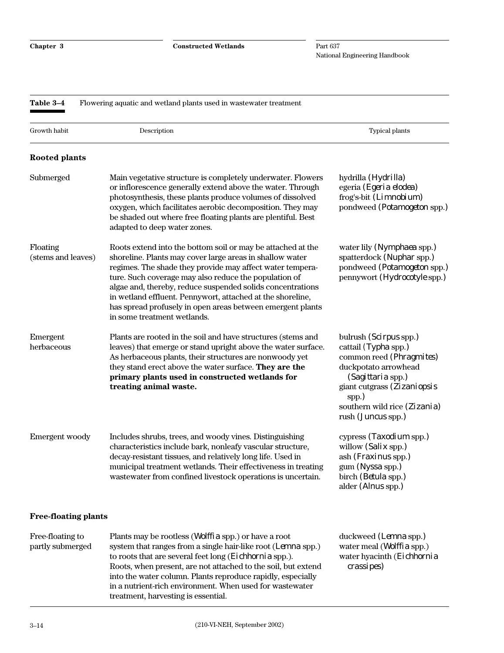**Chapter 3 Constructed Wetlands**

Part 637 National Engineering Handbook

| Table 3-4<br>Flowering aquatic and wetland plants used in wastewater treatment |                                                                                                                                                                                                                                                                                                                                                                                                                                                                        |                                                                                                                                                                                                                              |  |  |
|--------------------------------------------------------------------------------|------------------------------------------------------------------------------------------------------------------------------------------------------------------------------------------------------------------------------------------------------------------------------------------------------------------------------------------------------------------------------------------------------------------------------------------------------------------------|------------------------------------------------------------------------------------------------------------------------------------------------------------------------------------------------------------------------------|--|--|
| Growth habit                                                                   | Description                                                                                                                                                                                                                                                                                                                                                                                                                                                            | Typical plants                                                                                                                                                                                                               |  |  |
| <b>Rooted plants</b>                                                           |                                                                                                                                                                                                                                                                                                                                                                                                                                                                        |                                                                                                                                                                                                                              |  |  |
| Submerged                                                                      | Main vegetative structure is completely underwater. Flowers<br>or inflorescence generally extend above the water. Through<br>photosynthesis, these plants produce volumes of dissolved<br>oxygen, which facilitates aerobic decomposition. They may<br>be shaded out where free floating plants are plentiful. Best<br>adapted to deep water zones.                                                                                                                    | hydrilla ( <i>Hydrilla</i> )<br>egeria (Egeria elodea)<br>frog's-bit (Limnobium)<br>pondweed (Potamogeton spp.)                                                                                                              |  |  |
| Floating<br>(stems and leaves)                                                 | Roots extend into the bottom soil or may be attached at the<br>shoreline. Plants may cover large areas in shallow water<br>regimes. The shade they provide may affect water tempera-<br>ture. Such coverage may also reduce the population of<br>algae and, thereby, reduce suspended solids concentrations<br>in wetland effluent. Pennywort, attached at the shoreline,<br>has spread profusely in open areas between emergent plants<br>in some treatment wetlands. | water lily (Nymphaea spp.)<br>spatterdock (Nuphar spp.)<br>pondweed (Potamogeton spp.)<br>pennywort (Hydrocotyle spp.)                                                                                                       |  |  |
| Emergent<br>herbaceous                                                         | Plants are rooted in the soil and have structures (stems and<br>leaves) that emerge or stand upright above the water surface.<br>As herbaceous plants, their structures are nonwoody yet<br>they stand erect above the water surface. They are the<br>primary plants used in constructed wetlands for<br>treating animal waste.                                                                                                                                        | bulrush (Scirpus spp.)<br>cattail (Typha spp.)<br>common reed (Phragmites)<br>duckpotato arrowhead<br><i>(Sagittaria spp.)</i><br>giant cutgrass (Zizaniopsis<br>spp.)<br>southern wild rice (Zizania)<br>rush (Juncus spp.) |  |  |
| Emergent woody                                                                 | Includes shrubs, trees, and woody vines. Distinguishing<br>characteristics include bark, nonleafy vascular structure,<br>decay-resistant tissues, and relatively long life. Used in<br>municipal treatment wetlands. Their effectiveness in treating<br>wastewater from confined livestock operations is uncertain.                                                                                                                                                    | cypress (Taxodium spp.)<br>willow (Salix spp.)<br>ash ( <i>Fraxinus</i> spp.)<br>gum (Nyssa spp.)<br>birch (Betula spp.)<br>alder (Alnus spp.)                                                                               |  |  |
| <b>Free-floating plants</b>                                                    |                                                                                                                                                                                                                                                                                                                                                                                                                                                                        |                                                                                                                                                                                                                              |  |  |
| Free-floating to<br>partly submerged                                           | Plants may be rootless ( <i>Wolffia</i> spp.) or have a root<br>system that ranges from a single hair-like root (Lemna spp.)<br>to roots that are several feet long (Eichhornia spp.).                                                                                                                                                                                                                                                                                 | duckweed (Lemna spp.)<br>water meal ( <i>Wolffia</i> spp.)<br>water hyacinth (Eichhornia                                                                                                                                     |  |  |

into the water column. Plants reproduce rapidly, especially in a nutrient-rich environment. When used for wastewater

treatment, harvesting is essential.

Roots, when present, are not attached to the soil, but extend *crassipes)*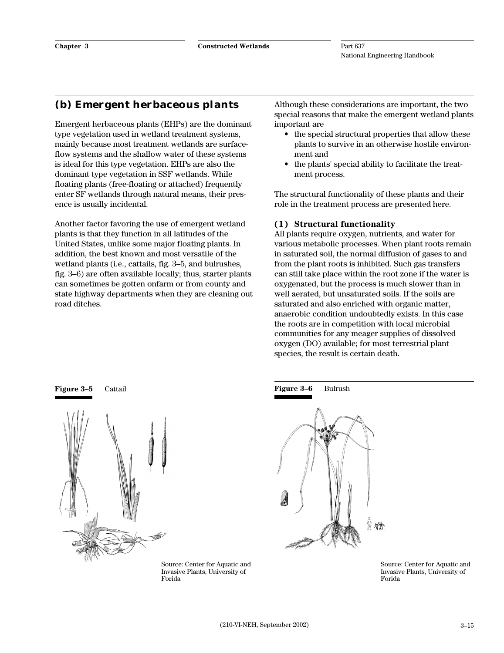## **(b) Emergent herbaceous plants**

Emergent herbaceous plants (EHPs) are the dominant type vegetation used in wetland treatment systems, mainly because most treatment wetlands are surfaceflow systems and the shallow water of these systems is ideal for this type vegetation. EHPs are also the dominant type vegetation in SSF wetlands. While floating plants (free-floating or attached) frequently enter SF wetlands through natural means, their presence is usually incidental.

Another factor favoring the use of emergent wetland plants is that they function in all latitudes of the United States, unlike some major floating plants. In addition, the best known and most versatile of the wetland plants (i.e., cattails, fig. 3–5, and bulrushes, fig. 3–6) are often available locally; thus, starter plants can sometimes be gotten onfarm or from county and state highway departments when they are cleaning out road ditches.

Although these considerations are important, the two special reasons that make the emergent wetland plants important are

- the special structural properties that allow these plants to survive in an otherwise hostile environment and
- the plants' special ability to facilitate the treatment process.

The structural functionality of these plants and their role in the treatment process are presented here.

#### **(1) Structural functionality**

All plants require oxygen, nutrients, and water for various metabolic processes. When plant roots remain in saturated soil, the normal diffusion of gases to and from the plant roots is inhibited. Such gas transfers can still take place within the root zone if the water is oxygenated, but the process is much slower than in well aerated, but unsaturated soils. If the soils are saturated and also enriched with organic matter, anaerobic condition undoubtedly exists. In this case the roots are in competition with local microbial communities for any meager supplies of dissolved oxygen (DO) available; for most terrestrial plant species, the result is certain death.



Source: Center for Aquatic and Invasive Plants, University of Forida



Source: Center for Aquatic and Invasive Plants, University of Forida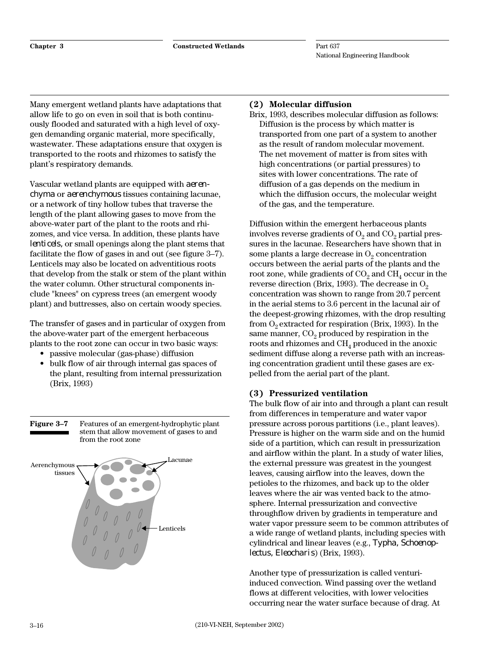Many emergent wetland plants have adaptations that allow life to go on even in soil that is both continuously flooded and saturated with a high level of oxygen demanding organic material, more specifically, wastewater. These adaptations ensure that oxygen is transported to the roots and rhizomes to satisfy the plant's respiratory demands.

Vascular wetland plants are equipped with *aerenchyma* or *aerenchymous* tissues containing lacunae, or a network of tiny hollow tubes that traverse the length of the plant allowing gases to move from the above-water part of the plant to the roots and rhizomes, and vice versa. In addition, these plants have *lenticels,* or small openings along the plant stems that facilitate the flow of gases in and out (see figure 3–7). Lenticels may also be located on adventitious roots that develop from the stalk or stem of the plant within the water column. Other structural components include "knees" on cypress trees (an emergent woody plant) and buttresses, also on certain woody species.

The transfer of gases and in particular of oxygen from the above-water part of the emergent herbaceous plants to the root zone can occur in two basic ways:

- passive molecular (gas-phase) diffusion
- bulk flow of air through internal gas spaces of the plant, resulting from internal pressurization (Brix, 1993)

**Figure 3–7** Features of an emergent-hydrophytic plant stem that allow movement of gases to and from the root zone



#### **(2) Molecular diffusion**

Brix, 1993, describes molecular diffusion as follows: Diffusion is the process by which matter is transported from one part of a system to another as the result of random molecular movement. The net movement of matter is from sites with high concentrations (or partial pressures) to sites with lower concentrations. The rate of diffusion of a gas depends on the medium in which the diffusion occurs, the molecular weight of the gas, and the temperature.

Diffusion within the emergent herbaceous plants involves reverse gradients of  $O<sub>2</sub>$  and  $CO<sub>2</sub>$  partial pressures in the lacunae. Researchers have shown that in some plants a large decrease in  $O_2$  concentration occurs between the aerial parts of the plants and the root zone, while gradients of  $CO<sub>2</sub>$  and  $CH<sub>4</sub>$  occur in the reverse direction (Brix, 1993). The decrease in  $O<sub>2</sub>$ concentration was shown to range from 20.7 percent in the aerial stems to 3.6 percent in the lacunal air of the deepest-growing rhizomes, with the drop resulting from  $O<sub>2</sub>$  extracted for respiration (Brix, 1993). In the same manner,  $CO<sub>2</sub>$  produced by respiration in the roots and rhizomes and  $CH<sub>4</sub>$  produced in the anoxic sediment diffuse along a reverse path with an increasing concentration gradient until these gases are expelled from the aerial part of the plant.

#### **(3) Pressurized ventilation**

The bulk flow of air into and through a plant can result from differences in temperature and water vapor pressure across porous partitions (i.e., plant leaves). Pressure is higher on the warm side and on the humid side of a partition, which can result in pressurization and airflow within the plant. In a study of water lilies, the external pressure was greatest in the youngest leaves, causing airflow into the leaves, down the petioles to the rhizomes, and back up to the older leaves where the air was vented back to the atmosphere. Internal pressurization and convective throughflow driven by gradients in temperature and water vapor pressure seem to be common attributes of a wide range of wetland plants, including species with cylindrical and linear leaves (e.g., *Typha, Schoenoplectus, Eleocharis*) (Brix, 1993).

Another type of pressurization is called venturiinduced convection. Wind passing over the wetland flows at different velocities, with lower velocities occurring near the water surface because of drag. At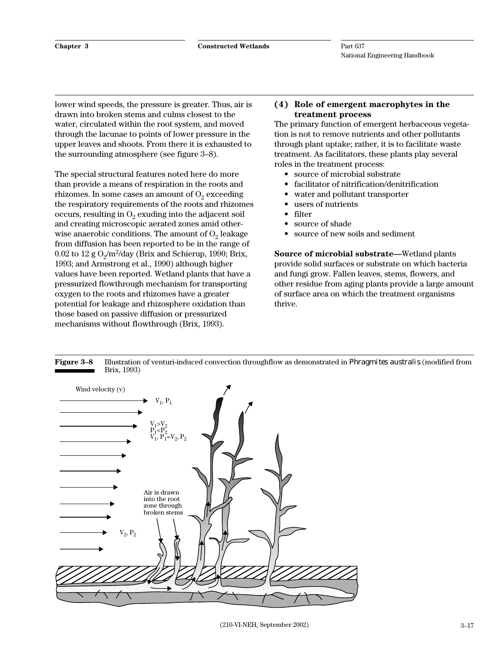lower wind speeds, the pressure is greater. Thus, air is drawn into broken stems and culms closest to the water, circulated within the root system, and moved through the lacunae to points of lower pressure in the upper leaves and shoots. From there it is exhausted to the surrounding atmosphere (see figure 3–8).

The special structural features noted here do more than provide a means of respiration in the roots and rhizomes. In some cases an amount of  $O<sub>2</sub>$  exceeding the respiratory requirements of the roots and rhizomes occurs, resulting in  $O_2$  exuding into the adjacent soil and creating microscopic aerated zones amid otherwise anaerobic conditions. The amount of  $O<sub>2</sub>$  leakage from diffusion has been reported to be in the range of  $0.02$  to  $12$  g  $O_2/m^2$ /day (Brix and Schierup, 1990; Brix, 1993; and Armstrong et al., 1990) although higher values have been reported. Wetland plants that have a pressurized flowthrough mechanism for transporting oxygen to the roots and rhizomes have a greater potential for leakage and rhizosphere oxidation than those based on passive diffusion or pressurized mechanisms without flowthrough (Brix, 1993).

#### **(4) Role of emergent macrophytes in the treatment process**

The primary function of emergent herbaceous vegetation is not to remove nutrients and other pollutants through plant uptake; rather, it is to facilitate waste treatment. As facilitators, these plants play several roles in the treatment process:

- source of microbial substrate
- facilitator of nitrification/denitrification
- water and pollutant transporter
- users of nutrients
- filter
- source of shade
- source of new soils and sediment

**Source of microbial substrate—**Wetland plants provide solid surfaces or substrate on which bacteria and fungi grow. Fallen leaves, stems, flowers, and other residue from aging plants provide a large amount of surface area on which the treatment organisms thrive.

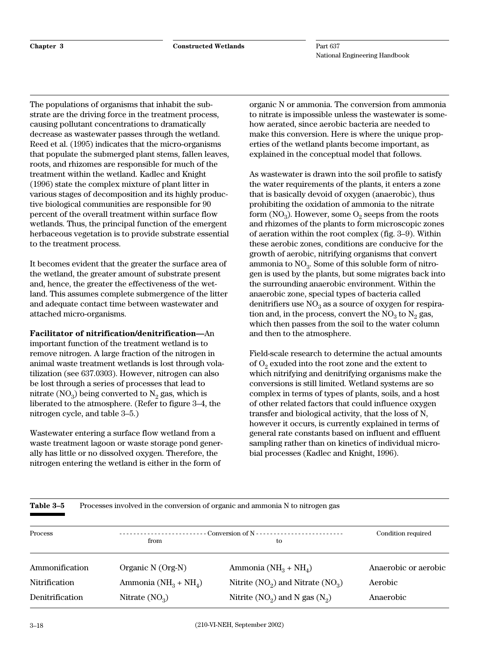The populations of organisms that inhabit the substrate are the driving force in the treatment process, causing pollutant concentrations to dramatically decrease as wastewater passes through the wetland. Reed et al. (1995) indicates that the micro-organisms that populate the submerged plant stems, fallen leaves, roots, and rhizomes are responsible for much of the treatment within the wetland. Kadlec and Knight (1996) state the complex mixture of plant litter in various stages of decomposition and its highly productive biological communities are responsible for 90 percent of the overall treatment within surface flow wetlands. Thus, the principal function of the emergent herbaceous vegetation is to provide substrate essential to the treatment process.

It becomes evident that the greater the surface area of the wetland, the greater amount of substrate present and, hence, the greater the effectiveness of the wetland. This assumes complete submergence of the litter and adequate contact time between wastewater and attached micro-organisms.

**Facilitator of nitrification/denitrification—**An important function of the treatment wetland is to remove nitrogen. A large fraction of the nitrogen in animal waste treatment wetlands is lost through volatilization (see 637.0303). However, nitrogen can also be lost through a series of processes that lead to nitrate  $(NO_3)$  being converted to  $N_2$  gas, which is liberated to the atmosphere. (Refer to figure 3–4, the nitrogen cycle, and table 3–5.)

Wastewater entering a surface flow wetland from a waste treatment lagoon or waste storage pond generally has little or no dissolved oxygen. Therefore, the nitrogen entering the wetland is either in the form of

organic N or ammonia. The conversion from ammonia to nitrate is impossible unless the wastewater is somehow aerated, since aerobic bacteria are needed to make this conversion. Here is where the unique properties of the wetland plants become important, as explained in the conceptual model that follows.

As wastewater is drawn into the soil profile to satisfy the water requirements of the plants, it enters a zone that is basically devoid of oxygen (anaerobic), thus prohibiting the oxidation of ammonia to the nitrate form  $NO_3$ ). However, some  $O_2$  seeps from the roots and rhizomes of the plants to form microscopic zones of aeration within the root complex (fig. 3–9). Within these aerobic zones, conditions are conducive for the growth of aerobic, nitrifying organisms that convert ammonia to  $NO<sub>3</sub>$ . Some of this soluble form of nitrogen is used by the plants, but some migrates back into the surrounding anaerobic environment. Within the anaerobic zone, special types of bacteria called denitrifiers use  $NO<sub>3</sub>$  as a source of oxygen for respiration and, in the process, convert the  $NO<sub>3</sub>$  to  $N<sub>2</sub>$  gas, which then passes from the soil to the water column and then to the atmosphere.

Field-scale research to determine the actual amounts of  $O_2$  exuded into the root zone and the extent to which nitrifying and denitrifying organisms make the conversions is still limited. Wetland systems are so complex in terms of types of plants, soils, and a host of other related factors that could influence oxygen transfer and biological activity, that the loss of N, however it occurs, is currently explained in terms of general rate constants based on influent and effluent sampling rather than on kinetics of individual microbial processes (Kadlec and Knight, 1996).

| Table 3-5       |                               | Processes involved in the conversion of organic and ammonia N to nitrogen gas |                      |
|-----------------|-------------------------------|-------------------------------------------------------------------------------|----------------------|
| Process         | ---------------------<br>from | to                                                                            | Condition required   |
| Ammonification  | Organic N (Org-N)             | Ammonia ( $NH_3 + NH_4$ )                                                     | Anaerobic or aerobic |
| Nitrification   | Ammonia ( $NH_3 + NH_4$ )     | Nitrite $(NO_2)$ and Nitrate $(NO_3)$                                         | Aerobic              |
| Denitrification | Nitrate $(NO_3)$              | Nitrite $(NO_2)$ and N gas $(N_2)$                                            | Anaerobic            |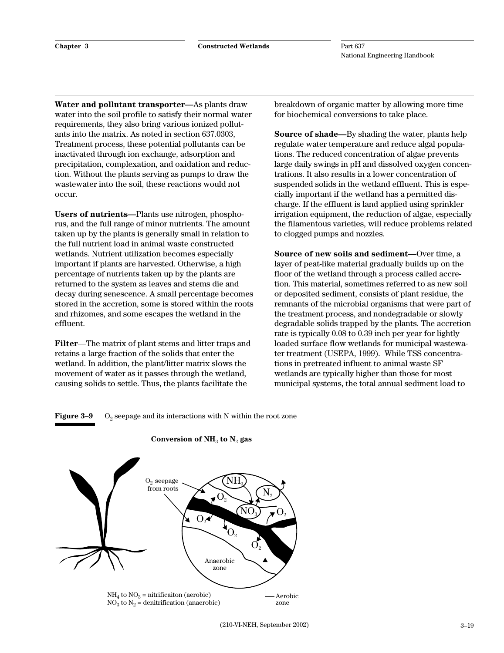**Water and pollutant transporter—**As plants draw water into the soil profile to satisfy their normal water requirements, they also bring various ionized pollutants into the matrix. As noted in section 637.0303, Treatment process, these potential pollutants can be inactivated through ion exchange, adsorption and precipitation, complexation, and oxidation and reduction. Without the plants serving as pumps to draw the wastewater into the soil, these reactions would not occur.

**Users of nutrients—**Plants use nitrogen, phosphorus, and the full range of minor nutrients. The amount taken up by the plants is generally small in relation to the full nutrient load in animal waste constructed wetlands. Nutrient utilization becomes especially important if plants are harvested. Otherwise, a high percentage of nutrients taken up by the plants are returned to the system as leaves and stems die and decay during senescence. A small percentage becomes stored in the accretion, some is stored within the roots and rhizomes, and some escapes the wetland in the effluent.

**Filter**—The matrix of plant stems and litter traps and retains a large fraction of the solids that enter the wetland. In addition, the plant/litter matrix slows the movement of water as it passes through the wetland, causing solids to settle. Thus, the plants facilitate the

breakdown of organic matter by allowing more time for biochemical conversions to take place.

**Source of shade—**By shading the water, plants help regulate water temperature and reduce algal populations. The reduced concentration of algae prevents large daily swings in pH and dissolved oxygen concentrations. It also results in a lower concentration of suspended solids in the wetland effluent. This is especially important if the wetland has a permitted discharge. If the effluent is land applied using sprinkler irrigation equipment, the reduction of algae, especially the filamentous varieties, will reduce problems related to clogged pumps and nozzles.

**Source of new soils and sediment—**Over time, a layer of peat-like material gradually builds up on the floor of the wetland through a process called accretion. This material, sometimes referred to as new soil or deposited sediment, consists of plant residue, the remnants of the microbial organisms that were part of the treatment process, and nondegradable or slowly degradable solids trapped by the plants. The accretion rate is typically 0.08 to 0.39 inch per year for lightly loaded surface flow wetlands for municipal wastewater treatment (USEPA, 1999). While TSS concentrations in pretreated influent to animal waste SF wetlands are typically higher than those for most municipal systems, the total annual sediment load to

#### **Figure 3–9**  $O_2$  seepage and its interactions with N within the root zone



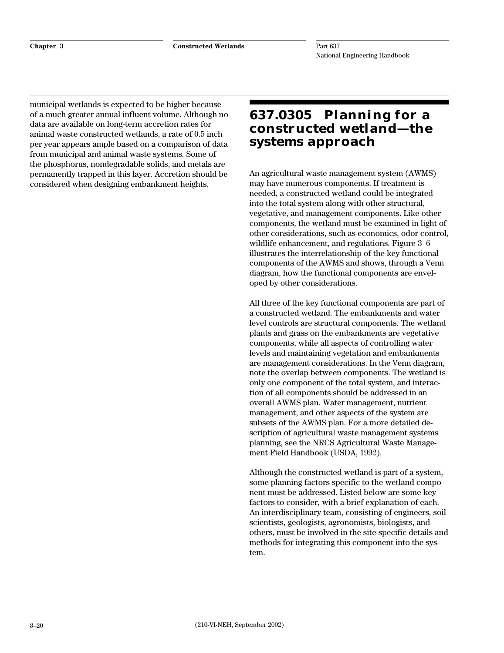municipal wetlands is expected to be higher because of a much greater annual influent volume. Although no data are available on long-term accretion rates for animal waste constructed wetlands, a rate of 0.5 inch per year appears ample based on a comparison of data from municipal and animal waste systems. Some of the phosphorus, nondegradable solids, and metals are permanently trapped in this layer. Accretion should be considered when designing embankment heights.

## **637.0305 Planning for a constructed wetland—the systems approach**

An agricultural waste management system (AWMS) may have numerous components. If treatment is needed, a constructed wetland could be integrated into the total system along with other structural, vegetative, and management components. Like other components, the wetland must be examined in light of other considerations, such as economics, odor control, wildlife enhancement, and regulations. Figure 3–6 illustrates the interrelationship of the key functional components of the AWMS and shows, through a Venn diagram, how the functional components are enveloped by other considerations.

All three of the key functional components are part of a constructed wetland. The embankments and water level controls are structural components. The wetland plants and grass on the embankments are vegetative components, while all aspects of controlling water levels and maintaining vegetation and embankments are management considerations. In the Venn diagram, note the overlap between components. The wetland is only one component of the total system, and interaction of all components should be addressed in an overall AWMS plan. Water management, nutrient management, and other aspects of the system are subsets of the AWMS plan. For a more detailed description of agricultural waste management systems planning, see the NRCS Agricultural Waste Management Field Handbook (USDA, 1992).

Although the constructed wetland is part of a system, some planning factors specific to the wetland component must be addressed. Listed below are some key factors to consider, with a brief explanation of each. An interdisciplinary team, consisting of engineers, soil scientists, geologists, agronomists, biologists, and others, must be involved in the site-specific details and methods for integrating this component into the system.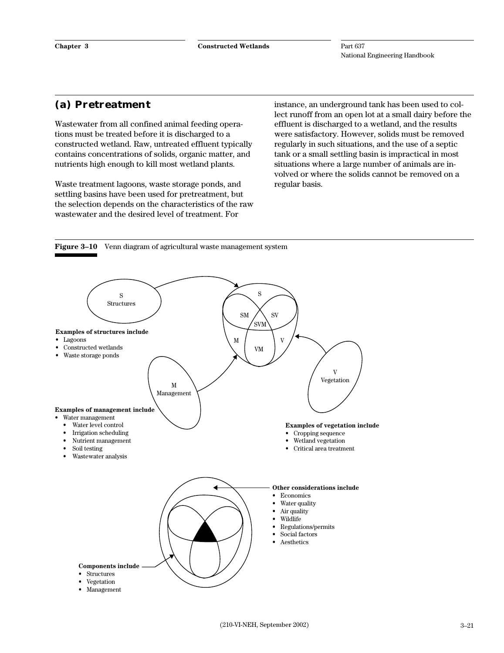#### **(a) Pretreatment**

Wastewater from all confined animal feeding operations must be treated before it is discharged to a constructed wetland. Raw, untreated effluent typically contains concentrations of solids, organic matter, and nutrients high enough to kill most wetland plants.

Waste treatment lagoons, waste storage ponds, and settling basins have been used for pretreatment, but the selection depends on the characteristics of the raw wastewater and the desired level of treatment. For

instance, an underground tank has been used to collect runoff from an open lot at a small dairy before the effluent is discharged to a wetland, and the results were satisfactory. However, solids must be removed regularly in such situations, and the use of a septic tank or a small settling basin is impractical in most situations where a large number of animals are involved or where the solids cannot be removed on a regular basis.



**Figure 3–10** Venn diagram of agricultural waste management system

Management



- Lagoons
- Constructed wetlands
- Waste storage ponds

**Examples of management include**

- Water management
- Water level control<br>• Irrigation scheduling
- Irrigation scheduling
- Nutrient management
- Soil testing
- Wastewater analysis



 $M / V$ SVM

 $SM / \ N$ 

VM

M Vegetation

V

**Examples of vegetation include** • Cropping sequence • Wetland vegetation • Critical area treatment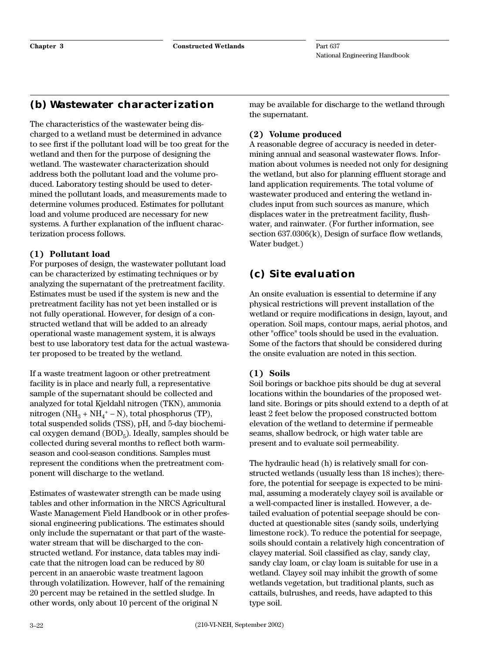### **(b) Wastewater characterization**

The characteristics of the wastewater being discharged to a wetland must be determined in advance to see first if the pollutant load will be too great for the wetland and then for the purpose of designing the wetland. The wastewater characterization should address both the pollutant load and the volume produced. Laboratory testing should be used to determined the pollutant loads, and measurements made to determine volumes produced. Estimates for pollutant load and volume produced are necessary for new systems. A further explanation of the influent characterization process follows.

#### **(1) Pollutant load**

For purposes of design, the wastewater pollutant load can be characterized by estimating techniques or by analyzing the supernatant of the pretreatment facility. Estimates must be used if the system is new and the pretreatment facility has not yet been installed or is not fully operational. However, for design of a constructed wetland that will be added to an already operational waste management system, it is always best to use laboratory test data for the actual wastewater proposed to be treated by the wetland.

If a waste treatment lagoon or other pretreatment facility is in place and nearly full, a representative sample of the supernatant should be collected and analyzed for total Kjeldahl nitrogen (TKN), ammonia nitrogen (NH<sub>3</sub> + NH<sub>4</sub><sup>+</sup> – N), total phosphorus (TP), total suspended solids (TSS), pH, and 5-day biochemical oxygen demand  $(BOD<sub>5</sub>)$ . Ideally, samples should be collected during several months to reflect both warmseason and cool-season conditions. Samples must represent the conditions when the pretreatment component will discharge to the wetland.

Estimates of wastewater strength can be made using tables and other information in the NRCS Agricultural Waste Management Field Handbook or in other professional engineering publications. The estimates should only include the supernatant or that part of the wastewater stream that will be discharged to the constructed wetland. For instance, data tables may indicate that the nitrogen load can be reduced by 80 percent in an anaerobic waste treatment lagoon through volatilization. However, half of the remaining 20 percent may be retained in the settled sludge. In other words, only about 10 percent of the original N

may be available for discharge to the wetland through the supernatant.

#### **(2) Volume produced**

A reasonable degree of accuracy is needed in determining annual and seasonal wastewater flows. Information about volumes is needed not only for designing the wetland, but also for planning effluent storage and land application requirements. The total volume of wastewater produced and entering the wetland includes input from such sources as manure, which displaces water in the pretreatment facility, flushwater, and rainwater. (For further information, see section 637.0306(k), Design of surface flow wetlands, Water budget.)

## **(c) Site evaluation**

An onsite evaluation is essential to determine if any physical restrictions will prevent installation of the wetland or require modifications in design, layout, and operation. Soil maps, contour maps, aerial photos, and other "office" tools should be used in the evaluation. Some of the factors that should be considered during the onsite evaluation are noted in this section.

#### **(1) Soils**

Soil borings or backhoe pits should be dug at several locations within the boundaries of the proposed wetland site. Borings or pits should extend to a depth of at least 2 feet below the proposed constructed bottom elevation of the wetland to determine if permeable seams, shallow bedrock, or high water table are present and to evaluate soil permeability.

The hydraulic head (h) is relatively small for constructed wetlands (usually less than 18 inches); therefore, the potential for seepage is expected to be minimal, assuming a moderately clayey soil is available or a well-compacted liner is installed. However, a detailed evaluation of potential seepage should be conducted at questionable sites (sandy soils, underlying limestone rock). To reduce the potential for seepage, soils should contain a relatively high concentration of clayey material. Soil classified as clay, sandy clay, sandy clay loam, or clay loam is suitable for use in a wetland. Clayey soil may inhibit the growth of some wetlands vegetation, but traditional plants, such as cattails, bulrushes, and reeds, have adapted to this type soil.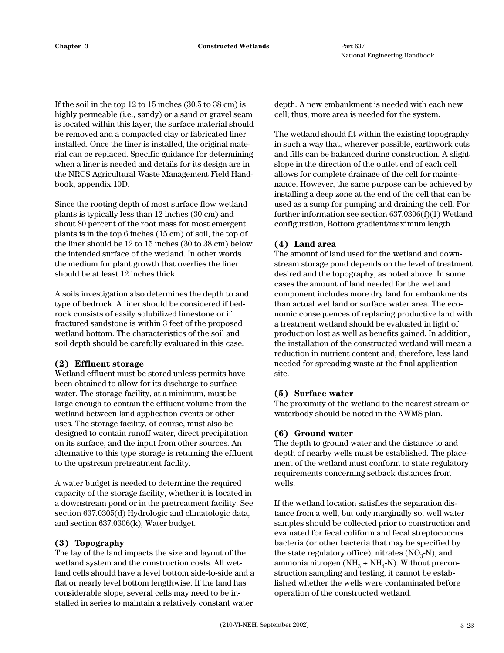If the soil in the top 12 to 15 inches (30.5 to 38 cm) is highly permeable (i.e., sandy) or a sand or gravel seam is located within this layer, the surface material should be removed and a compacted clay or fabricated liner installed. Once the liner is installed, the original material can be replaced. Specific guidance for determining when a liner is needed and details for its design are in the NRCS Agricultural Waste Management Field Handbook, appendix 10D.

Since the rooting depth of most surface flow wetland plants is typically less than 12 inches (30 cm) and about 80 percent of the root mass for most emergent plants is in the top 6 inches (15 cm) of soil, the top of the liner should be 12 to 15 inches (30 to 38 cm) below the intended surface of the wetland. In other words the medium for plant growth that overlies the liner should be at least 12 inches thick.

A soils investigation also determines the depth to and type of bedrock. A liner should be considered if bedrock consists of easily solubilized limestone or if fractured sandstone is within 3 feet of the proposed wetland bottom. The characteristics of the soil and soil depth should be carefully evaluated in this case.

#### **(2) Effluent storage**

Wetland effluent must be stored unless permits have been obtained to allow for its discharge to surface water. The storage facility, at a minimum, must be large enough to contain the effluent volume from the wetland between land application events or other uses. The storage facility, of course, must also be designed to contain runoff water, direct precipitation on its surface, and the input from other sources. An alternative to this type storage is returning the effluent to the upstream pretreatment facility.

A water budget is needed to determine the required capacity of the storage facility, whether it is located in a downstream pond or in the pretreatment facility. See section 637.0305(d) Hydrologic and climatologic data, and section 637.0306(k), Water budget.

#### **(3) Topography**

The lay of the land impacts the size and layout of the wetland system and the construction costs. All wetland cells should have a level bottom side-to-side and a flat or nearly level bottom lengthwise. If the land has considerable slope, several cells may need to be installed in series to maintain a relatively constant water

depth. A new embankment is needed with each new cell; thus, more area is needed for the system.

The wetland should fit within the existing topography in such a way that, wherever possible, earthwork cuts and fills can be balanced during construction. A slight slope in the direction of the outlet end of each cell allows for complete drainage of the cell for maintenance. However, the same purpose can be achieved by installing a deep zone at the end of the cell that can be used as a sump for pumping and draining the cell. For further information see section 637.0306(f)(1) Wetland configuration, Bottom gradient/maximum length.

#### **(4) Land area**

The amount of land used for the wetland and downstream storage pond depends on the level of treatment desired and the topography, as noted above. In some cases the amount of land needed for the wetland component includes more dry land for embankments than actual wet land or surface water area. The economic consequences of replacing productive land with a treatment wetland should be evaluated in light of production lost as well as benefits gained. In addition, the installation of the constructed wetland will mean a reduction in nutrient content and, therefore, less land needed for spreading waste at the final application site.

#### **(5) Surface water**

The proximity of the wetland to the nearest stream or waterbody should be noted in the AWMS plan.

#### **(6) Ground water**

The depth to ground water and the distance to and depth of nearby wells must be established. The placement of the wetland must conform to state regulatory requirements concerning setback distances from wells.

If the wetland location satisfies the separation distance from a well, but only marginally so, well water samples should be collected prior to construction and evaluated for fecal coliform and fecal streptococcus bacteria (or other bacteria that may be specified by the state regulatory office), nitrates  $(NO<sub>3</sub>-N)$ , and ammonia nitrogen ( $NH_3 + NH_4-N$ ). Without preconstruction sampling and testing, it cannot be established whether the wells were contaminated before operation of the constructed wetland.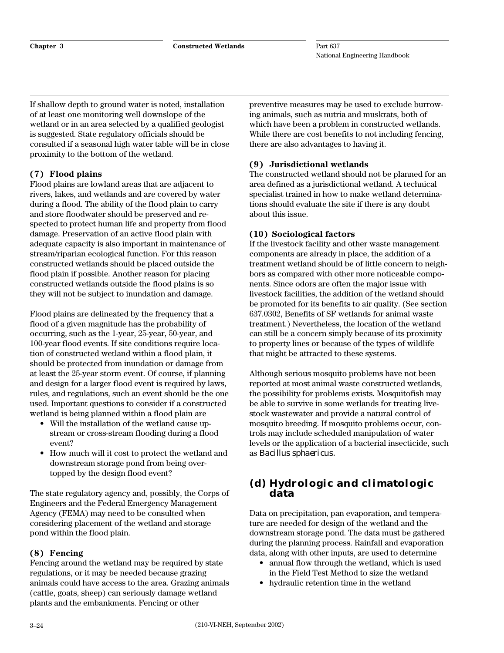If shallow depth to ground water is noted, installation of at least one monitoring well downslope of the wetland or in an area selected by a qualified geologist is suggested. State regulatory officials should be consulted if a seasonal high water table will be in close proximity to the bottom of the wetland.

#### **(7) Flood plains**

Flood plains are lowland areas that are adjacent to rivers, lakes, and wetlands and are covered by water during a flood. The ability of the flood plain to carry and store floodwater should be preserved and respected to protect human life and property from flood damage. Preservation of an active flood plain with adequate capacity is also important in maintenance of stream/riparian ecological function. For this reason constructed wetlands should be placed outside the flood plain if possible. Another reason for placing constructed wetlands outside the flood plains is so they will not be subject to inundation and damage.

Flood plains are delineated by the frequency that a flood of a given magnitude has the probability of occurring, such as the 1-year, 25-year, 50-year, and 100-year flood events. If site conditions require location of constructed wetland within a flood plain, it should be protected from inundation or damage from at least the 25-year storm event. Of course, if planning and design for a larger flood event is required by laws, rules, and regulations, such an event should be the one used. Important questions to consider if a constructed wetland is being planned within a flood plain are

- Will the installation of the wetland cause upstream or cross-stream flooding during a flood event?
- How much will it cost to protect the wetland and downstream storage pond from being overtopped by the design flood event?

The state regulatory agency and, possibly, the Corps of Engineers and the Federal Emergency Management Agency (FEMA) may need to be consulted when considering placement of the wetland and storage pond within the flood plain.

#### **(8) Fencing**

Fencing around the wetland may be required by state regulations, or it may be needed because grazing animals could have access to the area. Grazing animals (cattle, goats, sheep) can seriously damage wetland plants and the embankments. Fencing or other

preventive measures may be used to exclude burrowing animals, such as nutria and muskrats, both of which have been a problem in constructed wetlands. While there are cost benefits to not including fencing, there are also advantages to having it.

#### **(9) Jurisdictional wetlands**

The constructed wetland should not be planned for an area defined as a jurisdictional wetland. A technical specialist trained in how to make wetland determinations should evaluate the site if there is any doubt about this issue.

#### **(10) Sociological factors**

If the livestock facility and other waste management components are already in place, the addition of a treatment wetland should be of little concern to neighbors as compared with other more noticeable components. Since odors are often the major issue with livestock facilities, the addition of the wetland should be promoted for its benefits to air quality. (See section 637.0302, Benefits of SF wetlands for animal waste treatment.) Nevertheless, the location of the wetland can still be a concern simply because of its proximity to property lines or because of the types of wildlife that might be attracted to these systems.

Although serious mosquito problems have not been reported at most animal waste constructed wetlands, the possibility for problems exists. Mosquitofish may be able to survive in some wetlands for treating livestock wastewater and provide a natural control of mosquito breeding. If mosquito problems occur, controls may include scheduled manipulation of water levels or the application of a bacterial insecticide, such as *Bacillus sphaericus.*

#### **(d) Hydrologic and climatologic data**

Data on precipitation, pan evaporation, and temperature are needed for design of the wetland and the downstream storage pond. The data must be gathered during the planning process. Rainfall and evaporation data, along with other inputs, are used to determine

- annual flow through the wetland, which is used in the Field Test Method to size the wetland
- hydraulic retention time in the wetland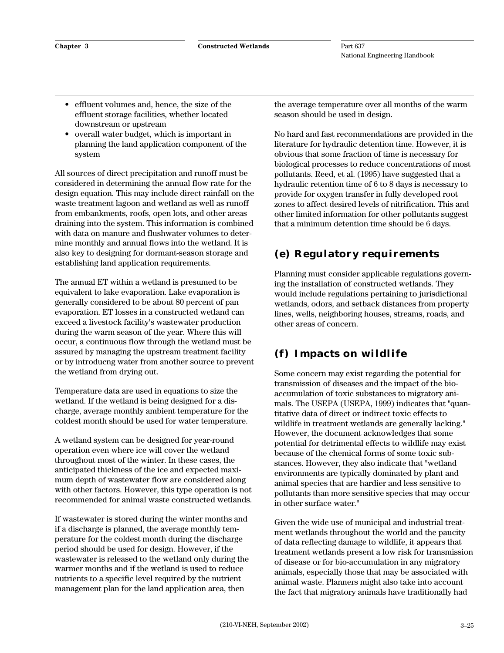- effluent volumes and, hence, the size of the effluent storage facilities, whether located downstream or upstream
- overall water budget, which is important in planning the land application component of the system

All sources of direct precipitation and runoff must be considered in determining the annual flow rate for the design equation. This may include direct rainfall on the waste treatment lagoon and wetland as well as runoff from embankments, roofs, open lots, and other areas draining into the system. This information is combined with data on manure and flushwater volumes to determine monthly and annual flows into the wetland. It is also key to designing for dormant-season storage and establishing land application requirements.

The annual ET within a wetland is presumed to be equivalent to lake evaporation. Lake evaporation is generally considered to be about 80 percent of pan evaporation. ET losses in a constructed wetland can exceed a livestock facility's wastewater production during the warm season of the year. Where this will occur, a continuous flow through the wetland must be assured by managing the upstream treatment facility or by introducng water from another source to prevent the wetland from drying out.

Temperature data are used in equations to size the wetland. If the wetland is being designed for a discharge, average monthly ambient temperature for the coldest month should be used for water temperature.

A wetland system can be designed for year-round operation even where ice will cover the wetland throughout most of the winter. In these cases, the anticipated thickness of the ice and expected maximum depth of wastewater flow are considered along with other factors. However, this type operation is not recommended for animal waste constructed wetlands.

If wastewater is stored during the winter months and if a discharge is planned, the average monthly temperature for the coldest month during the discharge period should be used for design. However, if the wastewater is released to the wetland only during the warmer months and if the wetland is used to reduce nutrients to a specific level required by the nutrient management plan for the land application area, then

the average temperature over all months of the warm season should be used in design.

No hard and fast recommendations are provided in the literature for hydraulic detention time. However, it is obvious that some fraction of time is necessary for biological processes to reduce concentrations of most pollutants. Reed, et al. (1995) have suggested that a hydraulic retention time of 6 to 8 days is necessary to provide for oxygen transfer in fully developed root zones to affect desired levels of nitrification. This and other limited information for other pollutants suggest that a minimum detention time should be 6 days.

## **(e) Regulatory requirements**

Planning must consider applicable regulations governing the installation of constructed wetlands. They would include regulations pertaining to jurisdictional wetlands, odors, and setback distances from property lines, wells, neighboring houses, streams, roads, and other areas of concern.

## **(f) Impacts on wildlife**

Some concern may exist regarding the potential for transmission of diseases and the impact of the bioaccumulation of toxic substances to migratory animals. The USEPA (USEPA, 1999) indicates that "quantitative data of direct or indirect toxic effects to wildlife in treatment wetlands are generally lacking." However, the document acknowledges that some potential for detrimental effects to wildlife may exist because of the chemical forms of some toxic substances. However, they also indicate that "wetland environments are typically dominated by plant and animal species that are hardier and less sensitive to pollutants than more sensitive species that may occur in other surface water."

Given the wide use of municipal and industrial treatment wetlands throughout the world and the paucity of data reflecting damage to wildlife, it appears that treatment wetlands present a low risk for transmission of disease or for bio-accumulation in any migratory animals, especially those that may be associated with animal waste. Planners might also take into account the fact that migratory animals have traditionally had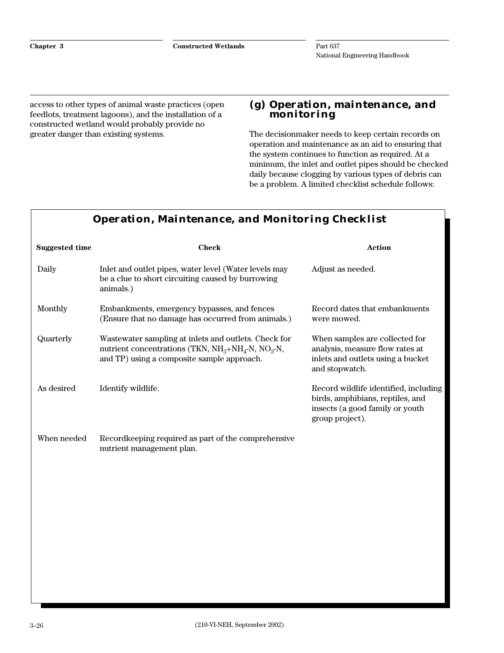access to other types of animal waste practices (open feedlots, treatment lagoons), and the installation of a constructed wetland would probably provide no greater danger than existing systems.

#### **(g) Operation, maintenance, and monitoring**

The decisionmaker needs to keep certain records on operation and maintenance as an aid to ensuring that the system continues to function as required. At a minimum, the inlet and outlet pipes should be checked daily because clogging by various types of debris can be a problem. A limited checklist schedule follows:

|                       | Operation, Maintenance, and Monitoring Checklist                                                                                                                 |                                                                                                                                 |
|-----------------------|------------------------------------------------------------------------------------------------------------------------------------------------------------------|---------------------------------------------------------------------------------------------------------------------------------|
| <b>Suggested time</b> | <b>Check</b>                                                                                                                                                     | <b>Action</b>                                                                                                                   |
| Daily                 | Inlet and outlet pipes, water level (Water levels may<br>be a clue to short circuiting caused by burrowing<br>animals.)                                          | Adjust as needed.                                                                                                               |
| Monthly               | Embankments, emergency bypasses, and fences<br>(Ensure that no damage has occurred from animals.)                                                                | Record dates that embankments<br>were mowed.                                                                                    |
| Quarterly             | Wastewater sampling at inlets and outlets. Check for<br>nutrient concentrations (TKN, $NH_3 + NH_4$ -N, $NO_3$ -N,<br>and TP) using a composite sample approach. | When samples are collected for<br>analysis, measure flow rates at<br>inlets and outlets using a bucket<br>and stopwatch.        |
| As desired            | Identify wildlife.                                                                                                                                               | Record wildlife identified, including<br>birds, amphibians, reptiles, and<br>insects (a good family or youth<br>group project). |
| When needed           | Recordkeeping required as part of the comprehensive<br>nutrient management plan.                                                                                 |                                                                                                                                 |
|                       |                                                                                                                                                                  |                                                                                                                                 |

#### **Operation, Maintenance, and Monitoring Checklist**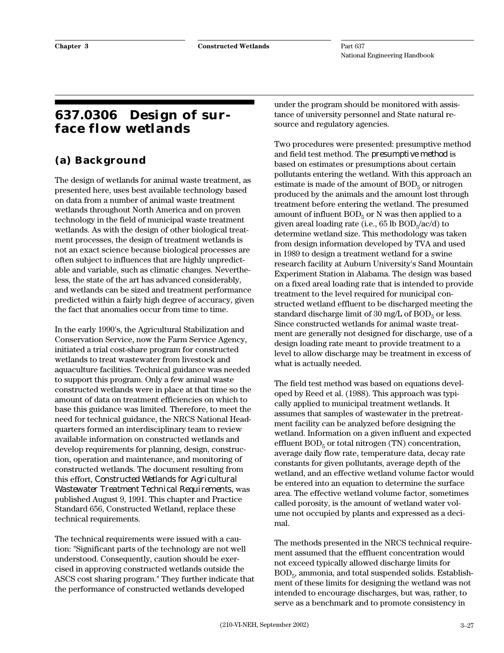## **637.0306 Design of surface flow wetlands**

## **(a) Background**

The design of wetlands for animal waste treatment, as presented here, uses best available technology based on data from a number of animal waste treatment wetlands throughout North America and on proven technology in the field of municipal waste treatment wetlands. As with the design of other biological treatment processes, the design of treatment wetlands is not an exact science because biological processes are often subject to influences that are highly unpredictable and variable, such as climatic changes. Nevertheless, the state of the art has advanced considerably, and wetlands can be sized and treatment performance predicted within a fairly high degree of accuracy, given the fact that anomalies occur from time to time.

In the early 1990's, the Agricultural Stabilization and Conservation Service, now the Farm Service Agency, initiated a trial cost-share program for constructed wetlands to treat wastewater from livestock and aquaculture facilities. Technical guidance was needed to support this program. Only a few animal waste constructed wetlands were in place at that time so the amount of data on treatment efficiencies on which to base this guidance was limited. Therefore, to meet the need for technical guidance, the NRCS National Headquarters formed an interdisciplinary team to review available information on constructed wetlands and develop requirements for planning, design, construction, operation and maintenance, and monitoring of constructed wetlands. The document resulting from this effort, *Constructed Wetlands for Agricultural Wastewater Treatment Technical Requirements,* was published August 9, 1991. This chapter and Practice Standard 656, Constructed Wetland, replace these technical requirements.

The technical requirements were issued with a caution: "Significant parts of the technology are not well understood. Consequently, caution should be exercised in approving constructed wetlands outside the ASCS cost sharing program." They further indicate that the performance of constructed wetlands developed

under the program should be monitored with assistance of university personnel and State natural resource and regulatory agencies.

Two procedures were presented: presumptive method and field test method. The *presumptive method* is based on estimates or presumptions about certain pollutants entering the wetland. With this approach an estimate is made of the amount of  $BOD<sub>5</sub>$  or nitrogen produced by the animals and the amount lost through treatment before entering the wetland. The presumed amount of influent  $BOD<sub>5</sub>$  or N was then applied to a given areal loading rate (i.e.,  $65 \text{ lb } BOD<sub>5</sub>/ac/d$ ) to determine wetland size. This methodology was taken from design information developed by TVA and used in 1989 to design a treatment wetland for a swine research facility at Auburn University's Sand Mountain Experiment Station in Alabama. The design was based on a fixed areal loading rate that is intended to provide treatment to the level required for municipal constructed wetland effluent to be discharged meeting the standard discharge limit of 30 mg/L of  $BOD<sub>5</sub>$  or less. Since constructed wetlands for animal waste treatment are generally not designed for discharge, use of a design loading rate meant to provide treatment to a level to allow discharge may be treatment in excess of what is actually needed.

The field test method was based on equations developed by Reed et al. (1988). This approach was typically applied to municipal treatment wetlands. It assumes that samples of wastewater in the pretreatment facility can be analyzed before designing the wetland. Information on a given influent and expected effluent  $BOD<sub>5</sub>$  or total nitrogen (TN) concentration, average daily flow rate, temperature data, decay rate constants for given pollutants, average depth of the wetland, and an effective wetland volume factor would be entered into an equation to determine the surface area. The effective wetland volume factor, sometimes called porosity, is the amount of wetland water volume not occupied by plants and expressed as a decimal.

The methods presented in the NRCS technical requirement assumed that the effluent concentration would not exceed typically allowed discharge limits for BOD5, ammonia, and total suspended solids. Establishment of these limits for designing the wetland was not intended to encourage discharges, but was, rather, to serve as a benchmark and to promote consistency in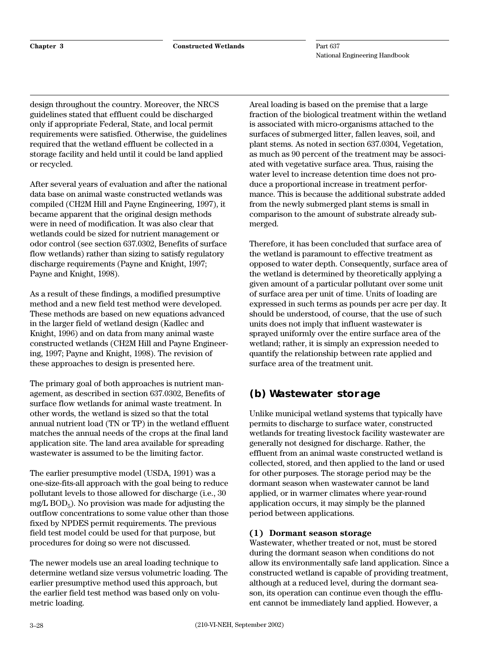design throughout the country. Moreover, the NRCS guidelines stated that effluent could be discharged only if appropriate Federal, State, and local permit requirements were satisfied. Otherwise, the guidelines required that the wetland effluent be collected in a storage facility and held until it could be land applied or recycled.

After several years of evaluation and after the national data base on animal waste constructed wetlands was compiled (CH2M Hill and Payne Engineering, 1997), it became apparent that the original design methods were in need of modification. It was also clear that wetlands could be sized for nutrient management or odor control (see section 637.0302, Benefits of surface flow wetlands) rather than sizing to satisfy regulatory discharge requirements (Payne and Knight, 1997; Payne and Knight, 1998).

As a result of these findings, a modified presumptive method and a new field test method were developed. These methods are based on new equations advanced in the larger field of wetland design (Kadlec and Knight, 1996) and on data from many animal waste constructed wetlands (CH2M Hill and Payne Engineering, 1997; Payne and Knight, 1998). The revision of these approaches to design is presented here.

The primary goal of both approaches is nutrient management, as described in section 637.0302, Benefits of surface flow wetlands for animal waste treatment. In other words, the wetland is sized so that the total annual nutrient load (TN or TP) in the wetland effluent matches the annual needs of the crops at the final land application site. The land area available for spreading wastewater is assumed to be the limiting factor.

The earlier presumptive model (USDA, 1991) was a one-size-fits-all approach with the goal being to reduce pollutant levels to those allowed for discharge (i.e., 30 mg/L  $BOD<sub>5</sub>$ ). No provision was made for adjusting the outflow concentrations to some value other than those fixed by NPDES permit requirements. The previous field test model could be used for that purpose, but procedures for doing so were not discussed.

The newer models use an areal loading technique to determine wetland size versus volumetric loading. The earlier presumptive method used this approach, but the earlier field test method was based only on volumetric loading.

Areal loading is based on the premise that a large fraction of the biological treatment within the wetland is associated with micro-organisms attached to the surfaces of submerged litter, fallen leaves, soil, and plant stems. As noted in section 637.0304, Vegetation, as much as 90 percent of the treatment may be associated with vegetative surface area. Thus, raising the water level to increase detention time does not produce a proportional increase in treatment performance. This is because the additional substrate added from the newly submerged plant stems is small in comparison to the amount of substrate already submerged.

Therefore, it has been concluded that surface area of the wetland is paramount to effective treatment as opposed to water depth. Consequently, surface area of the wetland is determined by theoretically applying a given amount of a particular pollutant over some unit of surface area per unit of time. Units of loading are expressed in such terms as pounds per acre per day. It should be understood, of course, that the use of such units does not imply that influent wastewater is sprayed uniformly over the entire surface area of the wetland; rather, it is simply an expression needed to quantify the relationship between rate applied and surface area of the treatment unit.

## **(b) Wastewater storage**

Unlike municipal wetland systems that typically have permits to discharge to surface water, constructed wetlands for treating livestock facility wastewater are generally not designed for discharge. Rather, the effluent from an animal waste constructed wetland is collected, stored, and then applied to the land or used for other purposes. The storage period may be the dormant season when wastewater cannot be land applied, or in warmer climates where year-round application occurs, it may simply be the planned period between applications.

#### **(1) Dormant season storage**

Wastewater, whether treated or not, must be stored during the dormant season when conditions do not allow its environmentally safe land application. Since a constructed wetland is capable of providing treatment, although at a reduced level, during the dormant season, its operation can continue even though the effluent cannot be immediately land applied. However, a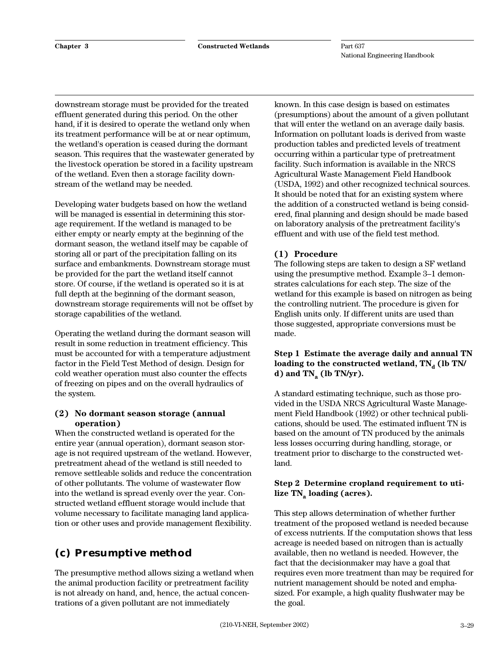downstream storage must be provided for the treated effluent generated during this period. On the other hand, if it is desired to operate the wetland only when its treatment performance will be at or near optimum, the wetland's operation is ceased during the dormant season. This requires that the wastewater generated by the livestock operation be stored in a facility upstream of the wetland. Even then a storage facility downstream of the wetland may be needed.

Developing water budgets based on how the wetland will be managed is essential in determining this storage requirement. If the wetland is managed to be either empty or nearly empty at the beginning of the dormant season, the wetland itself may be capable of storing all or part of the precipitation falling on its surface and embankments. Downstream storage must be provided for the part the wetland itself cannot store. Of course, if the wetland is operated so it is at full depth at the beginning of the dormant season, downstream storage requirements will not be offset by storage capabilities of the wetland.

Operating the wetland during the dormant season will result in some reduction in treatment efficiency. This must be accounted for with a temperature adjustment factor in the Field Test Method of design. Design for cold weather operation must also counter the effects of freezing on pipes and on the overall hydraulics of the system.

#### **(2) No dormant season storage (annual operation)**

When the constructed wetland is operated for the entire year (annual operation), dormant season storage is not required upstream of the wetland. However, pretreatment ahead of the wetland is still needed to remove settleable solids and reduce the concentration of other pollutants. The volume of wastewater flow into the wetland is spread evenly over the year. Constructed wetland effluent storage would include that volume necessary to facilitate managing land application or other uses and provide management flexibility.

# **(c) Presumptive method**

The presumptive method allows sizing a wetland when the animal production facility or pretreatment facility is not already on hand, and, hence, the actual concentrations of a given pollutant are not immediately

known. In this case design is based on estimates (presumptions) about the amount of a given pollutant that will enter the wetland on an average daily basis. Information on pollutant loads is derived from waste production tables and predicted levels of treatment occurring within a particular type of pretreatment facility. Such information is available in the NRCS Agricultural Waste Management Field Handbook (USDA, 1992) and other recognized technical sources. It should be noted that for an existing system where the addition of a constructed wetland is being considered, final planning and design should be made based on laboratory analysis of the pretreatment facility's effluent and with use of the field test method.

#### **(1) Procedure**

The following steps are taken to design a SF wetland using the presumptive method. Example 3–1 demonstrates calculations for each step. The size of the wetland for this example is based on nitrogen as being the controlling nutrient. The procedure is given for English units only. If different units are used than those suggested, appropriate conversions must be made.

#### **Step 1 Estimate the average daily and annual TN** loading to the constructed wetland,  $TN_d$  (lb TN/ **d**) and  $TN_a$  (lb  $TN/yr$ ).

A standard estimating technique, such as those provided in the USDA NRCS Agricultural Waste Management Field Handbook (1992) or other technical publications, should be used. The estimated influent TN is based on the amount of TN produced by the animals less losses occurring during handling, storage, or treatment prior to discharge to the constructed wetland.

#### **Step 2 Determine cropland requirement to uti**lize TN<sub>a</sub> loading (acres).

This step allows determination of whether further treatment of the proposed wetland is needed because of excess nutrients. If the computation shows that less acreage is needed based on nitrogen than is actually available, then no wetland is needed. However, the fact that the decisionmaker may have a goal that requires even more treatment than may be required for nutrient management should be noted and emphasized. For example, a high quality flushwater may be the goal.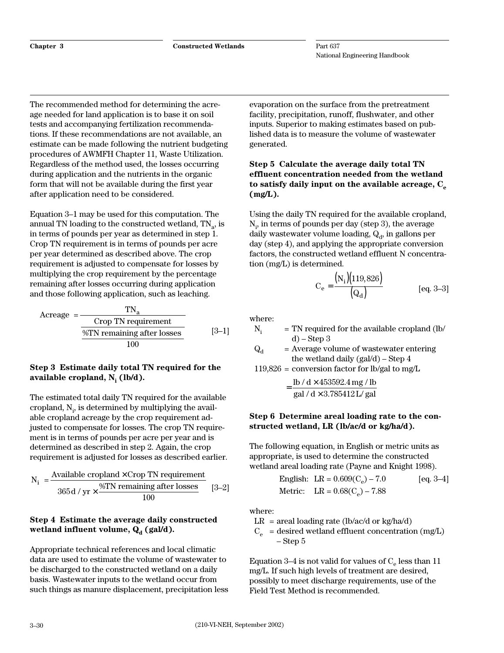**Chapter 3 Constructed Wetlands**

Part 637 National Engineering Handbook

The recommended method for determining the acreage needed for land application is to base it on soil tests and accompanying fertilization recommendations. If these recommendations are not available, an estimate can be made following the nutrient budgeting procedures of AWMFH Chapter 11, Waste Utilization. Regardless of the method used, the losses occurring during application and the nutrients in the organic form that will not be available during the first year after application need to be considered.

Equation 3–1 may be used for this computation. The annual TN loading to the constructed wetland,  $TN<sub>a</sub>$ , is in terms of pounds per year as determined in step 1. Crop TN requirement is in terms of pounds per acre per year determined as described above. The crop requirement is adjusted to compensate for losses by multiplying the crop requirement by the percentage remaining after losses occurring during application and those following application, such as leaching.

Acreage  $=$ Crop TN requirement %TN remaining after losses 100 TN<sub>a</sub> [3–1]

#### **Step 3 Estimate daily total TN required for the** available cropland, N<sub>i</sub> (lb/d).

The estimated total daily TN required for the available cropland,  $N_i$ , is determined by multiplying the available cropland acreage by the crop requirement adjusted to compensate for losses. The crop TN requirement is in terms of pounds per acre per year and is determined as described in step 2. Again, the crop requirement is adjusted for losses as described earlier.

$$
N_i = \frac{Available\ cropland \times Crop\ TN\ requirement}{365\ d\ /\ yr \times \frac{\%TN\ remaining\ after\ losses}{100}} \quad [3-2]
$$

#### **Step 4 Estimate the average daily constructed** wetland influent volume, Q<sub>d</sub> (gal/d).

Appropriate technical references and local climatic data are used to estimate the volume of wastewater to be discharged to the constructed wetland on a daily basis. Wastewater inputs to the wetland occur from such things as manure displacement, precipitation less

evaporation on the surface from the pretreatment facility, precipitation, runoff, flushwater, and other inputs. Superior to making estimates based on published data is to measure the volume of wastewater generated.

#### **Step 5 Calculate the average daily total TN effluent concentration needed from the wetland** to satisfy daily input on the available acreage, C<sub>o</sub> **(mg/L).**

Using the daily TN required for the available cropland,  $N_{i}$ , in terms of pounds per day (step 3), the average daily wastewater volume loading,  $Q_d$ , in gallons per day (step 4), and applying the appropriate conversion factors, the constructed wetland effluent N concentration (mg/L) is determined.

$$
C_e = \frac{(N_i)(119,826)}{(Q_d)}
$$
 [eq. 3-3]

where:

- $N_i$  = TN required for the available cropland (lb/  $d$ ) – Step 3
- $Q_d$  = Average volume of wastewater entering the wetland daily (gal/d) – Step 4

 $119,826$  = conversion factor for lb/gal to mg/L

$$
= \frac{\text{lb} / \text{d} \times 453592.4 \text{ mg} / \text{lb}}{\text{gal} / \text{d} \times 3.785412 \text{ L} / \text{gal}}
$$

#### **Step 6 Determine areal loading rate to the constructed wetland, LR (lb/ac/d or kg/ha/d).**

The following equation, in English or metric units as appropriate, is used to determine the constructed wetland areal loading rate (Payne and Knight 1998).

English: LR = 
$$
0.609(C_e) - 7.0
$$
 [eq. 3-4]  
Metric: LR =  $0.68(C_e) - 7.88$ 

where:

 $LR = \text{areal loading rate (lb/ac/d or kg/ha/d)}$  $C_e$  = desired wetland effluent concentration (mg/L) – Step 5

Equation 3–4 is not valid for values of  $C_e$  less than 11 mg/L. If such high levels of treatment are desired, possibly to meet discharge requirements, use of the Field Test Method is recommended.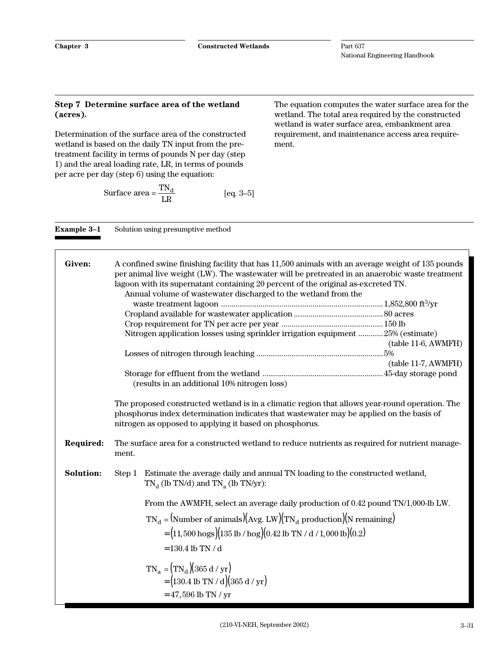#### **Step 7 Determine surface area of the wetland (acres).**

Determination of the surface area of the constructed wetland is based on the daily TN input from the pretreatment facility in terms of pounds N per day (step 1) and the areal loading rate, LR, in terms of pounds per acre per day (step 6) using the equation:

**Example 3-1** Solution using presumptive method

Surface area = 
$$
\frac{TN_d}{LR}
$$
 [eq. 3-5]

The equation computes the water surface area for the wetland. The total area required by the constructed wetland is water surface area, embankment area requirement, and maintenance access area requirement.

| Given:           | A confined swine finishing facility that has 11,500 animals with an average weight of 135 pounds<br>per animal live weight (LW). The wastewater will be pretreated in an anaerobic waste treatment<br>lagoon with its supernatant containing 20 percent of the original as-excreted TN.<br>Annual volume of wastewater discharged to the wetland from the<br>Nitrogen application losses using sprinkler irrigation equipment 25% (estimate)<br>$(table 11-6, AWMFH)$<br>$(table 11-7, AWMFH)$<br>(results in an additional 10% nitrogen loss)<br>The proposed constructed wetland is in a climatic region that allows year-round operation. The<br>phosphorus index determination indicates that wastewater may be applied on the basis of<br>nitrogen as opposed to applying it based on phosphorus. |
|------------------|--------------------------------------------------------------------------------------------------------------------------------------------------------------------------------------------------------------------------------------------------------------------------------------------------------------------------------------------------------------------------------------------------------------------------------------------------------------------------------------------------------------------------------------------------------------------------------------------------------------------------------------------------------------------------------------------------------------------------------------------------------------------------------------------------------|
| Required:        | The surface area for a constructed wetland to reduce nutrients as required for nutrient manage-<br>ment.                                                                                                                                                                                                                                                                                                                                                                                                                                                                                                                                                                                                                                                                                               |
| <b>Solution:</b> | Estimate the average daily and annual TN loading to the constructed wetland,<br>Step 1<br>$TN_d$ (lb TN/d) and TN <sub>a</sub> (lb TN/yr):<br>From the AWMFH, select an average daily production of 0.42 pound TN/1,000-lb LW.<br>$TN_d = (Number of animals)(Avg. LW)(TN_d production)(N remaining)$                                                                                                                                                                                                                                                                                                                                                                                                                                                                                                  |
|                  | $=(11,500 \text{ hogs})(135 \text{ lb} / \text{ hog})(0.42 \text{ lb} \text{ TN} / d / 1,000 \text{ lb})(0.2)$<br>$= 130.4$ lb TN / d                                                                                                                                                                                                                                                                                                                                                                                                                                                                                                                                                                                                                                                                  |
|                  | $TN_a = (TN_d)(365 d / yr)$<br>$= (130.4 \text{ lb TN} / \text{ d})(365 \text{ d} / \text{ yr})$<br>$= 47,596$ lb TN / yr                                                                                                                                                                                                                                                                                                                                                                                                                                                                                                                                                                                                                                                                              |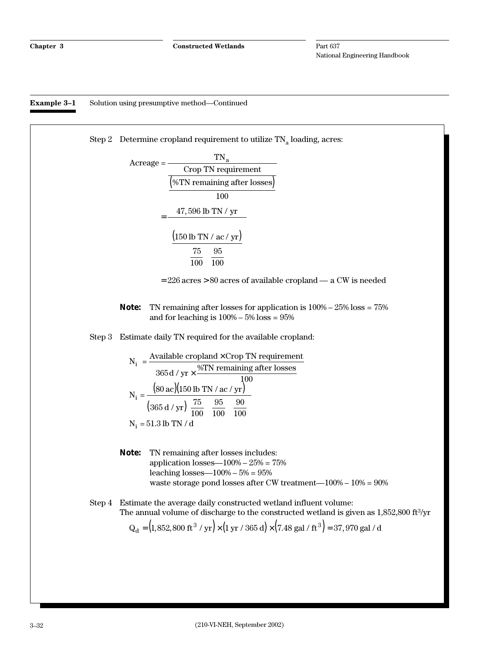**Example 3–1** Solution using presumptive method—Continued

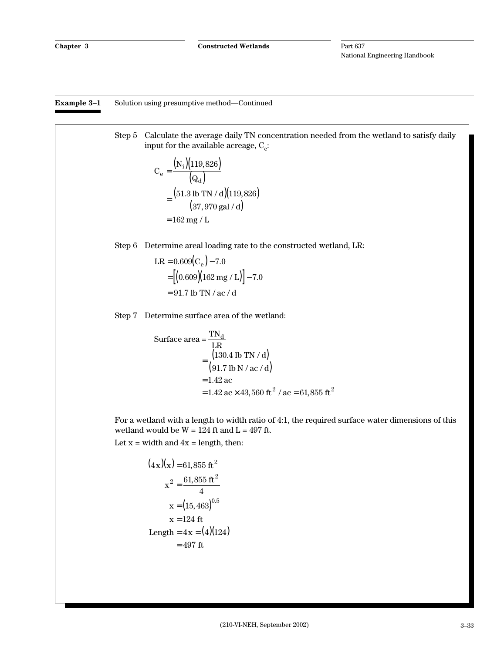**Example 3–1** Solution using presumptive method—Continued

Step 5 Calculate the average daily TN concentration needed from the wetland to satisfy daily input for the available acreage,  $C_e$ :

$$
C_e = \frac{(N_i)(119,826)}{(Q_d)}
$$
  
= 
$$
\frac{(51.3 \text{ lb TN / d})(119,826)}{(37,970 \text{ gal / d})}
$$
  
= 162 mg / L

Step 6 Determine areal loading rate to the constructed wetland, LR:

$$
LR = 0.609(C_e) - 7.0
$$
  
= [(0.609)(162 mg / L)] - 7.0  
= 91.7 lb TN / ac / d

Step 7 Determine surface area of the wetland:

Surface area = 
$$
\frac{TN_d}{LR}
$$
  
\n=  $\frac{(130.4 \text{ lb TN/A})}{(91.7 \text{ lb N/Ac/A})}$   
\n= 1.42 ac  
\n= 1.42 ac × 43,560 ft<sup>2</sup> / ac = 61,855 ft<sup>2</sup>

For a wetland with a length to width ratio of 4:1, the required surface water dimensions of this wetland would be  $W = 124$  ft and  $L = 497$  ft. Let  $x = width$  and  $4x = length$ , then:

$$
(4x)(x) = 61,855 \text{ ft}^2
$$

$$
x^2 = \frac{61,855 \text{ ft}^2}{4}
$$

$$
x = (15,463)^{0.5}
$$

$$
x = 124 \text{ ft}
$$

$$
\text{Length} = 4x = (4)(124)
$$

$$
= 497 \text{ ft}
$$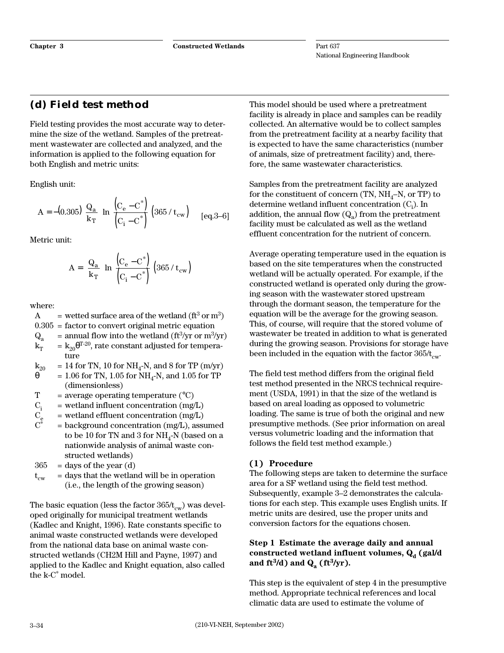## **(d) Field test method**

Field testing provides the most accurate way to determine the size of the wetland. Samples of the pretreatment wastewater are collected and analyzed, and the information is applied to the following equation for both English and metric units:

English unit:

$$
A = -(0.305) \left(\frac{Q_a}{k_T}\right) \ln \left[\frac{(C_e - C^*)}{(C_i - C^*)}\right] (365 / t_{cw})
$$
 [eq.3-6]

Metric unit:

$$
A = \left(\frac{Q_a}{k_T}\right) ln \left(\frac{(C_e - C^*)}{(C_i - C^*)}\right) \left(365 / t_{cw}\right)
$$

where:

A = wetted surface area of the wetland 
$$
(ft3 or m3)
$$

 $0.305$  = factor to convert original metric equation

- $Q_a$  = annual flow into the wetland (ft<sup>3</sup>/yr or m<sup>3</sup>/yr)  $k_T$  =  $k_{20}$  $\theta$ <sup>T-20</sup>, rate constant adjusted for tempera-
- ture
- $k_{20}$  = 14 for TN, 10 for NH<sub>4</sub>-N, and 8 for TP (m/yr)<br> $\theta$  = 1.06 for TN, 1.05 for NH<sub>4</sub>-N, and 1.05 for TP = 1.06 for TN, 1.05 for NH<sub>4</sub>-N, and 1.05 for TP (dimensionless)
- $T = average operating temperature (°C)$
- 
- $=$  wetland effluent concentration (mg/L)
- $C_i$  = wetland influent concentration (mg/L)<br>  $C_e$  = wetland effluent concentration (mg/L)<br>  $C^*$  = background concentration (mg/L). ass  $=$  background concentration (mg/L), assumed to be 10 for TN and 3 for  $NH<sub>4</sub>$ -N (based on a nationwide analysis of animal waste constructed wetlands)
- $365$  = days of the year (d)
- $t_{cw}$  = days that the wetland will be in operation (i.e., the length of the growing season)

The basic equation (less the factor  $365/t_{\text{cw}}$ ) was developed originally for municipal treatment wetlands (Kadlec and Knight, 1996). Rate constants specific to animal waste constructed wetlands were developed from the national data base on animal waste constructed wetlands (CH2M Hill and Payne, 1997) and applied to the Kadlec and Knight equation, also called the k-C\* model.

This model should be used where a pretreatment facility is already in place and samples can be readily collected. An alternative would be to collect samples from the pretreatment facility at a nearby facility that is expected to have the same characteristics (number of animals, size of pretreatment facility) and, therefore, the same wastewater characteristics.

Samples from the pretreatment facility are analyzed for the constituent of concern (TN,  $NH_4-N$ , or TP) to determine wetland influent concentration  $(C_i)$ . In addition, the annual flow  $(Q_a)$  from the pretreatment facility must be calculated as well as the wetland effluent concentration for the nutrient of concern.

Average operating temperature used in the equation is based on the site temperatures when the constructed wetland will be actually operated. For example, if the constructed wetland is operated only during the growing season with the wastewater stored upstream through the dormant season, the temperature for the equation will be the average for the growing season. This, of course, will require that the stored volume of wastewater be treated in addition to what is generated during the growing season. Provisions for storage have been included in the equation with the factor  $365/t_{\text{cw}}$ .

The field test method differs from the original field test method presented in the NRCS technical requirement (USDA, 1991) in that the size of the wetland is based on areal loading as opposed to volumetric loading. The same is true of both the original and new presumptive methods. (See prior information on areal versus volumetric loading and the information that follows the field test method example.)

#### **(1) Procedure**

The following steps are taken to determine the surface area for a SF wetland using the field test method. Subsequently, example 3–2 demonstrates the calculations for each step. This example uses English units. If metric units are desired, use the proper units and conversion factors for the equations chosen.

#### **Step 1 Estimate the average daily and annual** constructed wetland influent volumes, Q<sub>d</sub> (gal/d and  $ft^3/d$ ) and  $Q_a (ft^3/yr)$ .

This step is the equivalent of step 4 in the presumptive method. Appropriate technical references and local climatic data are used to estimate the volume of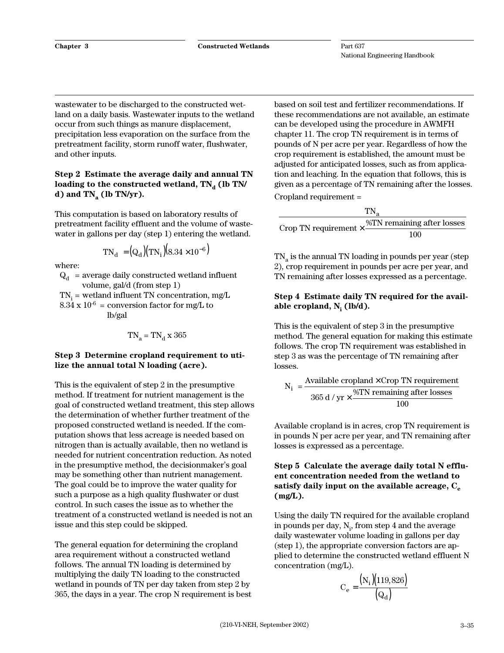wastewater to be discharged to the constructed wetland on a daily basis. Wastewater inputs to the wetland occur from such things as manure displacement, precipitation less evaporation on the surface from the pretreatment facility, storm runoff water, flushwater, and other inputs.

#### **Step 2 Estimate the average daily and annual TN** loading to the constructed wetland,  $TN_d$  (lb TN/ **d)** and  $TN_a$  (lb  $TN/yr$ ).

This computation is based on laboratory results of pretreatment facility effluent and the volume of wastewater in gallons per day (step 1) entering the wetland.

$$
TN_{\rm d} = (Q_{\rm d})(TN_{\rm i})(8.34 \times 10^{-6})
$$

where:

 $Q_d$  = average daily constructed wetland influent volume, gal/d (from step 1)

 $TN_i$  = wetland influent TN concentration, mg/L  $8.34 \times 10^{-6}$  = conversion factor for mg/L to lb/gal

$$
TN_a = TN_d \ge 365
$$

#### **Step 3 Determine cropland requirement to utilize the annual total N loading (acre).**

This is the equivalent of step 2 in the presumptive method. If treatment for nutrient management is the goal of constructed wetland treatment, this step allows the determination of whether further treatment of the proposed constructed wetland is needed. If the computation shows that less acreage is needed based on nitrogen than is actually available, then no wetland is needed for nutrient concentration reduction. As noted in the presumptive method, the decisionmaker's goal may be something other than nutrient management. The goal could be to improve the water quality for such a purpose as a high quality flushwater or dust control. In such cases the issue as to whether the treatment of a constructed wetland is needed is not an issue and this step could be skipped.

The general equation for determining the cropland area requirement without a constructed wetland follows. The annual TN loading is determined by multiplying the daily TN loading to the constructed wetland in pounds of TN per day taken from step 2 by 365, the days in a year. The crop N requirement is best based on soil test and fertilizer recommendations. If these recommendations are not available, an estimate can be developed using the procedure in AWMFH chapter 11. The crop TN requirement is in terms of pounds of N per acre per year. Regardless of how the crop requirement is established, the amount must be adjusted for anticipated losses, such as from application and leaching. In the equation that follows, this is given as a percentage of TN remaining after the losses. Cropland requirement =

|                                                                             | TN.                        |
|-----------------------------------------------------------------------------|----------------------------|
| Crop TN requirement $\times$ $\frac{\sqrt{2111 \text{ T-1}}}{\sqrt{21111}}$ | %TN remaining after losses |
|                                                                             | 100                        |

 $TN_a$  is the annual TN loading in pounds per year (step 2), crop requirement in pounds per acre per year, and TN remaining after losses expressed as a percentage.

#### **Step 4 Estimate daily TN required for the avail**able cropland, N<sub>i</sub> (lb/d).

This is the equivalent of step 3 in the presumptive method. The general equation for making this estimate follows. The crop TN requirement was established in step 3 as was the percentage of TN remaining after losses.

$$
N_i = \frac{Available \text{ cropland} \times Crop \text{ TN \text{ requirement}}}{365 \text{ d} / \text{ yr} \times \frac{\% \text{TN \text{ remaining after losses}}}{100}}
$$

Available cropland is in acres, crop TN requirement is in pounds N per acre per year, and TN remaining after losses is expressed as a percentage.

#### **Step 5 Calculate the average daily total N effluent concentration needed from the wetland to** satisfy daily input on the available acreage, C<sub>o</sub> **(mg/L).**

Using the daily TN required for the available cropland in pounds per day,  $N<sub>i</sub>$ , from step 4 and the average daily wastewater volume loading in gallons per day (step 1), the appropriate conversion factors are applied to determine the constructed wetland effluent N concentration (mg/L).

$$
C_e = \frac{(N_i)(119,826)}{(Q_d)}
$$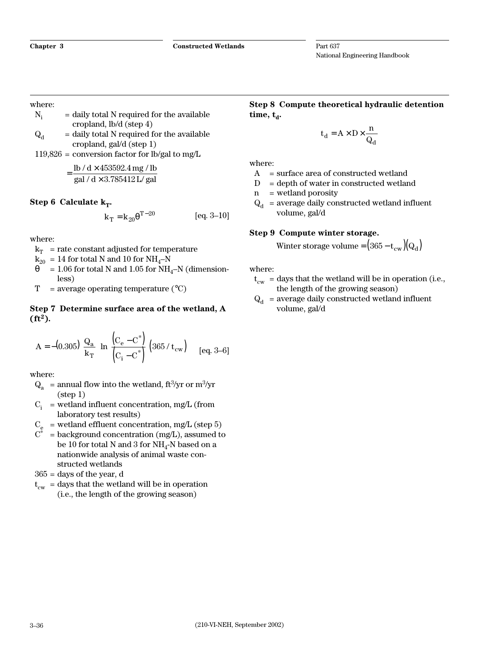#### where:

- $N_i$  = daily total N required for the available cropland, lb/d (step 4)
- $Q_d$  = daily total N required for the available cropland, gal/d (step 1)

 $119,826$  = conversion factor for lb/gal to mg/L

$$
= \frac{\text{lb}/\text{d} \times 453592.4 \text{ mg}/\text{lb}}{\text{gal}/\text{d} \times 3.785412 \text{ L/gal}}
$$

#### **Step 6 Calculate**  $k_T$ **.**

$$
k_T = k_{20} \theta^{T-20}
$$
 [eq. 3-10]

where:

 $k_T$  = rate constant adjusted for temperature

 $k_{20}$  = 14 for total N and 10 for NH<sub>4</sub>–N

- $\theta = 1.06$  for total N and 1.05 for NH<sub>4</sub>–N (dimensionless)
- $T = average operating temperature (°C)$

#### **Step 7 Determine surface area of the wetland, A**  $(ft^2)$ .

$$
A = -(0.305) \left(\frac{Q_a}{k_T}\right) \ln \left[\frac{(C_e - C^*)}{(C_i - C^*)}\right] (365 / t_{cw})
$$
 [eq. 3-6]

where:

- $Q_a$  = annual flow into the wetland, ft<sup>3</sup>/yr or m<sup>3</sup>/yr (step 1)
- $C_i$  = wetland influent concentration, mg/L (from laboratory test results)

 $C_e$  = wetland effluent concentration, mg/L (step 5)

 $C^*$  = background concentration (mg/L), assumed to be 10 for total N and 3 for  $NH<sub>4</sub>$ -N based on a nationwide analysis of animal waste constructed wetlands

 $365$  = days of the year, d

 $t_{\text{cw}}$  = days that the wetland will be in operation (i.e., the length of the growing season)

**Step 8 Compute theoretical hydraulic detention**  $time, t_a$ .

$$
t_d = A \times D \times \frac{n}{Q_d}
$$

where:

- $A = surface area of constructed wetland$
- $D =$  depth of water in constructed wetland
- n = wetland porosity
- $Q_d$  = average daily constructed wetland influent volume, gal/d

#### **Step 9 Compute winter storage.**

Winter storage volume =  $(365 - t_{cw})(Q_d)$ 

where:

- $t_{cw}$  = days that the wetland will be in operation (i.e., the length of the growing season)
- $Q_d$  = average daily constructed wetland influent volume, gal/d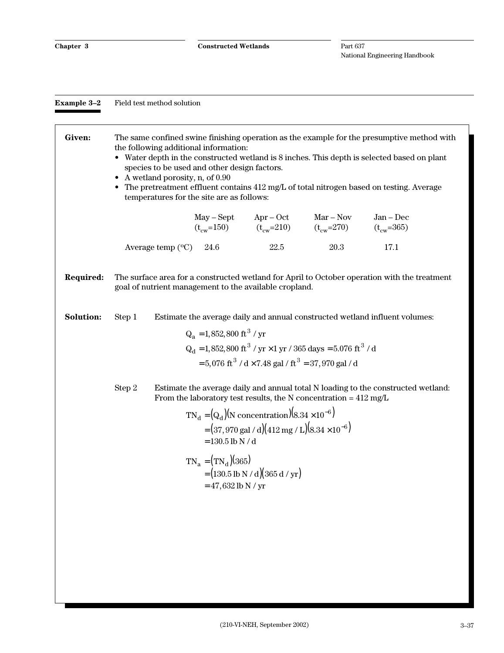| <b>Example 3–2</b> | Field test method solution |
|--------------------|----------------------------|
|--------------------|----------------------------|

| Given:           | The same confined swine finishing operation as the example for the presumptive method with<br>the following additional information:<br>• Water depth in the constructed wetland is 8 inches. This depth is selected based on plant<br>species to be used and other design factors.<br>A wetland porosity, n, of 0.90<br>The pretreatment effluent contains 412 mg/L of total nitrogen based on testing. Average<br>$\bullet$<br>temperatures for the site are as follows: |                                                        |                                                                    |                                                                                                                                                                                                                   |                                                                                                                    |                                                                                              |  |
|------------------|---------------------------------------------------------------------------------------------------------------------------------------------------------------------------------------------------------------------------------------------------------------------------------------------------------------------------------------------------------------------------------------------------------------------------------------------------------------------------|--------------------------------------------------------|--------------------------------------------------------------------|-------------------------------------------------------------------------------------------------------------------------------------------------------------------------------------------------------------------|--------------------------------------------------------------------------------------------------------------------|----------------------------------------------------------------------------------------------|--|
|                  |                                                                                                                                                                                                                                                                                                                                                                                                                                                                           |                                                        | May – Sept                                                         | $Apr-Oct$                                                                                                                                                                                                         | $Mar - Nov$<br>May – Sept Apr – Oct Mar – Nov<br>$(t_{\text{cw}}=150)$ $(t_{\text{cw}}=210)$ $(t_{\text{cw}}=270)$ | $Jan - Dec$<br>$(t_{\rm cw} = 365)$                                                          |  |
|                  |                                                                                                                                                                                                                                                                                                                                                                                                                                                                           | Average temp $(^{\circ}C)$                             | 24.6                                                               | 22.5                                                                                                                                                                                                              | 20.3                                                                                                               | 17.1                                                                                         |  |
| <b>Required:</b> |                                                                                                                                                                                                                                                                                                                                                                                                                                                                           | goal of nutrient management to the available cropland. |                                                                    |                                                                                                                                                                                                                   |                                                                                                                    | The surface area for a constructed wetland for April to October operation with the treatment |  |
| <b>Solution:</b> | Step 1                                                                                                                                                                                                                                                                                                                                                                                                                                                                    |                                                        | $Q_a = 1,852,800 \text{ ft}^3 / \text{ yr}$                        | $= 5,076 \text{ ft}^3 / \text{d} \times 7.48 \text{ gal} / \text{ft}^3 = 37,970 \text{ gal} / \text{d}$                                                                                                           | $Q_d = 1,852,800 \text{ ft}^3 / \text{yr} \times 1 \text{ yr} / 365 \text{ days} = 5.076 \text{ ft}^3 / d$         | Estimate the average daily and annual constructed wetland influent volumes:                  |  |
|                  | Step 2                                                                                                                                                                                                                                                                                                                                                                                                                                                                    |                                                        | $= 130.5$ lb N / d<br>$TN_a = (TN_d)(365)$<br>$= 47,632$ lb N / yr | $TN_d = (Q_d)(N \text{ concentration})(8.34 \times 10^{-6})$<br>$=(37,970 \text{ gal}/\text{d})(412 \text{ mg}/\text{L})(8.34 \times 10^{-6})$<br>$=(130.5 \text{ lb N} / \text{ d})(365 \text{ d} / \text{ yr})$ | From the laboratory test results, the N concentration = $412 \text{ mg/L}$                                         | Estimate the average daily and annual total N loading to the constructed wetland:            |  |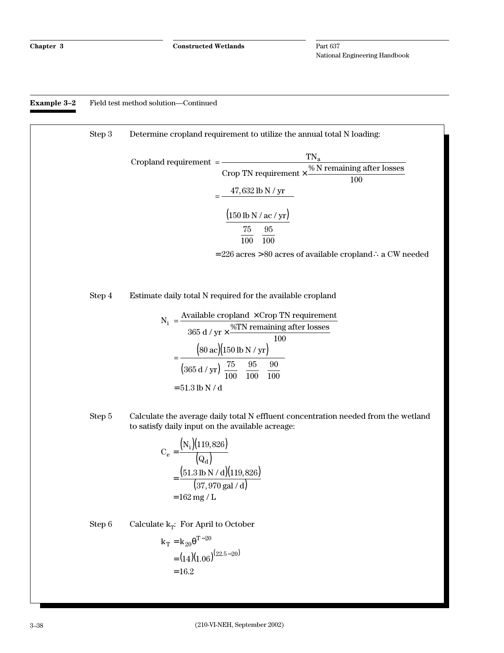#### **Example 3–2** Field test method solution—Continued

Step 3 Determine cropland requirement to utilize the annual total N loading:  $$ Crop TN requirement  $\times \frac{\% \text{N remaining after losses}}{100}$  $=\frac{47,632 \text{ lb N} / \text{ yr}}{5}$ 150 lb N / ac / yr 75 100  $= 226$  acres >  $80$  acres of available cropland  $\therefore$  a CW needed a  $\times \frac{3444 \text{ cm} \cdot \text{m}}{100}$ (150 lb N / ac / yr) ſ  $\left(\frac{75}{100}\right)$  $\sqrt{\left(\frac{75}{100}\right)\left(\frac{95}{100}\right)}$  $\mathsf{I}$  $\overline{\phantom{a}}$  $\left\{ \right\}$ J L  $\overline{\mathsf{L}}$ L L L L L  $\overline{\phantom{a}}$  $\overline{\phantom{a}}$  $\overline{\phantom{a}}$  $\overline{\phantom{a}}$  $\overline{\phantom{a}}$  $\overline{\phantom{a}}$  $\overline{\phantom{a}}$ 95 100 Step 4 Estimate daily total N required for the available cropland  $N_i = \frac{Available \text{ coplan} \times \text{Crop TN requirement}}{2 \times \text{Crop TN}}$  $\frac{1}{365 \text{ d} / \text{yr}} \times \frac{\text{\%TN}}{\text{remaining after losses}}$  $=\frac{(80 \text{ ac})(150 \text{ lb N} / \text{ yr})}{(m)(m)(m)}$ ×  $\times \frac{3111 \text{ remain} + 8}{100}$  $(365 d / yr) \left(\frac{75}{100}\right)$  $\left(\frac{95}{100}\right)$  $\left(\frac{90}{100}\right)$  $= 51.3$  lb N / d 80 ac)(150  $365\,\mathrm{d}$  /  $\mathrm{yr}$ ) $\left(\frac{75}{100}\right)$ 95 100 90 100 ac d / yr Step 5 Calculate the average daily total N effluent concentration needed from the wetland to satisfy daily input on the available acreage:  $\mathbf C$ N  $\bf Q$  $\ln N / d$ gal / d =  $162$  mg /  $\rm L$ e i d  $=\frac{({\rm N}_{\rm i}) (119,826)}{(\circ)}$  $\left( \mathrm{Q}_{\mathrm{d}}\right)$  $=\frac{(51.3 \text{ lb N / d})(119,826)}{(27.25 \text{ kg})(119,826)}$  $(37,970$  gal / d) 119,826 51.3 lb N / d)(119,826 37 970 , .3 lb N / d)(119,  $,970$  gal  $/$ Step 6 Calculate  $k_T$ : For April to October  $k_T = k_{20} \theta^{T-20}$  $=(14)(1.06)^{(22.5-20)}$  $=16.2$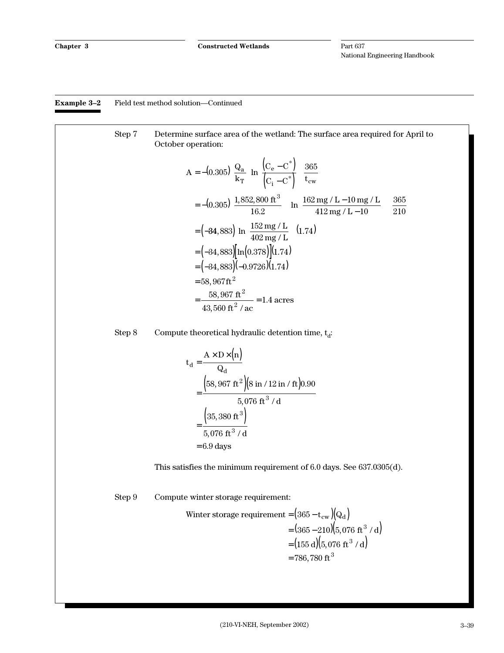#### **Example 3–2** Field test method solution—Continued

#### Step 7 Determine surface area of the wetland: The surface area required for April to October operation:

$$
A = -(0.305) \left(\frac{Q_a}{k_T}\right) ln \left(\frac{(C_e - C^*)}{(C_i - C^*)}\right) \left(\frac{365}{t_{cw}}\right)
$$
  
= -(0.305) \left(\frac{1,852,800 ft^3}{16.2}\right) \left[ ln \left(\frac{162 mg/L - 10 mg/L}{412 mg/L - 10}\right) \right] \left(\frac{365}{210}\right)  
= (-34,883) \left[ ln \left(\frac{152 mg/L}{402 mg/L}\right) \right] (1.74)  
= (-34,883) \left[ ln (0.378) \right] (1.74)  
= (34,883) (-0.9726) (1.74)  
= 58,967 ft<sup>2</sup>  
= \frac{58,967 ft<sup>2</sup>}{43,560 ft<sup>2</sup>/ac} = 1.4 acres

Step 8 Compute theoretical hydraulic detention time,  $t_d$ :

$$
t_{d} = \frac{A \times D \times (n)}{Q_{d}}
$$
  
= 
$$
\frac{(58,967 \text{ ft}^{2})(8 \text{ in } / 12 \text{ in } / \text{ ft})0.90}{5,076 \text{ ft}^{3} / d}
$$
  
= 
$$
\frac{(35,380 \text{ ft}^{3})}{5,076 \text{ ft}^{3} / d}
$$
  
= 6.9 days

This satisfies the minimum requirement of 6.0 days. See 637.0305(d).

Step 9 Compute winter storage requirement:

Winter storage requirement = 
$$
(365 - t_{cw})(Q_d)
$$

\n
$$
= (365 - 210)(5,076 \text{ ft}^3 / d)
$$
\n
$$
= (155 \text{ d})(5,076 \text{ ft}^3 / d)
$$
\n
$$
= 786,780 \text{ ft}^3
$$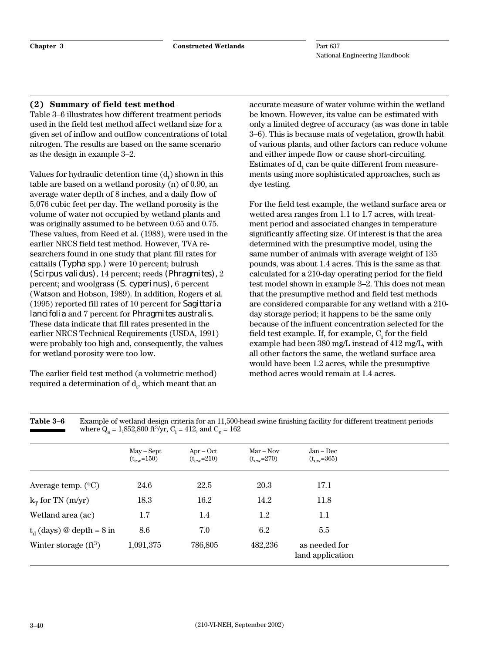#### **(2) Summary of field test method**

Table 3–6 illustrates how different treatment periods used in the field test method affect wetland size for a given set of inflow and outflow concentrations of total nitrogen. The results are based on the same scenario as the design in example 3–2.

Values for hydraulic detention time  $(d_t)$  shown in this table are based on a wetland porosity (n) of 0.90, an average water depth of 8 inches, and a daily flow of 5,076 cubic feet per day. The wetland porosity is the volume of water not occupied by wetland plants and was originally assumed to be between 0.65 and 0.75. These values, from Reed et al. (1988), were used in the earlier NRCS field test method. However, TVA researchers found in one study that plant fill rates for cattails *(Typha* spp.*)* were 10 percent; bulrush *(Scirpus validus),* 14 percent; reeds *(Phragmites),* 2 percent; and woolgrass *(S. cyperinus),* 6 percent (Watson and Hobson, 1989). In addition, Rogers et al. (1995) reported fill rates of 10 percent for *Sagittaria lancifolia* and 7 percent for *Phragmites australis.* These data indicate that fill rates presented in the earlier NRCS Technical Requirements (USDA, 1991) were probably too high and, consequently, the values for wetland porosity were too low.

The earlier field test method (a volumetric method) required a determination of  $\mathrm{d}_{\mathrm{t}}$ , which meant that an

accurate measure of water volume within the wetland be known. However, its value can be estimated with only a limited degree of accuracy (as was done in table 3–6). This is because mats of vegetation, growth habit of various plants, and other factors can reduce volume and either impede flow or cause short-circuiting. Estimates of  $\mathrm{d}_{\mathrm{t}}$  can be quite different from measurements using more sophisticated approaches, such as dye testing.

For the field test example, the wetland surface area or wetted area ranges from 1.1 to 1.7 acres, with treatment period and associated changes in temperature significantly affecting size. Of interest is that the area determined with the presumptive model, using the same number of animals with average weight of 135 pounds, was about 1.4 acres. This is the same as that calculated for a 210-day operating period for the field test model shown in example 3–2. This does not mean that the presumptive method and field test methods are considered comparable for any wetland with a 210 day storage period; it happens to be the same only because of the influent concentration selected for the field test example. If, for example,  $\mathrm{C}_\mathrm{i}$  for the field example had been 380 mg/L instead of 412 mg/L, with all other factors the same, the wetland surface area would have been 1.2 acres, while the presumptive method acres would remain at 1.4 acres.

|                             | $May - Sept$<br>$(t_{\rm cw} = 150)$ | $Arr - Oct$<br>$(t_{ew} = 210)$ | $Mar - Nov$<br>$(t_{\rm cw} = 270)$ | $Jan - Dec$<br>$(t_{\rm cw} = 365)$ |
|-----------------------------|--------------------------------------|---------------------------------|-------------------------------------|-------------------------------------|
| Average temp. $(^{\circ}C)$ | 24.6                                 | 22.5                            | 20.3                                | 17.1                                |
| $k_T$ for TN (m/yr)         | 18.3                                 | 16.2                            | 14.2                                | 11.8                                |
| Wetland area (ac)           | $1.7\,$                              | 1.4                             | 1.2                                 | 1.1                                 |
| $t_d$ (days) @ depth = 8 in | 8.6                                  | 7.0                             | 6.2                                 | 5.5                                 |
| Winter storage $(ft^3)$     | 1,091,375                            | 786,805                         | 482,236                             | as needed for<br>land application   |

**Table 3–6** Example of wetland design criteria for an 11,500-head swine finishing facility for different treatment periods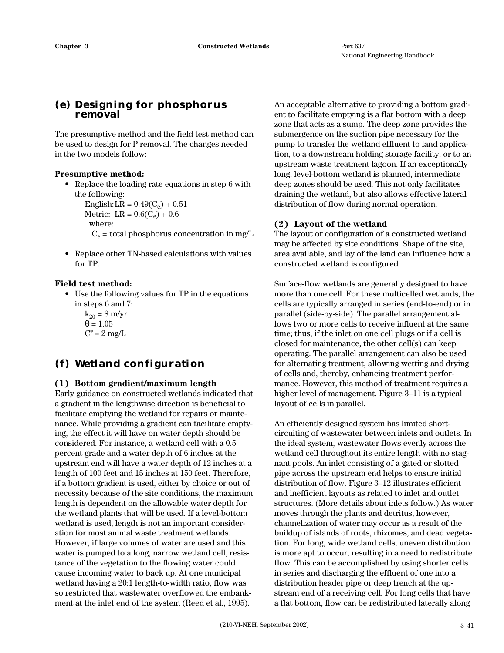### **(e) Designing for phosphorus removal**

The presumptive method and the field test method can be used to design for P removal. The changes needed in the two models follow:

#### **Presumptive method:**

• Replace the loading rate equations in step 6 with the following:

English: LR =  $0.49(C_e) + 0.51$ Metric:  $LR = 0.6(C_e) + 0.6$ 

where:

- $C_e$  = total phosphorus concentration in mg/L
- Replace other TN-based calculations with values for TP.

#### **Field test method:**

- Use the following values for TP in the equations in steps 6 and 7:
	- $k_{20} = 8$  m/yr  $\theta = 1.05$  $C^* = 2$  mg/L

# **(f) Wetland configuration**

#### **(1) Bottom gradient/maximum length**

Early guidance on constructed wetlands indicated that a gradient in the lengthwise direction is beneficial to facilitate emptying the wetland for repairs or maintenance. While providing a gradient can facilitate emptying, the effect it will have on water depth should be considered. For instance, a wetland cell with a 0.5 percent grade and a water depth of 6 inches at the upstream end will have a water depth of 12 inches at a length of 100 feet and 15 inches at 150 feet. Therefore, if a bottom gradient is used, either by choice or out of necessity because of the site conditions, the maximum length is dependent on the allowable water depth for the wetland plants that will be used. If a level-bottom wetland is used, length is not an important consideration for most animal waste treatment wetlands. However, if large volumes of water are used and this water is pumped to a long, narrow wetland cell, resistance of the vegetation to the flowing water could cause incoming water to back up. At one municipal wetland having a 20:1 length-to-width ratio, flow was so restricted that wastewater overflowed the embankment at the inlet end of the system (Reed et al., 1995).

An acceptable alternative to providing a bottom gradient to facilitate emptying is a flat bottom with a deep zone that acts as a sump. The deep zone provides the submergence on the suction pipe necessary for the pump to transfer the wetland effluent to land application, to a downstream holding storage facility, or to an upstream waste treatment lagoon. If an exceptionally long, level-bottom wetland is planned, intermediate deep zones should be used. This not only facilitates draining the wetland, but also allows effective lateral distribution of flow during normal operation.

#### **(2) Layout of the wetland**

The layout or configuration of a constructed wetland may be affected by site conditions. Shape of the site, area available, and lay of the land can influence how a constructed wetland is configured.

Surface-flow wetlands are generally designed to have more than one cell. For these multicelled wetlands, the cells are typically arranged in series (end-to-end) or in parallel (side-by-side). The parallel arrangement allows two or more cells to receive influent at the same time; thus, if the inlet on one cell plugs or if a cell is closed for maintenance, the other cell(s) can keep operating. The parallel arrangement can also be used for alternating treatment, allowing wetting and drying of cells and, thereby, enhancing treatment performance. However, this method of treatment requires a higher level of management. Figure 3–11 is a typical layout of cells in parallel.

An efficiently designed system has limited shortcircuiting of wastewater between inlets and outlets. In the ideal system, wastewater flows evenly across the wetland cell throughout its entire length with no stagnant pools. An inlet consisting of a gated or slotted pipe across the upstream end helps to ensure initial distribution of flow. Figure 3–12 illustrates efficient and inefficient layouts as related to inlet and outlet structures. (More details about inlets follow.) As water moves through the plants and detritus, however, channelization of water may occur as a result of the buildup of islands of roots, rhizomes, and dead vegetation. For long, wide wetland cells, uneven distribution is more apt to occur, resulting in a need to redistribute flow. This can be accomplished by using shorter cells in series and discharging the effluent of one into a distribution header pipe or deep trench at the upstream end of a receiving cell. For long cells that have a flat bottom, flow can be redistributed laterally along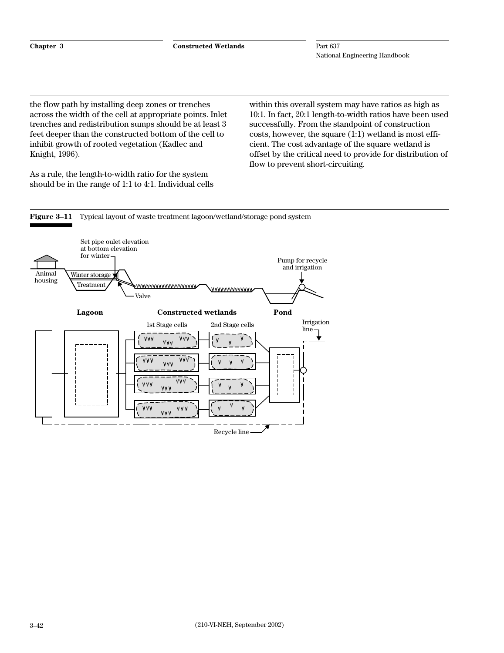the flow path by installing deep zones or trenches across the width of the cell at appropriate points. Inlet trenches and redistribution sumps should be at least 3 feet deeper than the constructed bottom of the cell to inhibit growth of rooted vegetation (Kadlec and Knight, 1996).

As a rule, the length-to-width ratio for the system should be in the range of 1:1 to 4:1. Individual cells

within this overall system may have ratios as high as 10:1. In fact, 20:1 length-to-width ratios have been used successfully. From the standpoint of construction costs, however, the square (1:1) wetland is most efficient. The cost advantage of the square wetland is offset by the critical need to provide for distribution of flow to prevent short-circuiting.

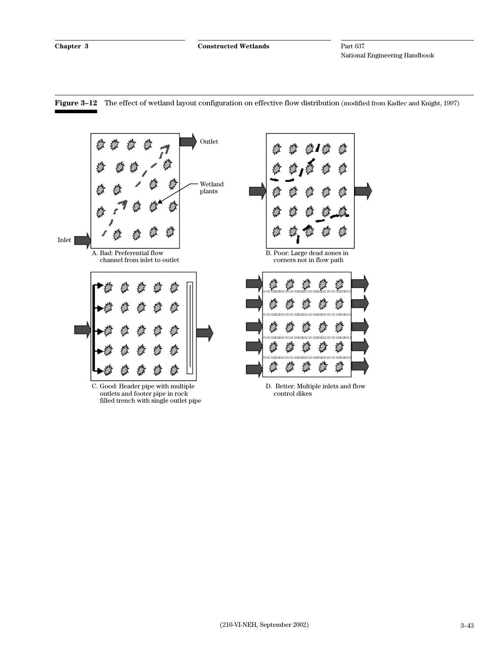

**Figure 3–12** The effect of wetland layout configuration on effective flow distribution (modified from Kadlec and Knight, 1997)

C. Good: Header pipe with multiple outlets and footer pipe in rock filled trench with single outlet pipe

D. Better: Multiple inlets and flow control dikes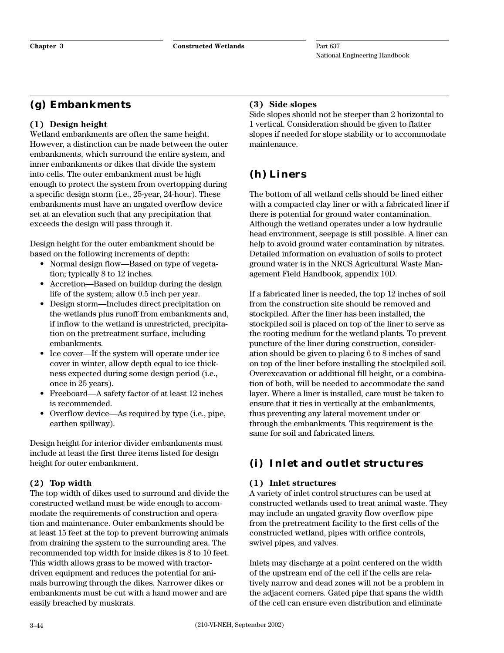# **(g) Embankments**

#### **(1) Design height**

Wetland embankments are often the same height. However, a distinction can be made between the outer embankments, which surround the entire system, and inner embankments or dikes that divide the system into cells. The outer embankment must be high enough to protect the system from overtopping during a specific design storm (i.e., 25-year, 24-hour). These embankments must have an ungated overflow device set at an elevation such that any precipitation that exceeds the design will pass through it.

Design height for the outer embankment should be based on the following increments of depth:

- Normal design flow—Based on type of vegetation; typically 8 to 12 inches.
- Accretion—Based on buildup during the design life of the system; allow 0.5 inch per year.
- Design storm—Includes direct precipitation on the wetlands plus runoff from embankments and, if inflow to the wetland is unrestricted, precipitation on the pretreatment surface, including embankments.
- Ice cover—If the system will operate under ice cover in winter, allow depth equal to ice thickness expected during some design period (i.e., once in 25 years).
- Freeboard—A safety factor of at least 12 inches is recommended.
- Overflow device—As required by type (i.e., pipe, earthen spillway).

Design height for interior divider embankments must include at least the first three items listed for design height for outer embankment.

#### **(2) Top width**

The top width of dikes used to surround and divide the constructed wetland must be wide enough to accommodate the requirements of construction and operation and maintenance. Outer embankments should be at least 15 feet at the top to prevent burrowing animals from draining the system to the surrounding area. The recommended top width for inside dikes is 8 to 10 feet. This width allows grass to be mowed with tractordriven equipment and reduces the potential for animals burrowing through the dikes. Narrower dikes or embankments must be cut with a hand mower and are easily breached by muskrats.

### **(3) Side slopes**

Side slopes should not be steeper than 2 horizontal to 1 vertical. Consideration should be given to flatter slopes if needed for slope stability or to accommodate maintenance.

# **(h) Liners**

The bottom of all wetland cells should be lined either with a compacted clay liner or with a fabricated liner if there is potential for ground water contamination. Although the wetland operates under a low hydraulic head environment, seepage is still possible. A liner can help to avoid ground water contamination by nitrates. Detailed information on evaluation of soils to protect ground water is in the NRCS Agricultural Waste Management Field Handbook, appendix 10D.

If a fabricated liner is needed, the top 12 inches of soil from the construction site should be removed and stockpiled. After the liner has been installed, the stockpiled soil is placed on top of the liner to serve as the rooting medium for the wetland plants. To prevent puncture of the liner during construction, consideration should be given to placing 6 to 8 inches of sand on top of the liner before installing the stockpiled soil. Overexcavation or additional fill height, or a combination of both, will be needed to accommodate the sand layer. Where a liner is installed, care must be taken to ensure that it ties in vertically at the embankments, thus preventing any lateral movement under or through the embankments. This requirement is the same for soil and fabricated liners.

# **(i) Inlet and outlet structures**

#### **(1) Inlet structures**

A variety of inlet control structures can be used at constructed wetlands used to treat animal waste. They may include an ungated gravity flow overflow pipe from the pretreatment facility to the first cells of the constructed wetland, pipes with orifice controls, swivel pipes, and valves.

Inlets may discharge at a point centered on the width of the upstream end of the cell if the cells are relatively narrow and dead zones will not be a problem in the adjacent corners. Gated pipe that spans the width of the cell can ensure even distribution and eliminate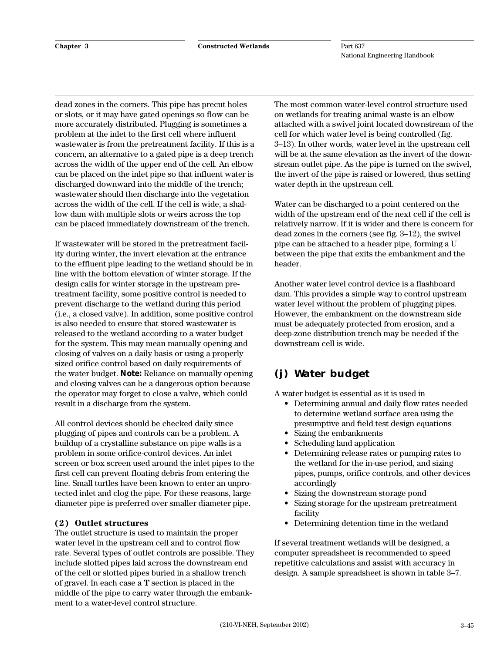dead zones in the corners. This pipe has precut holes or slots, or it may have gated openings so flow can be more accurately distributed. Plugging is sometimes a problem at the inlet to the first cell where influent wastewater is from the pretreatment facility. If this is a concern, an alternative to a gated pipe is a deep trench across the width of the upper end of the cell. An elbow can be placed on the inlet pipe so that influent water is discharged downward into the middle of the trench; wastewater should then discharge into the vegetation across the width of the cell. If the cell is wide, a shallow dam with multiple slots or weirs across the top can be placed immediately downstream of the trench.

If wastewater will be stored in the pretreatment facility during winter, the invert elevation at the entrance to the effluent pipe leading to the wetland should be in line with the bottom elevation of winter storage. If the design calls for winter storage in the upstream pretreatment facility, some positive control is needed to prevent discharge to the wetland during this period (i.e., a closed valve). In addition, some positive control is also needed to ensure that stored wastewater is released to the wetland according to a water budget for the system. This may mean manually opening and closing of valves on a daily basis or using a properly sized orifice control based on daily requirements of the water budget. *Note:* Reliance on manually opening and closing valves can be a dangerous option because the operator may forget to close a valve, which could result in a discharge from the system.

All control devices should be checked daily since plugging of pipes and controls can be a problem. A buildup of a crystalline substance on pipe walls is a problem in some orifice-control devices. An inlet screen or box screen used around the inlet pipes to the first cell can prevent floating debris from entering the line. Small turtles have been known to enter an unprotected inlet and clog the pipe. For these reasons, large diameter pipe is preferred over smaller diameter pipe.

#### **(2) Outlet structures**

The outlet structure is used to maintain the proper water level in the upstream cell and to control flow rate. Several types of outlet controls are possible. They include slotted pipes laid across the downstream end of the cell or slotted pipes buried in a shallow trench of gravel. In each case a **T** section is placed in the middle of the pipe to carry water through the embankment to a water-level control structure.

The most common water-level control structure used on wetlands for treating animal waste is an elbow attached with a swivel joint located downstream of the cell for which water level is being controlled (fig. 3–13). In other words, water level in the upstream cell will be at the same elevation as the invert of the downstream outlet pipe. As the pipe is turned on the swivel, the invert of the pipe is raised or lowered, thus setting water depth in the upstream cell.

Water can be discharged to a point centered on the width of the upstream end of the next cell if the cell is relatively narrow. If it is wider and there is concern for dead zones in the corners (see fig. 3–12), the swivel pipe can be attached to a header pipe, forming a U between the pipe that exits the embankment and the header.

Another water level control device is a flashboard dam. This provides a simple way to control upstream water level without the problem of plugging pipes. However, the embankment on the downstream side must be adequately protected from erosion, and a deep-zone distribution trench may be needed if the downstream cell is wide.

# **(j) Water budget**

A water budget is essential as it is used in

- Determining annual and daily flow rates needed to determine wetland surface area using the presumptive and field test design equations
- Sizing the embankments
- Scheduling land application
- Determining release rates or pumping rates to the wetland for the in-use period, and sizing pipes, pumps, orifice controls, and other devices accordingly
- Sizing the downstream storage pond
- Sizing storage for the upstream pretreatment facility
- Determining detention time in the wetland

If several treatment wetlands will be designed, a computer spreadsheet is recommended to speed repetitive calculations and assist with accuracy in design. A sample spreadsheet is shown in table 3–7.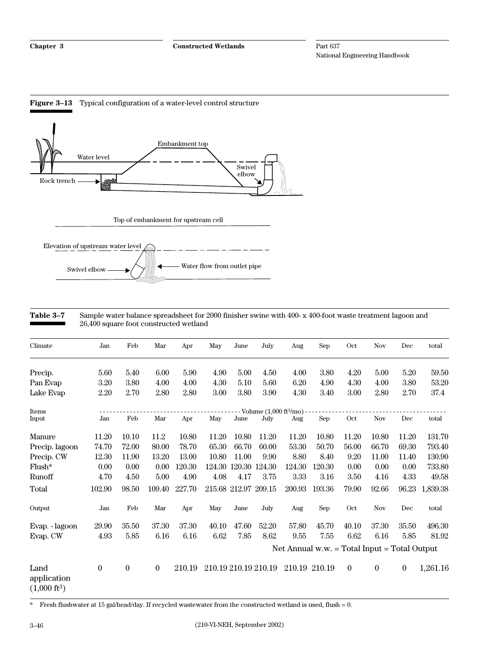

# **Table 3–7** Sample water balance spreadsheet for 2000 finisher swine with 400- x 400-foot waste treatment lagoon and

26,400 square foot constructed wetland

| Climate                                       | Jan              | Feb              | Mar              | Apr    | May   | June                 | July                                      | Aug    | Sep                                              | Oct      | <b>Nov</b>     | Dec              | total    |
|-----------------------------------------------|------------------|------------------|------------------|--------|-------|----------------------|-------------------------------------------|--------|--------------------------------------------------|----------|----------------|------------------|----------|
| Precip.                                       | 5.60             | 5.40             | 6.00             | 5.90   | 4.90  | 5.00                 | 4.50                                      | 4.00   | 3.80                                             | 4.20     | 5.00           | 5.20             | 59.50    |
| Pan Evap                                      | 3.20             | 3.80             | 4.00             | 4.00   | 4.30  | 5.10                 | 5.60                                      | 6.20   | 4.90                                             | 4.30     | 4.00           | 3.80             | 53.20    |
| Lake Evap                                     | 2.20             | 2.70             | 2.80             | 2.80   | 3.00  | 3.80                 | 3.90                                      | 4.30   | 3.40                                             | 3.00     | 2.80           | 2.70             | 37.4     |
| Items                                         |                  |                  |                  |        |       |                      | Volume $(1,000 \text{ ft}^3/\text{mo})$ - |        |                                                  |          |                |                  |          |
| Input                                         | Jan              | Feb              | Mar              | Apr    | May   | June                 | July                                      | Aug    | Sep                                              | Oct      | <b>Nov</b>     | Dec              | total    |
| Manure                                        | 11.20            | 10.10            | 11.2             | 10.80  | 11.20 | 10.80                | 11.20                                     | 11.20  | 10.80                                            | 11.20    | 10.80          | 11.20            | 131.70   |
| Precip. lagoon                                | 74.70            | 72.00            | 80.00            | 78.70  | 65.30 | 66.70                | 60.00                                     | 53.30  | 50.70                                            | 56.00    | 66.70          | 69.30            | 793.40   |
| Precip. CW                                    | 12.30            | 11.90            | 13.20            | 13.00  | 10.80 | 11.00                | 9.90                                      | 8.80   | 8.40                                             | 9.20     | 11.00          | 11.40            | 130.90   |
| Flush*                                        | 0.00             | 0.00             | 0.00             | 120.30 |       | 124.30 120.30        | 124.30                                    | 124.30 | 120.30                                           | 0.00     | 0.00           | 0.00             | 733.80   |
| Runoff                                        | 4.70             | 4.50             | 5.00             | 4.90   | 4.08  | 4.17                 | 3.75                                      | 3.33   | 3.16                                             | 3.50     | 4.16           | 4.33             | 49.58    |
| Total                                         | 102.90           | 98.50            | 109.40           | 227.70 |       | 215.68 212.97 209.15 |                                           | 200.93 | 193.36                                           | 79.90    | 92.66          | 96.23            | 1,839.38 |
| Output                                        | Jan              | Feb              | Mar              | Apr    | May   | June                 | July                                      | Aug    | Sep                                              | Oct      | Nov            | Dec              | total    |
| Evap. - lagoon                                | 29.90            | 35.50            | 37.30            | 37.30  | 40.10 | 47.60                | 52.20                                     | 57.80  | 45.70                                            | 40.10    | 37.30          | 35.50            | 496.30   |
| Evap. CW                                      | 4.93             | 5.85             | 6.16             | 6.16   | 6.62  | 7.85                 | 8.62                                      | 9.55   | 7.55                                             | 6.62     | 6.16           | 5.85             | 81.92    |
|                                               |                  |                  |                  |        |       |                      |                                           |        | Net Annual w.w. $=$ Total Input $=$ Total Output |          |                |                  |          |
| Land<br>application<br>$(1,000 \text{ ft}^3)$ | $\boldsymbol{0}$ | $\boldsymbol{0}$ | $\boldsymbol{0}$ | 210.19 |       |                      | 210.19 210.19 210.19                      |        | 210.19 210.19                                    | $\theta$ | $\overline{0}$ | $\boldsymbol{0}$ | 1,261.16 |

\* Fresh flushwater at 15 gal/head/day. If recycled wastewater from the constructed wetland is used, flush = 0.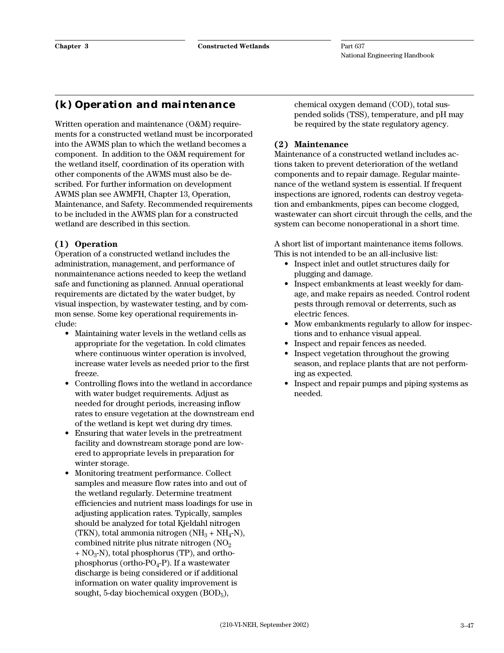### **(k) Operation and maintenance**

Written operation and maintenance (O&M) requirements for a constructed wetland must be incorporated into the AWMS plan to which the wetland becomes a component. In addition to the O&M requirement for the wetland itself, coordination of its operation with other components of the AWMS must also be described. For further information on development AWMS plan see AWMFH, Chapter 13, Operation, Maintenance, and Safety. Recommended requirements to be included in the AWMS plan for a constructed wetland are described in this section.

#### **(1) Operation**

Operation of a constructed wetland includes the administration, management, and performance of nonmaintenance actions needed to keep the wetland safe and functioning as planned. Annual operational requirements are dictated by the water budget, by visual inspection, by wastewater testing, and by common sense. Some key operational requirements include:

- Maintaining water levels in the wetland cells as appropriate for the vegetation. In cold climates where continuous winter operation is involved, increase water levels as needed prior to the first freeze.
- Controlling flows into the wetland in accordance with water budget requirements. Adjust as needed for drought periods, increasing inflow rates to ensure vegetation at the downstream end of the wetland is kept wet during dry times.
- Ensuring that water levels in the pretreatment facility and downstream storage pond are lowered to appropriate levels in preparation for winter storage.
- Monitoring treatment performance. Collect samples and measure flow rates into and out of the wetland regularly. Determine treatment efficiencies and nutrient mass loadings for use in adjusting application rates. Typically, samples should be analyzed for total Kjeldahl nitrogen (TKN), total ammonia nitrogen  $(NH_3 + NH_4-N)$ , combined nitrite plus nitrate nitrogen  $(NO<sub>2</sub>)$  $+ NO<sub>3</sub>-N$ , total phosphorus (TP), and orthophosphorus (ortho- $PO_4$ -P). If a wastewater discharge is being considered or if additional information on water quality improvement is sought, 5-day biochemical oxygen (BOD5),

chemical oxygen demand (COD), total suspended solids (TSS), temperature, and pH may be required by the state regulatory agency.

#### **(2) Maintenance**

Maintenance of a constructed wetland includes actions taken to prevent deterioration of the wetland components and to repair damage. Regular maintenance of the wetland system is essential. If frequent inspections are ignored, rodents can destroy vegetation and embankments, pipes can become clogged, wastewater can short circuit through the cells, and the system can become nonoperational in a short time.

A short list of important maintenance items follows. This is not intended to be an all-inclusive list:

- Inspect inlet and outlet structures daily for plugging and damage.
- Inspect embankments at least weekly for damage, and make repairs as needed. Control rodent pests through removal or deterrents, such as electric fences.
- Mow embankments regularly to allow for inspections and to enhance visual appeal.
- Inspect and repair fences as needed.
- Inspect vegetation throughout the growing season, and replace plants that are not performing as expected.
- Inspect and repair pumps and piping systems as needed.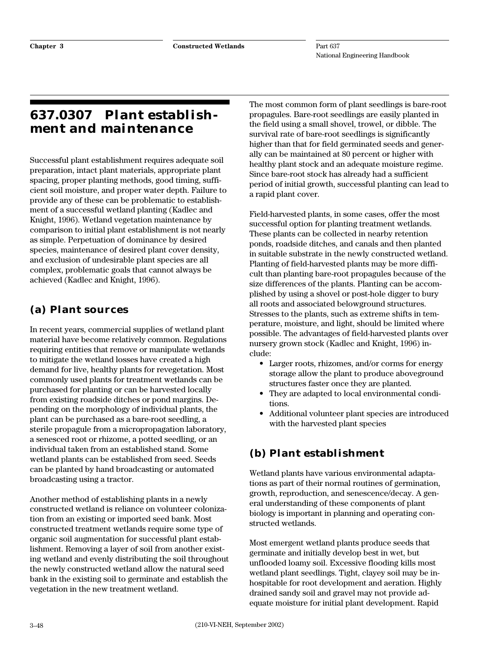# **637.0307 Plant establishment and maintenance**

Successful plant establishment requires adequate soil preparation, intact plant materials, appropriate plant spacing, proper planting methods, good timing, sufficient soil moisture, and proper water depth. Failure to provide any of these can be problematic to establishment of a successful wetland planting (Kadlec and Knight, 1996). Wetland vegetation maintenance by comparison to initial plant establishment is not nearly as simple. Perpetuation of dominance by desired species, maintenance of desired plant cover density, and exclusion of undesirable plant species are all complex, problematic goals that cannot always be achieved (Kadlec and Knight, 1996).

# **(a) Plant sources**

In recent years, commercial supplies of wetland plant material have become relatively common. Regulations requiring entities that remove or manipulate wetlands to mitigate the wetland losses have created a high demand for live, healthy plants for revegetation. Most commonly used plants for treatment wetlands can be purchased for planting or can be harvested locally from existing roadside ditches or pond margins. Depending on the morphology of individual plants, the plant can be purchased as a bare-root seedling, a sterile propagule from a micropropagation laboratory, a senesced root or rhizome, a potted seedling, or an individual taken from an established stand. Some wetland plants can be established from seed. Seeds can be planted by hand broadcasting or automated broadcasting using a tractor.

Another method of establishing plants in a newly constructed wetland is reliance on volunteer colonization from an existing or imported seed bank. Most constructed treatment wetlands require some type of organic soil augmentation for successful plant establishment. Removing a layer of soil from another existing wetland and evenly distributing the soil throughout the newly constructed wetland allow the natural seed bank in the existing soil to germinate and establish the vegetation in the new treatment wetland.

The most common form of plant seedlings is bare-root propagules. Bare-root seedlings are easily planted in the field using a small shovel, trowel, or dibble. The survival rate of bare-root seedlings is significantly higher than that for field germinated seeds and generally can be maintained at 80 percent or higher with healthy plant stock and an adequate moisture regime. Since bare-root stock has already had a sufficient period of initial growth, successful planting can lead to a rapid plant cover.

Field-harvested plants, in some cases, offer the most successful option for planting treatment wetlands. These plants can be collected in nearby retention ponds, roadside ditches, and canals and then planted in suitable substrate in the newly constructed wetland. Planting of field-harvested plants may be more difficult than planting bare-root propagules because of the size differences of the plants. Planting can be accomplished by using a shovel or post-hole digger to bury all roots and associated belowground structures. Stresses to the plants, such as extreme shifts in temperature, moisture, and light, should be limited where possible. The advantages of field-harvested plants over nursery grown stock (Kadlec and Knight, 1996) include:

- Larger roots, rhizomes, and/or corms for energy storage allow the plant to produce aboveground structures faster once they are planted.
- They are adapted to local environmental conditions.
- Additional volunteer plant species are introduced with the harvested plant species

# **(b) Plant establishment**

Wetland plants have various environmental adaptations as part of their normal routines of germination, growth, reproduction, and senescence/decay. A general understanding of these components of plant biology is important in planning and operating constructed wetlands.

Most emergent wetland plants produce seeds that germinate and initially develop best in wet, but unflooded loamy soil. Excessive flooding kills most wetland plant seedlings. Tight, clayey soil may be inhospitable for root development and aeration. Highly drained sandy soil and gravel may not provide adequate moisture for initial plant development. Rapid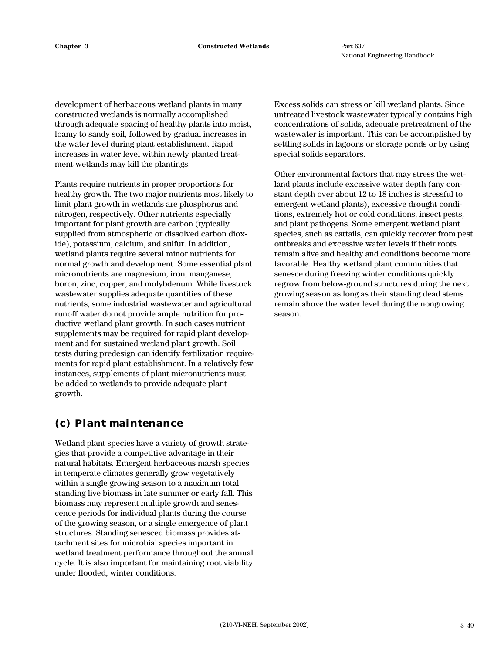development of herbaceous wetland plants in many constructed wetlands is normally accomplished through adequate spacing of healthy plants into moist, loamy to sandy soil, followed by gradual increases in the water level during plant establishment. Rapid increases in water level within newly planted treatment wetlands may kill the plantings.

Plants require nutrients in proper proportions for healthy growth. The two major nutrients most likely to limit plant growth in wetlands are phosphorus and nitrogen, respectively. Other nutrients especially important for plant growth are carbon (typically supplied from atmospheric or dissolved carbon dioxide), potassium, calcium, and sulfur. In addition, wetland plants require several minor nutrients for normal growth and development. Some essential plant micronutrients are magnesium, iron, manganese, boron, zinc, copper, and molybdenum. While livestock wastewater supplies adequate quantities of these nutrients, some industrial wastewater and agricultural runoff water do not provide ample nutrition for productive wetland plant growth. In such cases nutrient supplements may be required for rapid plant development and for sustained wetland plant growth. Soil tests during predesign can identify fertilization requirements for rapid plant establishment. In a relatively few instances, supplements of plant micronutrients must be added to wetlands to provide adequate plant growth.

### **(c) Plant maintenance**

Wetland plant species have a variety of growth strategies that provide a competitive advantage in their natural habitats. Emergent herbaceous marsh species in temperate climates generally grow vegetatively within a single growing season to a maximum total standing live biomass in late summer or early fall. This biomass may represent multiple growth and senescence periods for individual plants during the course of the growing season, or a single emergence of plant structures. Standing senesced biomass provides attachment sites for microbial species important in wetland treatment performance throughout the annual cycle. It is also important for maintaining root viability under flooded, winter conditions.

Excess solids can stress or kill wetland plants. Since untreated livestock wastewater typically contains high concentrations of solids, adequate pretreatment of the wastewater is important. This can be accomplished by settling solids in lagoons or storage ponds or by using special solids separators.

Other environmental factors that may stress the wetland plants include excessive water depth (any constant depth over about 12 to 18 inches is stressful to emergent wetland plants), excessive drought conditions, extremely hot or cold conditions, insect pests, and plant pathogens. Some emergent wetland plant species, such as cattails, can quickly recover from pest outbreaks and excessive water levels if their roots remain alive and healthy and conditions become more favorable. Healthy wetland plant communities that senesce during freezing winter conditions quickly regrow from below-ground structures during the next growing season as long as their standing dead stems remain above the water level during the nongrowing season.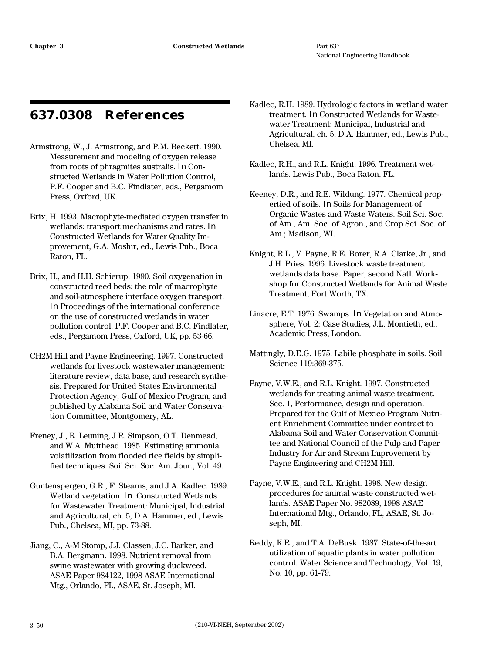# **637.0308 References**

- Armstrong, W., J. Armstrong, and P.M. Beckett. 1990. Measurement and modeling of oxygen release from roots of phragmites australis. *In* Constructed Wetlands in Water Pollution Control, P.F. Cooper and B.C. Findlater, eds., Pergamom Press, Oxford, UK.
- Brix, H. 1993. Macrophyte-mediated oxygen transfer in wetlands: transport mechanisms and rates. *In* Constructed Wetlands for Water Quality Improvement, G.A. Moshir, ed., Lewis Pub., Boca Raton, FL.
- Brix, H., and H.H. Schierup. 1990. Soil oxygenation in constructed reed beds: the role of macrophyte and soil-atmosphere interface oxygen transport. *In* Proceedings of the international conference on the use of constructed wetlands in water pollution control. P.F. Cooper and B.C. Findlater, eds., Pergamom Press, Oxford, UK, pp. 53-66.
- CH2M Hill and Payne Engineering. 1997. Constructed wetlands for livestock wastewater management: literature review, data base, and research synthesis. Prepared for United States Environmental Protection Agency, Gulf of Mexico Program, and published by Alabama Soil and Water Conservation Committee, Montgomery, AL.

Freney, J., R. Leuning, J.R. Simpson, O.T. Denmead, and W.A. Muirhead. 1985. Estimating ammonia volatilization from flooded rice fields by simplified techniques. Soil Sci. Soc. Am. Jour., Vol. 49.

Guntenspergen, G.R., F. Stearns, and J.A. Kadlec. 1989. Wetland vegetation. *In* Constructed Wetlands for Wastewater Treatment: Municipal, Industrial and Agricultural, ch. 5, D.A. Hammer, ed., Lewis Pub., Chelsea, MI, pp. 73-88.

Jiang, C., A-M Stomp, J.J. Classen, J.C. Barker, and B.A. Bergmann. 1998. Nutrient removal from swine wastewater with growing duckweed. ASAE Paper 984122, 1998 ASAE International Mtg., Orlando, FL, ASAE, St. Joseph, MI.

- Kadlec, R.H. 1989. Hydrologic factors in wetland water treatment. *In* Constructed Wetlands for Wastewater Treatment: Municipal, Industrial and Agricultural, ch. 5, D.A. Hammer, ed., Lewis Pub., Chelsea, MI.
- Kadlec, R.H., and R.L. Knight. 1996. Treatment wetlands. Lewis Pub., Boca Raton, FL.
- Keeney, D.R., and R.E. Wildung. 1977. Chemical propertied of soils. *In* Soils for Management of Organic Wastes and Waste Waters. Soil Sci. Soc. of Am., Am. Soc. of Agron., and Crop Sci. Soc. of Am.; Madison, WI.
- Knight, R.L., V. Payne, R.E. Borer, R.A. Clarke, Jr., and J.H. Pries. 1996. Livestock waste treatment wetlands data base. Paper, second Natl. Workshop for Constructed Wetlands for Animal Waste Treatment, Fort Worth, TX.
- Linacre, E.T. 1976. Swamps. *In* Vegetation and Atmosphere, Vol. 2: Case Studies, J.L. Montieth, ed., Academic Press, London.
- Mattingly, D.E.G. 1975. Labile phosphate in soils. Soil Science 119:369-375.
- Payne, V.W.E., and R.L. Knight. 1997. Constructed wetlands for treating animal waste treatment. Sec. 1, Performance, design and operation. Prepared for the Gulf of Mexico Program Nutrient Enrichment Committee under contract to Alabama Soil and Water Conservation Committee and National Council of the Pulp and Paper Industry for Air and Stream Improvement by Payne Engineering and CH2M Hill.
- Payne, V.W.E., and R.L. Knight. 1998. New design procedures for animal waste constructed wetlands. ASAE Paper No. 982089, 1998 ASAE International Mtg., Orlando, FL, ASAE, St. Joseph, MI.
- Reddy, K.R., and T.A. DeBusk. 1987. State-of-the-art utilization of aquatic plants in water pollution control. Water Science and Technology, Vol. 19, No. 10, pp. 61-79.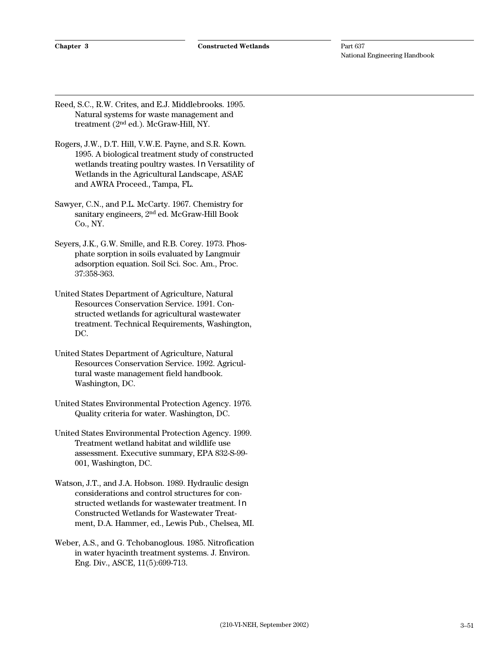Reed, S.C., R.W. Crites, and E.J. Middlebrooks. 1995. Natural systems for waste management and treatment (2nd ed.). McGraw-Hill, NY.

- Rogers, J.W., D.T. Hill, V.W.E. Payne, and S.R. Kown. 1995. A biological treatment study of constructed wetlands treating poultry wastes. *In* Versatility of Wetlands in the Agricultural Landscape, ASAE and AWRA Proceed., Tampa, FL.
- Sawyer, C.N., and P.L. McCarty. 1967. Chemistry for sanitary engineers, 2nd ed. McGraw-Hill Book Co., NY.
- Seyers, J.K., G.W. Smille, and R.B. Corey. 1973. Phosphate sorption in soils evaluated by Langmuir adsorption equation. Soil Sci. Soc. Am., Proc. 37:358-363.
- United States Department of Agriculture, Natural Resources Conservation Service. 1991. Constructed wetlands for agricultural wastewater treatment. Technical Requirements, Washington, DC.
- United States Department of Agriculture, Natural Resources Conservation Service. 1992. Agricultural waste management field handbook. Washington, DC.
- United States Environmental Protection Agency. 1976. Quality criteria for water. Washington, DC.
- United States Environmental Protection Agency. 1999. Treatment wetland habitat and wildlife use assessment. Executive summary, EPA 832-S-99- 001, Washington, DC.
- Watson, J.T., and J.A. Hobson. 1989. Hydraulic design considerations and control structures for constructed wetlands for wastewater treatment. *In* Constructed Wetlands for Wastewater Treatment, D.A. Hammer, ed., Lewis Pub., Chelsea, MI.
- Weber, A.S., and G. Tchobanoglous. 1985. Nitrofication in water hyacinth treatment systems. J. Environ. Eng. Div., ASCE, 11(5):699-713.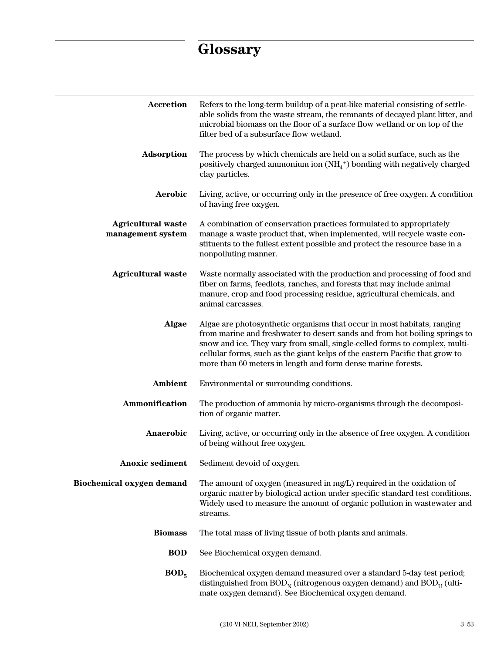# **Glossary**

| <b>Accretion</b>                               | Refers to the long-term buildup of a peat-like material consisting of settle-<br>able solids from the waste stream, the remnants of decayed plant litter, and<br>microbial biomass on the floor of a surface flow wetland or on top of the<br>filter bed of a subsurface flow wetland.                                                                                             |
|------------------------------------------------|------------------------------------------------------------------------------------------------------------------------------------------------------------------------------------------------------------------------------------------------------------------------------------------------------------------------------------------------------------------------------------|
| Adsorption                                     | The process by which chemicals are held on a solid surface, such as the<br>positively charged ammonium ion $(NH_4^+)$ bonding with negatively charged<br>clay particles.                                                                                                                                                                                                           |
| Aerobic                                        | Living, active, or occurring only in the presence of free oxygen. A condition<br>of having free oxygen.                                                                                                                                                                                                                                                                            |
| <b>Agricultural waste</b><br>management system | A combination of conservation practices formulated to appropriately<br>manage a waste product that, when implemented, will recycle waste con-<br>stituents to the fullest extent possible and protect the resource base in a<br>nonpolluting manner.                                                                                                                               |
| <b>Agricultural waste</b>                      | Waste normally associated with the production and processing of food and<br>fiber on farms, feedlots, ranches, and forests that may include animal<br>manure, crop and food processing residue, agricultural chemicals, and<br>animal carcasses.                                                                                                                                   |
| Algae                                          | Algae are photosynthetic organisms that occur in most habitats, ranging<br>from marine and freshwater to desert sands and from hot boiling springs to<br>snow and ice. They vary from small, single-celled forms to complex, multi-<br>cellular forms, such as the giant kelps of the eastern Pacific that grow to<br>more than 60 meters in length and form dense marine forests. |
| Ambient                                        | Environmental or surrounding conditions.                                                                                                                                                                                                                                                                                                                                           |
| Ammonification                                 | The production of ammonia by micro-organisms through the decomposi-<br>tion of organic matter.                                                                                                                                                                                                                                                                                     |
| Anaerobic                                      | Living, active, or occurring only in the absence of free oxygen. A condition<br>of being without free oxygen.                                                                                                                                                                                                                                                                      |
| <b>Anoxic sediment</b>                         | Sediment devoid of oxygen.                                                                                                                                                                                                                                                                                                                                                         |
| Biochemical oxygen demand                      | The amount of oxygen (measured in mg/L) required in the oxidation of<br>organic matter by biological action under specific standard test conditions.<br>Widely used to measure the amount of organic pollution in wastewater and<br>streams.                                                                                                                                       |
| <b>Biomass</b>                                 | The total mass of living tissue of both plants and animals.                                                                                                                                                                                                                                                                                                                        |
| <b>BOD</b>                                     | See Biochemical oxygen demand.                                                                                                                                                                                                                                                                                                                                                     |
| BOD <sub>5</sub>                               | Biochemical oxygen demand measured over a standard 5-day test period;<br>distinguished from $BODN$ (nitrogenous oxygen demand) and $BODII$ (ulti-<br>mate oxygen demand). See Biochemical oxygen demand.                                                                                                                                                                           |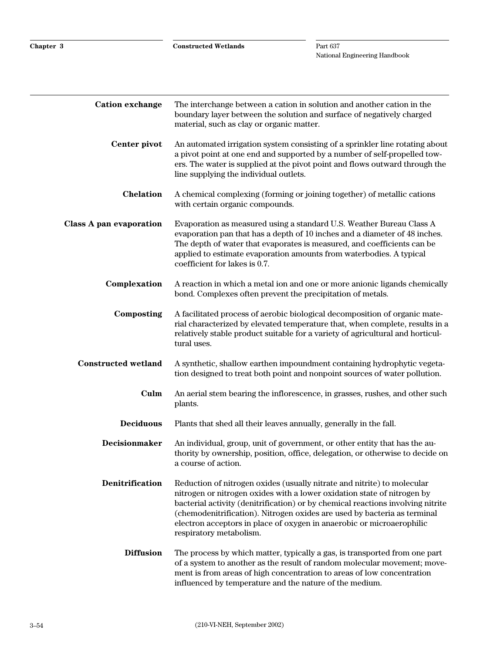**Chapter 3 Constructed Wetlands**

| <b>Cation exchange</b>         | The interchange between a cation in solution and another cation in the<br>boundary layer between the solution and surface of negatively charged<br>material, such as clay or organic matter.                                                                                                                                                                                                                          |
|--------------------------------|-----------------------------------------------------------------------------------------------------------------------------------------------------------------------------------------------------------------------------------------------------------------------------------------------------------------------------------------------------------------------------------------------------------------------|
| Center pivot                   | An automated irrigation system consisting of a sprinkler line rotating about<br>a pivot point at one end and supported by a number of self-propelled tow-<br>ers. The water is supplied at the pivot point and flows outward through the<br>line supplying the individual outlets.                                                                                                                                    |
| <b>Chelation</b>               | A chemical complexing (forming or joining together) of metallic cations<br>with certain organic compounds.                                                                                                                                                                                                                                                                                                            |
| <b>Class A pan evaporation</b> | Evaporation as measured using a standard U.S. Weather Bureau Class A<br>evaporation pan that has a depth of 10 inches and a diameter of 48 inches.<br>The depth of water that evaporates is measured, and coefficients can be<br>applied to estimate evaporation amounts from waterbodies. A typical<br>coefficient for lakes is 0.7.                                                                                 |
| Complexation                   | A reaction in which a metal ion and one or more anionic ligands chemically<br>bond. Complexes often prevent the precipitation of metals.                                                                                                                                                                                                                                                                              |
| Composting                     | A facilitated process of aerobic biological decomposition of organic mate-<br>rial characterized by elevated temperature that, when complete, results in a<br>relatively stable product suitable for a variety of agricultural and horticul-<br>tural uses.                                                                                                                                                           |
| <b>Constructed wetland</b>     | A synthetic, shallow earthen impoundment containing hydrophytic vegeta-<br>tion designed to treat both point and nonpoint sources of water pollution.                                                                                                                                                                                                                                                                 |
| Culm                           | An aerial stem bearing the inflorescence, in grasses, rushes, and other such<br>plants.                                                                                                                                                                                                                                                                                                                               |
| <b>Deciduous</b>               | Plants that shed all their leaves annually, generally in the fall.                                                                                                                                                                                                                                                                                                                                                    |
| <b>Decisionmaker</b>           | An individual, group, unit of government, or other entity that has the au-<br>thority by ownership, position, office, delegation, or otherwise to decide on<br>a course of action.                                                                                                                                                                                                                                    |
| Denitrification                | Reduction of nitrogen oxides (usually nitrate and nitrite) to molecular<br>nitrogen or nitrogen oxides with a lower oxidation state of nitrogen by<br>bacterial activity (denitrification) or by chemical reactions involving nitrite<br>(chemodenitrification). Nitrogen oxides are used by bacteria as terminal<br>electron acceptors in place of oxygen in anaerobic or microaerophilic<br>respiratory metabolism. |
| <b>Diffusion</b>               | The process by which matter, typically a gas, is transported from one part<br>of a system to another as the result of random molecular movement; move-<br>ment is from areas of high concentration to areas of low concentration<br>influenced by temperature and the nature of the medium.                                                                                                                           |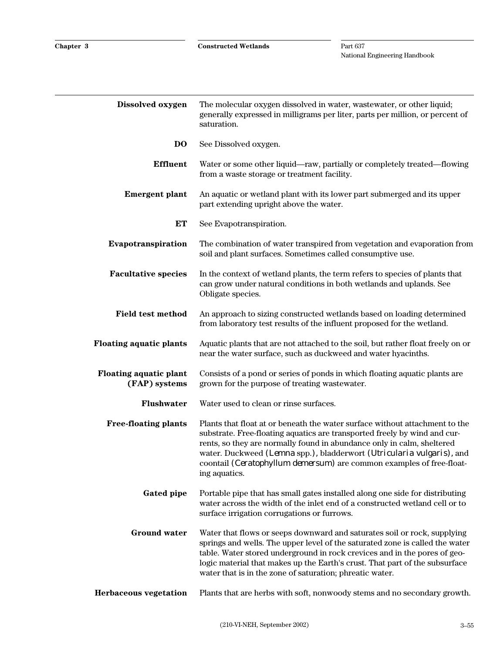| Dissolved oxygen                               | The molecular oxygen dissolved in water, wastewater, or other liquid;<br>generally expressed in milligrams per liter, parts per million, or percent of<br>saturation.                                                                                                                                                                                                                                |
|------------------------------------------------|------------------------------------------------------------------------------------------------------------------------------------------------------------------------------------------------------------------------------------------------------------------------------------------------------------------------------------------------------------------------------------------------------|
| DO                                             | See Dissolved oxygen.                                                                                                                                                                                                                                                                                                                                                                                |
| <b>Effluent</b>                                | Water or some other liquid—raw, partially or completely treated—flowing<br>from a waste storage or treatment facility.                                                                                                                                                                                                                                                                               |
| <b>Emergent plant</b>                          | An aquatic or wetland plant with its lower part submerged and its upper<br>part extending upright above the water.                                                                                                                                                                                                                                                                                   |
| <b>ET</b>                                      | See Evapotranspiration.                                                                                                                                                                                                                                                                                                                                                                              |
| Evapotranspiration                             | The combination of water transpired from vegetation and evaporation from<br>soil and plant surfaces. Sometimes called consumptive use.                                                                                                                                                                                                                                                               |
| <b>Facultative species</b>                     | In the context of wetland plants, the term refers to species of plants that<br>can grow under natural conditions in both wetlands and uplands. See<br>Obligate species.                                                                                                                                                                                                                              |
| <b>Field test method</b>                       | An approach to sizing constructed wetlands based on loading determined<br>from laboratory test results of the influent proposed for the wetland.                                                                                                                                                                                                                                                     |
| <b>Floating aquatic plants</b>                 | Aquatic plants that are not attached to the soil, but rather float freely on or<br>near the water surface, such as duckweed and water hyacinths.                                                                                                                                                                                                                                                     |
| <b>Floating aquatic plant</b><br>(FAP) systems | Consists of a pond or series of ponds in which floating aquatic plants are<br>grown for the purpose of treating wastewater.                                                                                                                                                                                                                                                                          |
| <b>Flushwater</b>                              | Water used to clean or rinse surfaces.                                                                                                                                                                                                                                                                                                                                                               |
| <b>Free-floating plants</b>                    | Plants that float at or beneath the water surface without attachment to the<br>substrate. Free-floating aquatics are transported freely by wind and cur-<br>rents, so they are normally found in abundance only in calm, sheltered<br>water. Duckweed (Lemna spp.), bladderwort (Utricularia vulgaris), and<br>coontail (Ceratophyllum demersum) are common examples of free-float-<br>ing aquatics. |
| <b>Gated pipe</b>                              | Portable pipe that has small gates installed along one side for distributing<br>water across the width of the inlet end of a constructed wetland cell or to<br>surface irrigation corrugations or furrows.                                                                                                                                                                                           |
| <b>Ground water</b>                            | Water that flows or seeps downward and saturates soil or rock, supplying<br>springs and wells. The upper level of the saturated zone is called the water<br>table. Water stored underground in rock crevices and in the pores of geo-<br>logic material that makes up the Earth's crust. That part of the subsurface<br>water that is in the zone of saturation; phreatic water.                     |
| Herbaceous vegetation                          | Plants that are herbs with soft, nonwoody stems and no secondary growth.                                                                                                                                                                                                                                                                                                                             |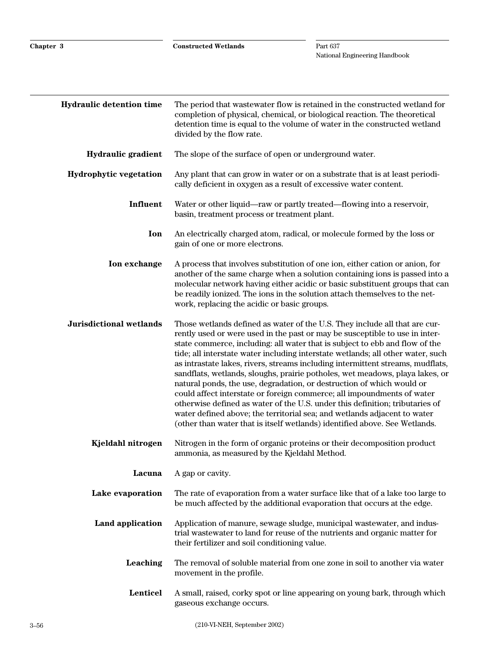| <b>Hydraulic detention time</b> | The period that was tewater flow is retained in the constructed wetland for<br>completion of physical, chemical, or biological reaction. The theoretical<br>detention time is equal to the volume of water in the constructed wetland<br>divided by the flow rate.                                                                                                                                                                                                                                                                                                                                                                                                                                                                                                                                                                                                                         |
|---------------------------------|--------------------------------------------------------------------------------------------------------------------------------------------------------------------------------------------------------------------------------------------------------------------------------------------------------------------------------------------------------------------------------------------------------------------------------------------------------------------------------------------------------------------------------------------------------------------------------------------------------------------------------------------------------------------------------------------------------------------------------------------------------------------------------------------------------------------------------------------------------------------------------------------|
| Hydraulic gradient              | The slope of the surface of open or underground water.                                                                                                                                                                                                                                                                                                                                                                                                                                                                                                                                                                                                                                                                                                                                                                                                                                     |
| <b>Hydrophytic vegetation</b>   | Any plant that can grow in water or on a substrate that is at least periodi-<br>cally deficient in oxygen as a result of excessive water content.                                                                                                                                                                                                                                                                                                                                                                                                                                                                                                                                                                                                                                                                                                                                          |
| Influent                        | Water or other liquid—raw or partly treated—flowing into a reservoir,<br>basin, treatment process or treatment plant.                                                                                                                                                                                                                                                                                                                                                                                                                                                                                                                                                                                                                                                                                                                                                                      |
| Ion                             | An electrically charged atom, radical, or molecule formed by the loss or<br>gain of one or more electrons.                                                                                                                                                                                                                                                                                                                                                                                                                                                                                                                                                                                                                                                                                                                                                                                 |
| Ion exchange                    | A process that involves substitution of one ion, either cation or anion, for<br>another of the same charge when a solution containing ions is passed into a<br>molecular network having either acidic or basic substituent groups that can<br>be readily ionized. The ions in the solution attach themselves to the net-<br>work, replacing the acidic or basic groups.                                                                                                                                                                                                                                                                                                                                                                                                                                                                                                                    |
| <b>Jurisdictional wetlands</b>  | Those wetlands defined as water of the U.S. They include all that are cur-<br>rently used or were used in the past or may be susceptible to use in inter-<br>state commerce, including: all water that is subject to ebb and flow of the<br>tide; all interstate water including interstate wetlands; all other water, such<br>as intrastate lakes, rivers, streams including intermittent streams, mudflats,<br>sandflats, wetlands, sloughs, prairie potholes, wet meadows, playa lakes, or<br>natural ponds, the use, degradation, or destruction of which would or<br>could affect interstate or foreign commerce; all impoundments of water<br>otherwise defined as water of the U.S. under this definition; tributaries of<br>water defined above; the territorial sea; and wetlands adjacent to water<br>(other than water that is itself wetlands) identified above. See Wetlands. |
| Kjeldahl nitrogen               | Nitrogen in the form of organic proteins or their decomposition product<br>ammonia, as measured by the Kjeldahl Method.                                                                                                                                                                                                                                                                                                                                                                                                                                                                                                                                                                                                                                                                                                                                                                    |
| Lacuna                          | A gap or cavity.                                                                                                                                                                                                                                                                                                                                                                                                                                                                                                                                                                                                                                                                                                                                                                                                                                                                           |
| Lake evaporation                | The rate of evaporation from a water surface like that of a lake too large to<br>be much affected by the additional evaporation that occurs at the edge.                                                                                                                                                                                                                                                                                                                                                                                                                                                                                                                                                                                                                                                                                                                                   |
| Land application                | Application of manure, sewage sludge, municipal wastewater, and indus-<br>trial wastewater to land for reuse of the nutrients and organic matter for<br>their fertilizer and soil conditioning value.                                                                                                                                                                                                                                                                                                                                                                                                                                                                                                                                                                                                                                                                                      |
| Leaching                        | The removal of soluble material from one zone in soil to another via water<br>movement in the profile.                                                                                                                                                                                                                                                                                                                                                                                                                                                                                                                                                                                                                                                                                                                                                                                     |
| Lenticel                        | A small, raised, corky spot or line appearing on young bark, through which<br>gaseous exchange occurs.                                                                                                                                                                                                                                                                                                                                                                                                                                                                                                                                                                                                                                                                                                                                                                                     |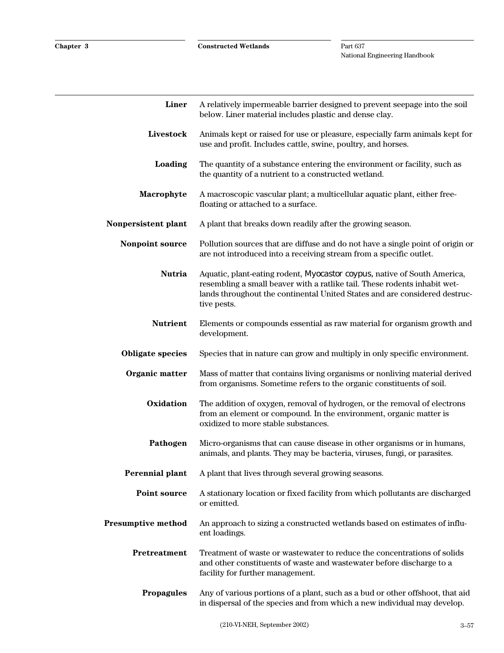| Liner                     | A relatively impermeable barrier designed to prevent seepage into the soil<br>below. Liner material includes plastic and dense clay.                                                                                                               |
|---------------------------|----------------------------------------------------------------------------------------------------------------------------------------------------------------------------------------------------------------------------------------------------|
| Livestock                 | Animals kept or raised for use or pleasure, especially farm animals kept for<br>use and profit. Includes cattle, swine, poultry, and horses.                                                                                                       |
| Loading                   | The quantity of a substance entering the environment or facility, such as<br>the quantity of a nutrient to a constructed wetland.                                                                                                                  |
| Macrophyte                | A macroscopic vascular plant; a multicellular aquatic plant, either free-<br>floating or attached to a surface.                                                                                                                                    |
| Nonpersistent plant       | A plant that breaks down readily after the growing season.                                                                                                                                                                                         |
| Nonpoint source           | Pollution sources that are diffuse and do not have a single point of origin or<br>are not introduced into a receiving stream from a specific outlet.                                                                                               |
| <b>Nutria</b>             | Aquatic, plant-eating rodent, Myocastor coypus, native of South America,<br>resembling a small beaver with a ratlike tail. These rodents inhabit wet-<br>lands throughout the continental United States and are considered destruc-<br>tive pests. |
| <b>Nutrient</b>           | Elements or compounds essential as raw material for organism growth and<br>development.                                                                                                                                                            |
| <b>Obligate species</b>   | Species that in nature can grow and multiply in only specific environment.                                                                                                                                                                         |
| Organic matter            | Mass of matter that contains living organisms or nonliving material derived<br>from organisms. Sometime refers to the organic constituents of soil.                                                                                                |
| Oxidation                 | The addition of oxygen, removal of hydrogen, or the removal of electrons<br>from an element or compound. In the environment, organic matter is<br>oxidized to more stable substances.                                                              |
| Pathogen                  | Micro-organisms that can cause disease in other organisms or in humans,<br>animals, and plants. They may be bacteria, viruses, fungi, or parasites.                                                                                                |
|                           | <b>Perennial plant</b> A plant that lives through several growing seasons.                                                                                                                                                                         |
| <b>Point source</b>       | A stationary location or fixed facility from which pollutants are discharged<br>or emitted.                                                                                                                                                        |
| <b>Presumptive method</b> | An approach to sizing a constructed wetlands based on estimates of influ-<br>ent loadings.                                                                                                                                                         |
| Pretreatment              | Treatment of waste or wastewater to reduce the concentrations of solids<br>and other constituents of waste and wastewater before discharge to a<br>facility for further management.                                                                |
| <b>Propagules</b>         | Any of various portions of a plant, such as a bud or other offshoot, that aid<br>in dispersal of the species and from which a new individual may develop.                                                                                          |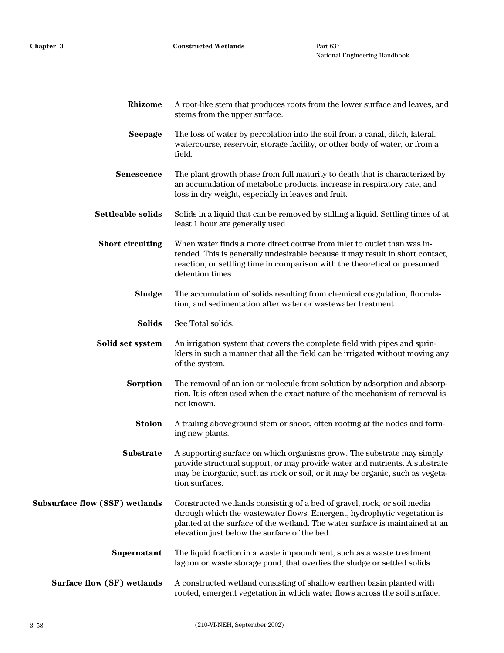| <b>Rhizome</b>                        | A root-like stem that produces roots from the lower surface and leaves, and<br>stems from the upper surface.                                                                                                                                                                       |
|---------------------------------------|------------------------------------------------------------------------------------------------------------------------------------------------------------------------------------------------------------------------------------------------------------------------------------|
| <b>Seepage</b>                        | The loss of water by percolation into the soil from a canal, ditch, lateral,<br>watercourse, reservoir, storage facility, or other body of water, or from a<br>field.                                                                                                              |
| <b>Senescence</b>                     | The plant growth phase from full maturity to death that is characterized by<br>an accumulation of metabolic products, increase in respiratory rate, and<br>loss in dry weight, especially in leaves and fruit.                                                                     |
| Settleable solids                     | Solids in a liquid that can be removed by stilling a liquid. Settling times of at<br>least 1 hour are generally used.                                                                                                                                                              |
| <b>Short circuiting</b>               | When water finds a more direct course from inlet to outlet than was in-<br>tended. This is generally undesirable because it may result in short contact,<br>reaction, or settling time in comparison with the theoretical or presumed<br>detention times.                          |
| <b>Sludge</b>                         | The accumulation of solids resulting from chemical coagulation, floccula-<br>tion, and sedimentation after water or wastewater treatment.                                                                                                                                          |
| <b>Solids</b>                         | See Total solids.                                                                                                                                                                                                                                                                  |
| Solid set system                      | An irrigation system that covers the complete field with pipes and sprin-<br>klers in such a manner that all the field can be irrigated without moving any<br>of the system.                                                                                                       |
| <b>Sorption</b>                       | The removal of an ion or molecule from solution by adsorption and absorp-<br>tion. It is often used when the exact nature of the mechanism of removal is<br>not known.                                                                                                             |
| <b>Stolon</b>                         | A trailing aboveground stem or shoot, often rooting at the nodes and form-<br>ing new plants.                                                                                                                                                                                      |
| <b>Substrate</b>                      | A supporting surface on which organisms grow. The substrate may simply<br>provide structural support, or may provide water and nutrients. A substrate<br>may be inorganic, such as rock or soil, or it may be organic, such as vegeta-<br>tion surfaces.                           |
| <b>Subsurface flow (SSF) wetlands</b> | Constructed wetlands consisting of a bed of gravel, rock, or soil media<br>through which the wastewater flows. Emergent, hydrophytic vegetation is<br>planted at the surface of the wetland. The water surface is maintained at an<br>elevation just below the surface of the bed. |
| Supernatant                           | The liquid fraction in a waste impoundment, such as a waste treatment<br>lagoon or waste storage pond, that overlies the sludge or settled solids.                                                                                                                                 |
| Surface flow (SF) wetlands            | A constructed wetland consisting of shallow earthen basin planted with<br>rooted, emergent vegetation in which water flows across the soil surface.                                                                                                                                |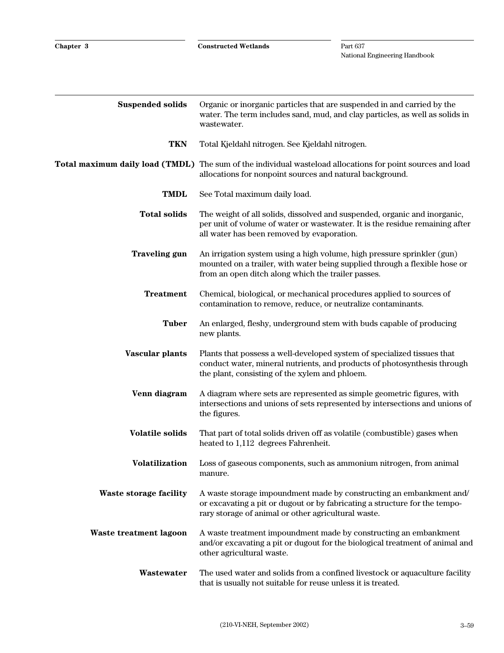| <b>Suspended solids</b>       | Organic or inorganic particles that are suspended in and carried by the<br>water. The term includes sand, mud, and clay particles, as well as solids in<br>wastewater.                                      |
|-------------------------------|-------------------------------------------------------------------------------------------------------------------------------------------------------------------------------------------------------------|
| <b>TKN</b>                    | Total Kjeldahl nitrogen. See Kjeldahl nitrogen.                                                                                                                                                             |
|                               | Total maximum daily load (TMDL) The sum of the individual wasteload allocations for point sources and load<br>allocations for nonpoint sources and natural background.                                      |
| <b>TMDL</b>                   | See Total maximum daily load.                                                                                                                                                                               |
| <b>Total solids</b>           | The weight of all solids, dissolved and suspended, organic and inorganic,<br>per unit of volume of water or wastewater. It is the residue remaining after<br>all water has been removed by evaporation.     |
| <b>Traveling gun</b>          | An irrigation system using a high volume, high pressure sprinkler (gun)<br>mounted on a trailer, with water being supplied through a flexible hose or<br>from an open ditch along which the trailer passes. |
| <b>Treatment</b>              | Chemical, biological, or mechanical procedures applied to sources of<br>contamination to remove, reduce, or neutralize contaminants.                                                                        |
| <b>Tuber</b>                  | An enlarged, fleshy, underground stem with buds capable of producing<br>new plants.                                                                                                                         |
| Vascular plants               | Plants that possess a well-developed system of specialized tissues that<br>conduct water, mineral nutrients, and products of photosynthesis through<br>the plant, consisting of the xylem and phloem.       |
| Venn diagram                  | A diagram where sets are represented as simple geometric figures, with<br>intersections and unions of sets represented by intersections and unions of<br>the figures.                                       |
| <b>Volatile solids</b>        | That part of total solids driven off as volatile (combustible) gases when<br>heated to 1,112 degrees Fahrenheit.                                                                                            |
| <b>Volatilization</b>         | Loss of gaseous components, such as ammonium nitrogen, from animal<br>manure.                                                                                                                               |
| <b>Waste storage facility</b> | A waste storage impoundment made by constructing an embankment and/<br>or excavating a pit or dugout or by fabricating a structure for the tempo-<br>rary storage of animal or other agricultural waste.    |
| Waste treatment lagoon        | A waste treatment impoundment made by constructing an embankment<br>and/or excavating a pit or dugout for the biological treatment of animal and<br>other agricultural waste.                               |
| Wastewater                    | The used water and solids from a confined livestock or aquaculture facility<br>that is usually not suitable for reuse unless it is treated.                                                                 |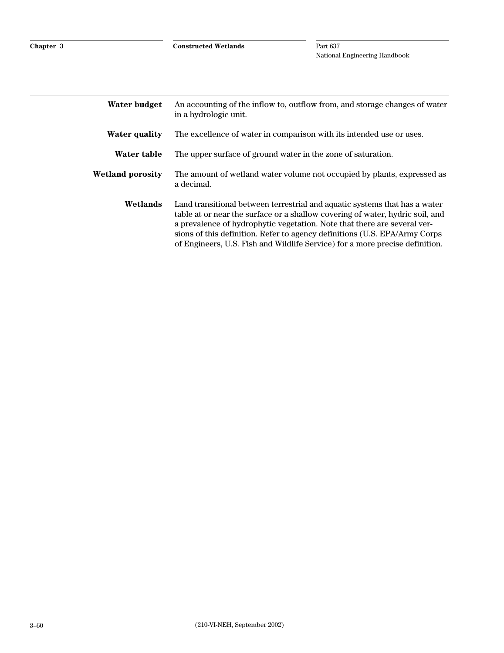| Water budget         | An accounting of the inflow to, outflow from, and storage changes of water<br>in a hydrologic unit.                                                                                                                                                                                                                                                                                                   |
|----------------------|-------------------------------------------------------------------------------------------------------------------------------------------------------------------------------------------------------------------------------------------------------------------------------------------------------------------------------------------------------------------------------------------------------|
| <b>Water quality</b> | The excellence of water in comparison with its intended use or uses.                                                                                                                                                                                                                                                                                                                                  |
| Water table          | The upper surface of ground water in the zone of saturation.                                                                                                                                                                                                                                                                                                                                          |
| Wetland porosity     | The amount of wetland water volume not occupied by plants, expressed as<br>a decimal.                                                                                                                                                                                                                                                                                                                 |
| Wetlands             | Land transitional between terrestrial and aquatic systems that has a water<br>table at or near the surface or a shallow covering of water, hydric soil, and<br>a prevalence of hydrophytic vegetation. Note that there are several ver-<br>sions of this definition. Refer to agency definitions (U.S. EPA/Army Corps<br>of Engineers, U.S. Fish and Wildlife Service) for a more precise definition. |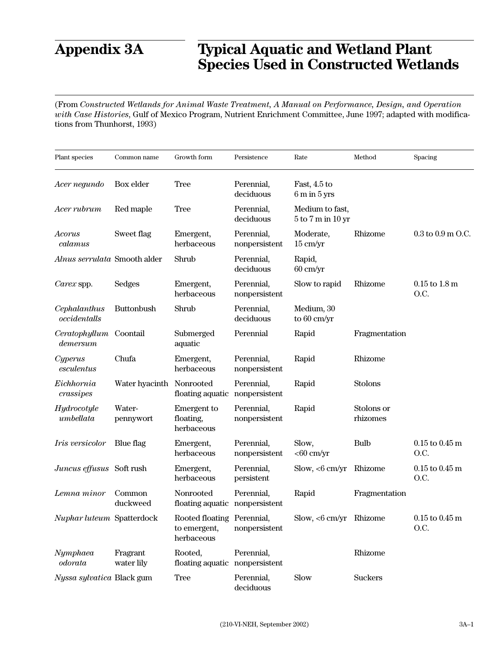# **Appendix 3A Typical Aquatic and Wetland Plant Species Used in Constructed Wetlands**

(From *Constructed Wetlands for Animal Waste Treatment, A Manual on Performance, Design, and Operation with Case Histories*, Gulf of Mexico Program, Nutrient Enrichment Committee, June 1997; adapted with modifications from Thunhorst, 1993)

| Plant species                | Common name            | Growth form                                              | Persistence                 | Rate                                       | Method                 | Spacing                             |
|------------------------------|------------------------|----------------------------------------------------------|-----------------------------|--------------------------------------------|------------------------|-------------------------------------|
| Acer negundo                 | Box elder              | <b>Tree</b>                                              | Perennial,<br>deciduous     | Fast, 4.5 to<br>$6m$ in $5yrs$             |                        |                                     |
| Acer rubrum                  | Red maple              | <b>Tree</b>                                              | Perennial,<br>deciduous     | Medium to fast,<br>$5$ to $7$ m in $10$ yr |                        |                                     |
| Acorus<br>calamus            | Sweet flag             | Emergent,<br>herbaceous                                  | Perennial,<br>nonpersistent | Moderate,<br>$15 \text{ cm/yr}$            | Rhizome                | $0.3$ to $0.9$ m O.C.               |
| Alnus serrulata Smooth alder |                        | Shrub                                                    | Perennial,<br>deciduous     | Rapid,<br>$60 \text{ cm/yr}$               |                        |                                     |
| Carex spp.                   | Sedges                 | Emergent,<br>herbaceous                                  | Perennial,<br>nonpersistent | Slow to rapid                              | Rhizome                | $0.15$ to $1.8$ m<br>O.C.           |
| Cephalanthus<br>occidentalls | Buttonbush             | Shrub                                                    | Perennial,<br>deciduous     | Medium, 30<br>to 60 cm/yr                  |                        |                                     |
| Ceratophyllum<br>demersum    | Coontail               | Submerged<br>aquatic                                     | Perennial                   | Rapid                                      | Fragmentation          |                                     |
| Cyperus<br>esculentus        | Chufa                  | Emergent,<br>herbaceous                                  | Perennial,<br>nonpersistent | Rapid                                      | Rhizome                |                                     |
| Eichhornia<br>crassipes      | Water hyacinth         | Nonrooted<br>floating aquatic                            | Perennial,<br>nonpersistent | Rapid                                      | Stolons                |                                     |
| Hydrocotyle<br>umbellata     | Water-<br>pennywort    | Emergent to<br>floating,<br>herbaceous                   | Perennial,<br>nonpersistent | Rapid                                      | Stolons or<br>rhizomes |                                     |
| <i>Iris</i> versicolor       | Blue flag              | Emergent,<br>herbaceous                                  | Perennial,<br>nonpersistent | Slow,<br>$<$ 60 cm/yr                      | <b>Bulb</b>            | $0.15$ to $0.45$ m<br>O.C.          |
| Juncus effusus Soft rush     |                        | Emergent,<br>herbaceous                                  | Perennial,<br>persistent    | $Slow, < 6$ cm/yr                          | Rhizome                | $0.15$ to $0.45$ m<br>O.C.          |
| Lemna minor                  | Common<br>duckweed     | Nonrooted<br>floating aquatic nonpersistent              | Perennial,                  | Rapid                                      | Fragmentation          |                                     |
| Nuphar luteum Spatterdock    |                        | Rooted floating Perennial,<br>to emergent,<br>herbaceous | nonpersistent               | Slow, $<$ 6 cm/yr Rhizome                  |                        | $0.15$ to $0.45~\mathrm{m}$<br>O.C. |
| Nymphaea<br>odorata          | Fragrant<br>water lily | Rooted,<br>floating aquatic nonpersistent                | Perennial,                  |                                            | Rhizome                |                                     |
| Nyssa sylvatica Black gum    |                        | <b>Tree</b>                                              | Perennial,<br>deciduous     | Slow                                       | <b>Suckers</b>         |                                     |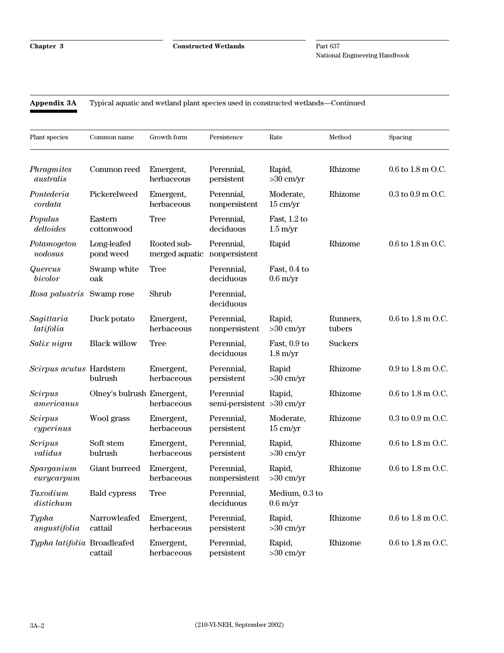#### **Appendix 3A** Typical aquatic and wetland plant species used in constructed wetlands—Continued

| Plant species                | Common name               | Growth form                                 | Persistence                            | Rate                                 | Method             | Spacing               |
|------------------------------|---------------------------|---------------------------------------------|----------------------------------------|--------------------------------------|--------------------|-----------------------|
| Phragmites<br>australis      | Common reed               | Emergent,<br>herbaceous                     | Perennial,<br>persistent               | Rapid,<br>$>30$ cm/yr                | Rhizome            | $0.6$ to $1.8$ m O.C. |
| Pontederia<br>cordata        | Pickerelweed              | Emergent,<br>herbaceous                     | Perennial,<br>nonpersistent            | Moderate,<br>$15 \text{ cm/yr}$      | Rhizome            | $0.3$ to $0.9$ m O.C. |
| Populus<br>deltoides         | Eastern<br>cottonwood     | Tree                                        | Perennial,<br>deciduous                | Fast, 1.2 to<br>$1.5 \text{ m/yr}$   |                    |                       |
| Potamogeton<br>nodosus       | Long-leafed<br>pond weed  | Rooted sub-<br>merged aquatic nonpersistent | Perennial,                             | Rapid                                | Rhizome            | $0.6$ to $1.8$ m O.C. |
| Quercus<br>bicolor           | Swamp white<br>oak        | <b>Tree</b>                                 | Perennial,<br>deciduous                | Fast, 0.4 to<br>$0.6 \text{ m/yr}$   |                    |                       |
| Rosa palustris               | Swamp rose                | Shrub                                       | Perennial,<br>deciduous                |                                      |                    |                       |
| Sagittaria<br>latifolia      | Duck potato               | Emergent,<br>herbaceous                     | Perennial,<br>nonpersistent            | Rapid,<br>$>30$ cm/yr                | Runners,<br>tubers | 0.6 to 1.8 m O.C.     |
| Salix nigra                  | <b>Black willow</b>       | <b>Tree</b>                                 | Perennial,<br>deciduous                | Fast, 0.9 to<br>$1.8 \text{ m/yr}$   | <b>Suckers</b>     |                       |
| Scirpus acutus Hardstem      | bulrush                   | Emergent,<br>herbaceous                     | Perennial,<br>persistent               | Rapid<br>$>30$ cm/yr                 | Rhizome            | 0.9 to 1.8 m O.C.     |
| <b>Scirpus</b><br>americanus | Olney's bulrush Emergent, | herbaceous                                  | Perennial<br>semi-persistent >30 cm/yr | Rapid,                               | Rhizome            | 0.6 to 1.8 m O.C.     |
| <b>Scirpus</b><br>cyperinus  | Wool grass                | Emergent,<br>herbaceous                     | Perennial,<br>persistent               | Moderate,<br>$15 \text{ cm/yr}$      | Rhizome            | $0.3$ to $0.9$ m O.C. |
| <b>Scripus</b><br>validus    | Soft stem<br>bulrush      | Emergent,<br>herbaceous                     | Perennial,<br>persistent               | Rapid,<br>$>30$ cm/yr                | Rhizome            | 0.6 to 1.8 m O.C.     |
| $S\nparganium$<br>eurycarpum | Giant burreed             | Emergent,<br>herbaceous                     | Perennial,<br>nonpersistent            | Rapid,<br>$>30$ cm/yr                | Rhizome            | 0.6 to 1.8 m O.C.     |
| Taxodium<br>distichum        | <b>Bald cypress</b>       | <b>Tree</b>                                 | Perennial,<br>deciduous                | Medium, 0.3 to<br>$0.6 \text{ m/yr}$ |                    |                       |
| Typha<br>angustifolia        | Narrowleafed<br>cattail   | Emergent,<br>herbaceous                     | Perennial,<br>persistent               | Rapid,<br>$>30$ cm/yr                | Rhizome            | 0.6 to 1.8 m O.C.     |
| Typha latifolia Broadleafed  | cattail                   | Emergent,<br>herbaceous                     | Perennial,<br>persistent               | Rapid,<br>$>30$ cm/yr                | Rhizome            | 0.6 to 1.8 m O.C.     |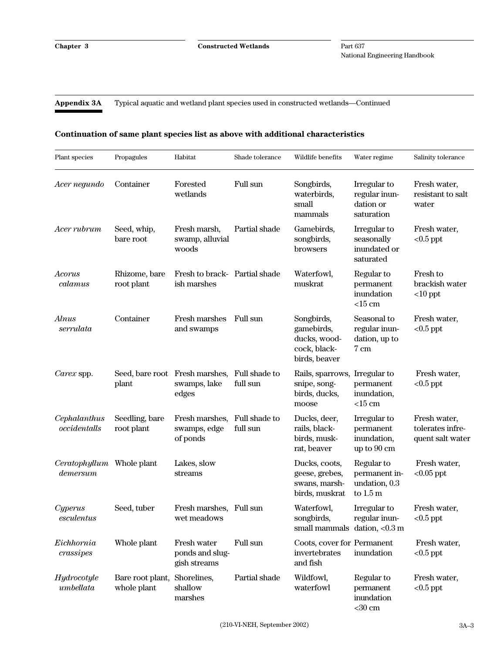**Appendix 3A** Typical aquatic and wetland plant species used in constructed wetlands—Continued

#### **Continuation of same plant species list as above with additional characteristics**

| Plant species                | Propagules                      | Habitat                                                 | Shade tolerance           | Wildlife benefits                                                         | Water regime                                              | Salinity tolerance                                   |
|------------------------------|---------------------------------|---------------------------------------------------------|---------------------------|---------------------------------------------------------------------------|-----------------------------------------------------------|------------------------------------------------------|
| Acer negundo                 | Container                       | Forested<br>wetlands                                    | Full sun                  | Songbirds,<br>waterbirds,<br>small<br>mammals                             | Irregular to<br>regular inun-<br>dation or<br>saturation  | Fresh water,<br>resistant to salt<br>water           |
| Acer rubrum                  | Seed, whip,<br>bare root        | Fresh marsh,<br>swamp, alluvial<br>woods                | Partial shade             | Gamebirds,<br>songbirds,<br>browsers                                      | Irregular to<br>seasonally<br>inundated or<br>saturated   | Fresh water,<br>$<0.5$ ppt                           |
| Acorus<br>calamus            | Rhizome, bare<br>root plant     | Fresh to brack- Partial shade<br>ish marshes            |                           | Waterfowl,<br>muskrat                                                     | Regular to<br>permanent<br>inundation<br>$<$ 15 cm        | <b>Fresh to</b><br>brackish water<br>$<$ 10 ppt      |
| Alnus<br>serrulata           | Container                       | <b>Fresh marshes</b><br>and swamps                      | Full sun                  | Songbirds,<br>gamebirds,<br>ducks, wood-<br>cock, black-<br>birds, beaver | Seasonal to<br>regular inun-<br>dation, up to<br>7 cm     | Fresh water,<br>$<0.5$ ppt                           |
| Carex spp.                   | plant                           | Seed, bare root Fresh marshes,<br>swamps, lake<br>edges | Full shade to<br>full sun | Rails, sparrows,<br>snipe, song-<br>birds, ducks,<br>moose                | Irregular to<br>permanent<br>inundation,<br>$<$ 15 cm     | Fresh water,<br>$<0.5$ ppt                           |
| Cephalanthus<br>occidentalls | Seedling, bare<br>root plant    | Fresh marshes,<br>swamps, edge<br>of ponds              | Full shade to<br>full sun | Ducks, deer,<br>rails, black-<br>birds, musk-<br>rat, beaver              | Irregular to<br>permanent<br>inundation,<br>up to 90 cm   | Fresh water,<br>tolerates infre-<br>quent salt water |
| Ceratophyllum<br>demersum    | Whole plant                     | Lakes, slow<br>streams                                  |                           | Ducks, coots,<br>geese, grebes,<br>swans, marsh-<br>birds, muskrat        | Regular to<br>permanent in-<br>undation, 0.3<br>to $1.5m$ | Fresh water,<br>$<0.05$ ppt                          |
| Cyperus<br>esculentus        | Seed, tuber                     | Fresh marshes, Full sun<br>wet meadows                  |                           | Waterfowl,<br>songbirds,<br>small mammals dation, $< 0.3$ m               | Irregular to<br>regular inun-                             | Fresh water,<br>${<}0.5\,\mathrm{ppt}$               |
| Eichhornia<br>crassipes      | Whole plant                     | Fresh water<br>ponds and slug-<br>gish streams          | Full sun                  | Coots, cover for Permanent<br>invertebrates<br>and fish                   | inundation                                                | Fresh water,<br>$<0.5$ ppt                           |
| Hydrocotyle<br>umbellata     | Bare root plant,<br>whole plant | Shorelines,<br>shallow<br>marshes                       | Partial shade             | Wildfowl,<br>waterfowl                                                    | Regular to<br>permanent<br>inundation<br>$<$ 30 cm        | Fresh water,<br>$<0.5$ ppt                           |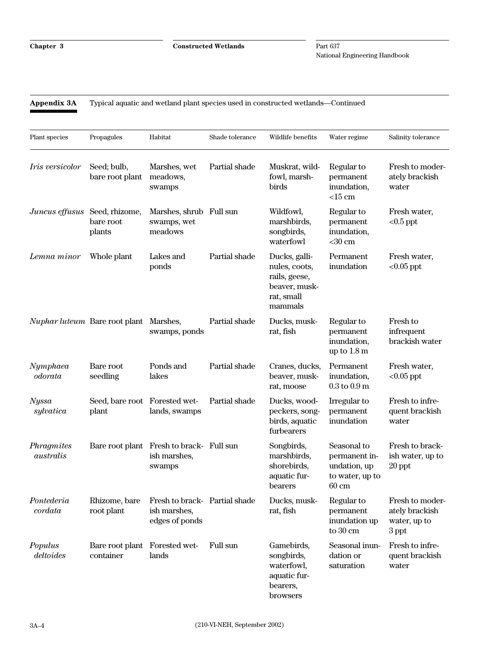**Appendix 3A** Typical aquatic and wetland plant species used in constructed wetlands—Continued

| Plant species             | Propagules                                 | Habitat                                                            | Shade tolerance | Wildlife benefits                                                                         | Water regime                                                                       | Salinity tolerance                                         |
|---------------------------|--------------------------------------------|--------------------------------------------------------------------|-----------------|-------------------------------------------------------------------------------------------|------------------------------------------------------------------------------------|------------------------------------------------------------|
| <i>Iris versicolor</i>    | Seed; bulb,<br>bare root plant             | Marshes, wet<br>meadows,<br>swamps                                 | Partial shade   | Muskrat, wild-<br>fowl, marsh-<br>birds                                                   | Regular to<br>permanent<br>inundation,<br>$<$ 15 cm                                | Fresh to moder-<br>ately brackish<br>water                 |
| Juncus effusus            | Seed, rhizome,<br>bare root<br>plants      | Marshes, shrub Full sun<br>swamps, wet<br>meadows                  |                 | Wildfowl,<br>marshbirds,<br>songbirds,<br>waterfowl                                       | Regular to<br>permanent<br>inundation,<br>$<$ 30 cm                                | Fresh water,<br>$<0.5$ ppt                                 |
| Lemna minor               | Whole plant                                | Lakes and<br>ponds                                                 | Partial shade   | Ducks, galli-<br>nules, coots,<br>rails, geese,<br>beaver, musk-<br>rat, small<br>mammals | Permanent<br>inundation                                                            | Fresh water,<br>$<0.05$ ppt                                |
|                           | Nuphar luteum Bare root plant              | Marshes,<br>swamps, ponds                                          | Partial shade   | Ducks, musk-<br>rat, fish                                                                 | Regular to<br>permanent<br>inundation,<br>up to $1.8 \text{ m}$                    | Fresh to<br>infrequent<br>brackish water                   |
| Nymphaea<br>odorata       | Bare root<br>seedling                      | Ponds and<br>lakes                                                 | Partial shade   | Cranes, ducks,<br>beaver, musk-<br>rat, moose                                             | Permanent<br>inundation,<br>$0.3$ to $0.9$ m                                       | Fresh water,<br>$<0.05$ ppt                                |
| <b>Nyssa</b><br>sylvatica | Seed, bare root Forested wet-<br>plant     | lands, swamps                                                      | Partial shade   | Ducks, wood-<br>peckers, song-<br>birds, aquatic<br>furbearers                            | Irregular to<br>permanent<br>inundation                                            | Fresh to infre-<br>quent brackish<br>water                 |
| Phragmites<br>australis   |                                            | Bare root plant Fresh to brack- Full sun<br>ish marshes,<br>swamps |                 | Songbirds,<br>marshbirds,<br>shorebirds,<br>aquatic fur-<br>bearers                       | Seasonal to<br>permanent in-<br>undation, up<br>to water, up to<br>$60 \text{ cm}$ | Fresh to brack-<br>ish water, up to<br>$20$ ppt            |
| Pontederia<br>cordata     | Rhizome, bare<br>root plant                | Fresh to brack- Partial shade<br>ish marshes,<br>edges of ponds    |                 | Ducks, musk-<br>rat, fish                                                                 | Regular to<br>permanent<br>inundation up<br>to 30 cm                               | Fresh to moder-<br>ately brackish<br>water, up to<br>3 ppt |
| Populus<br>deltoides      | Bare root plant Forested wet-<br>container | lands                                                              | Full sun        | Gamebirds,<br>songbirds,<br>waterfowl,<br>aquatic fur-<br>bearers,<br>browsers            | Seasonal inun-<br>dation or<br>saturation                                          | Fresh to infre-<br>quent brackish<br>water                 |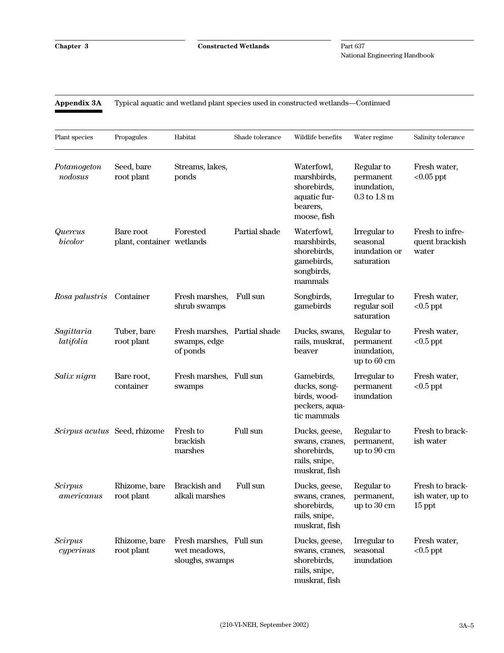## **Appendix 3A** Typical aquatic and wetland plant species used in constructed wetlands—Continued

| Plant species                | Propagules                             | Habitat                                                    | Shade tolerance | Wildlife benefits                                                                   | Water regime                                               | Salinity tolerance                              |
|------------------------------|----------------------------------------|------------------------------------------------------------|-----------------|-------------------------------------------------------------------------------------|------------------------------------------------------------|-------------------------------------------------|
| Potamogeton<br>nodosus       | Seed, bare<br>root plant               | Streams, lakes,<br>ponds                                   |                 | Waterfowl,<br>marshbirds,<br>shorebirds,<br>aquatic fur-<br>bearers,<br>moose, fish | Regular to<br>permanent<br>inundation,<br>$0.3$ to $1.8$ m | Fresh water,<br>$<0.05$ ppt                     |
| Quercus<br>bicolor           | Bare root<br>plant, container wetlands | Forested                                                   | Partial shade   | Waterfowl,<br>marshbirds,<br>shorebirds,<br>gamebirds,<br>songbirds,<br>mammals     | Irregular to<br>seasonal<br>inundation or<br>saturation    | Fresh to infre-<br>quent brackish<br>water      |
| Rosa palustris               | Container                              | Fresh marshes,<br>shrub swamps                             | Full sun        | Songbirds,<br>gamebirds                                                             | Irregular to<br>regular soil<br>saturation                 | Fresh water,<br>$<0.5$ ppt                      |
| Sagittaria<br>latifolia      | Tuber, bare<br>root plant              | Fresh marshes,<br>swamps, edge<br>of ponds                 | Partial shade   | Ducks, swans,<br>rails, muskrat,<br>beaver                                          | Regular to<br>permanent<br>inundation,<br>up to 60 cm      | Fresh water,<br>$<0.5$ ppt                      |
| Salix nigra                  | Bare root,<br>container                | Fresh marshes, Full sun<br>swamps                          |                 | Gamebirds,<br>ducks, song-<br>birds, wood-<br>peckers, aqua-<br>tic mammals         | Irregular to<br>permanent<br>inundation                    | Fresh water,<br>$<0.5$ ppt                      |
| Scirpus acutus Seed, rhizome |                                        | Fresh to<br>brackish<br>marshes                            | Full sun        | Ducks, geese,<br>swans, cranes,<br>shorebirds,<br>rails, snipe,<br>muskrat, fish    | Regular to<br>permanent,<br>up to 90 cm                    | Fresh to brack-<br>ish water                    |
| <b>Scirpus</b><br>americanus | Rhizome, bare<br>root plant            | Brackish and<br>alkali marshes                             | Full sun        | Ducks, geese,<br>swans, cranes,<br>shorebirds,<br>rails, snipe,<br>muskrat, fish    | Regular to<br>permanent,<br>up to 30 cm                    | Fresh to brack-<br>ish water, up to<br>$15$ ppt |
| <b>Scirpus</b><br>cyperinus  | Rhizome, bare<br>root plant            | Fresh marshes, Full sun<br>wet meadows,<br>sloughs, swamps |                 | Ducks, geese,<br>swans, cranes,<br>shorebirds,<br>rails, snipe,<br>muskrat, fish    | Irregular to<br>seasonal<br>inundation                     | Fresh water,<br>$<0.5$ ppt                      |